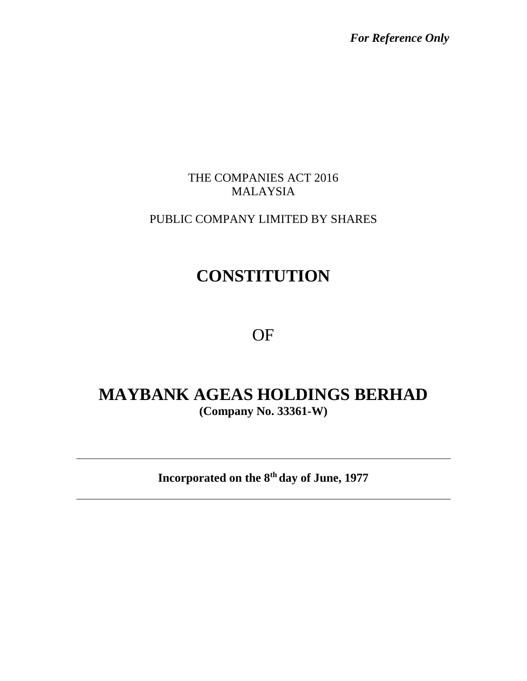*For Reference Only*

### THE COMPANIES ACT 2016 MALAYSIA

## PUBLIC COMPANY LIMITED BY SHARES

# **CONSTITUTION**

# OF

## **MAYBANK AGEAS HOLDINGS BERHAD (Company No. 33361-W)**

**Incorporated on the 8 th day of June, 1977**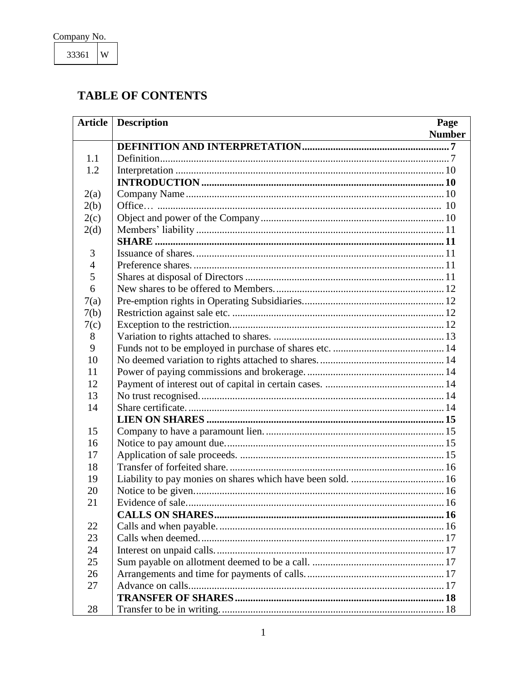33361  $\mathbf W$ 

## **TABLE OF CONTENTS**

| <b>Article</b> | <b>Description</b><br>Page |
|----------------|----------------------------|
|                | <b>Number</b>              |
|                |                            |
| 1.1            |                            |
| 1.2            |                            |
|                |                            |
| 2(a)           |                            |
| 2(b)           |                            |
| 2(c)           |                            |
| 2(d)           |                            |
|                |                            |
| 3              |                            |
| $\overline{4}$ |                            |
| 5              |                            |
| 6              |                            |
| 7(a)           |                            |
| 7(b)           |                            |
| 7(c)           |                            |
| 8              |                            |
| 9              |                            |
| 10             |                            |
| 11             |                            |
| 12             |                            |
| 13             |                            |
| 14             |                            |
|                |                            |
| 15             |                            |
| 16             |                            |
| 17             |                            |
| 18             |                            |
| 19             |                            |
| 20             |                            |
| 21             |                            |
|                |                            |
| 22             |                            |
| 23             |                            |
| 24             |                            |
| 25             |                            |
| 26             |                            |
| 27             |                            |
|                |                            |
| 28             |                            |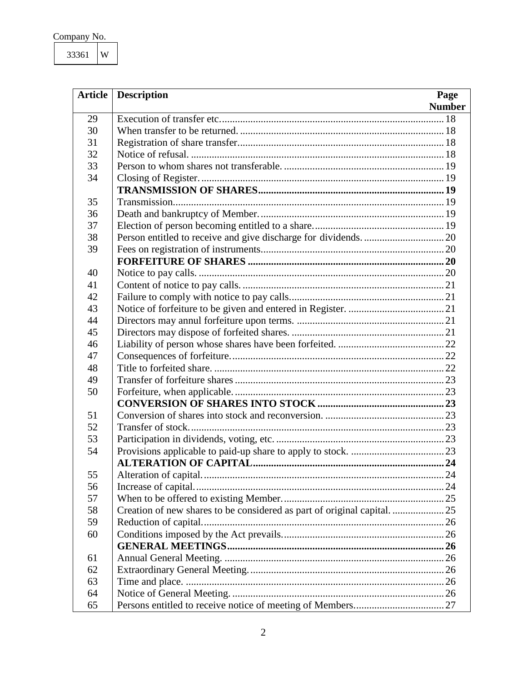| Company No. |  |
|-------------|--|
|             |  |

| <b>Article</b> | <b>Description</b>                                                 | Page          |
|----------------|--------------------------------------------------------------------|---------------|
|                | <u> 1989 - Jan Samuel Barbara, margaret eta idazlea (h. 1989).</u> | <b>Number</b> |
| 29             |                                                                    |               |
| 30             |                                                                    |               |
| 31             |                                                                    |               |
| 32             |                                                                    |               |
| 33             |                                                                    |               |
| 34             |                                                                    |               |
|                |                                                                    |               |
| 35             |                                                                    |               |
| 36             |                                                                    |               |
| 37             |                                                                    |               |
| 38             |                                                                    |               |
| 39             |                                                                    |               |
|                |                                                                    |               |
| 40             |                                                                    |               |
| 41             |                                                                    |               |
| 42             |                                                                    |               |
| 43             |                                                                    |               |
| 44             |                                                                    |               |
| 45             |                                                                    |               |
| 46             |                                                                    |               |
| 47             |                                                                    |               |
| 48             |                                                                    |               |
| 49             |                                                                    |               |
| 50             |                                                                    |               |
|                |                                                                    |               |
| 51             |                                                                    |               |
| 52             |                                                                    |               |
| 53             |                                                                    |               |
| 54             |                                                                    |               |
|                |                                                                    |               |
| 55             |                                                                    |               |
| 56             |                                                                    |               |
| 57             |                                                                    |               |
| 58             |                                                                    |               |
| 59             |                                                                    |               |
| 60             |                                                                    |               |
|                |                                                                    |               |
| 61             |                                                                    |               |
| 62             |                                                                    |               |
| 63             |                                                                    |               |
| 64             |                                                                    |               |
| 65             |                                                                    |               |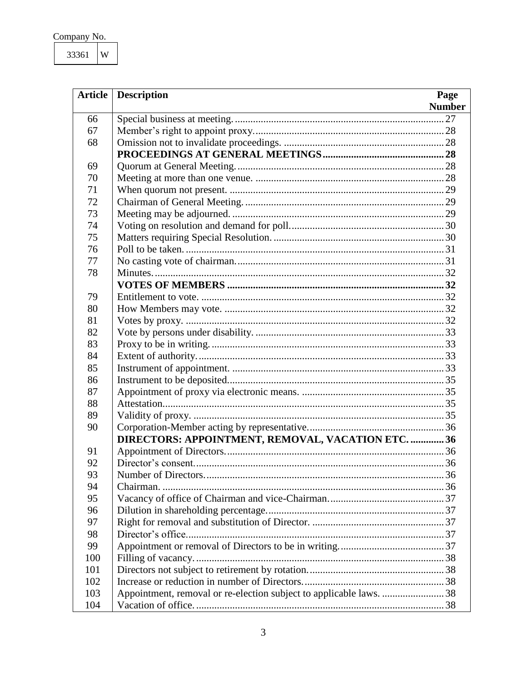| Company No. |  |
|-------------|--|
|             |  |

33361  $\mathbf W$ 

| <b>Article</b> | <b>Description</b>                                                 | Page          |
|----------------|--------------------------------------------------------------------|---------------|
|                |                                                                    | <b>Number</b> |
| 66             |                                                                    |               |
| 67             |                                                                    |               |
| 68             |                                                                    |               |
|                |                                                                    |               |
| 69             |                                                                    |               |
| 70             |                                                                    |               |
| 71             |                                                                    |               |
| 72             |                                                                    |               |
| 73             |                                                                    |               |
| 74             |                                                                    |               |
| 75             |                                                                    |               |
| 76             |                                                                    |               |
| 77             |                                                                    |               |
| 78             |                                                                    |               |
|                |                                                                    |               |
| 79             |                                                                    |               |
| 80             |                                                                    |               |
| 81             |                                                                    |               |
| 82             |                                                                    |               |
| 83             |                                                                    |               |
| 84             |                                                                    |               |
| 85             |                                                                    |               |
| 86             |                                                                    |               |
| 87             |                                                                    |               |
| 88             |                                                                    |               |
| 89             |                                                                    |               |
| 90             |                                                                    |               |
|                | DIRECTORS: APPOINTMENT, REMOVAL, VACATION ETC.  36                 |               |
| 91             |                                                                    |               |
| 92             |                                                                    |               |
| 93             |                                                                    |               |
| 94             |                                                                    |               |
| 95             |                                                                    |               |
| 96             |                                                                    |               |
| 97             |                                                                    |               |
| 98             |                                                                    |               |
| 99             |                                                                    |               |
| 100            |                                                                    |               |
| 101            |                                                                    |               |
| 102            |                                                                    |               |
| 103            | Appointment, removal or re-election subject to applicable laws. 38 |               |
| 104            |                                                                    |               |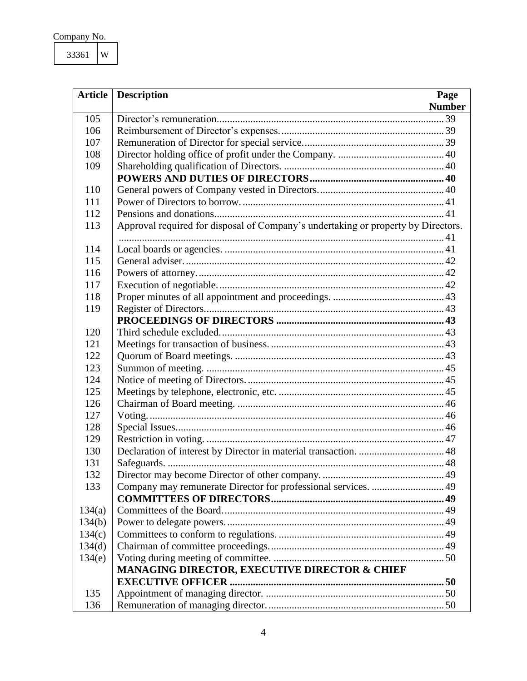| Company No. |  |
|-------------|--|
|             |  |

|        | <b>Article</b> Description<br>Page                                                |
|--------|-----------------------------------------------------------------------------------|
|        | <b>Number</b><br><u> 1989 - Johann Barn, fransk politik (d. 1989)</u>             |
| 105    |                                                                                   |
| 106    |                                                                                   |
| 107    |                                                                                   |
| 108    |                                                                                   |
| 109    |                                                                                   |
|        |                                                                                   |
| 110    |                                                                                   |
| 111    |                                                                                   |
| 112    |                                                                                   |
| 113    | Approval required for disposal of Company's undertaking or property by Directors. |
|        |                                                                                   |
| 114    |                                                                                   |
| 115    |                                                                                   |
| 116    |                                                                                   |
| 117    |                                                                                   |
| 118    |                                                                                   |
| 119    |                                                                                   |
|        |                                                                                   |
| 120    |                                                                                   |
| 121    |                                                                                   |
| 122    |                                                                                   |
| 123    |                                                                                   |
| 124    |                                                                                   |
| 125    |                                                                                   |
| 126    |                                                                                   |
| 127    |                                                                                   |
| 128    |                                                                                   |
| 129    |                                                                                   |
| 130    |                                                                                   |
| 131    |                                                                                   |
| 132    |                                                                                   |
| 133    |                                                                                   |
| 134(a) |                                                                                   |
| 134(b) |                                                                                   |
| 134(c) |                                                                                   |
| 134(d) |                                                                                   |
| 134(e) |                                                                                   |
|        | MANAGING DIRECTOR, EXECUTIVE DIRECTOR & CHIEF                                     |
|        |                                                                                   |
| 135    |                                                                                   |
|        |                                                                                   |
| 136    |                                                                                   |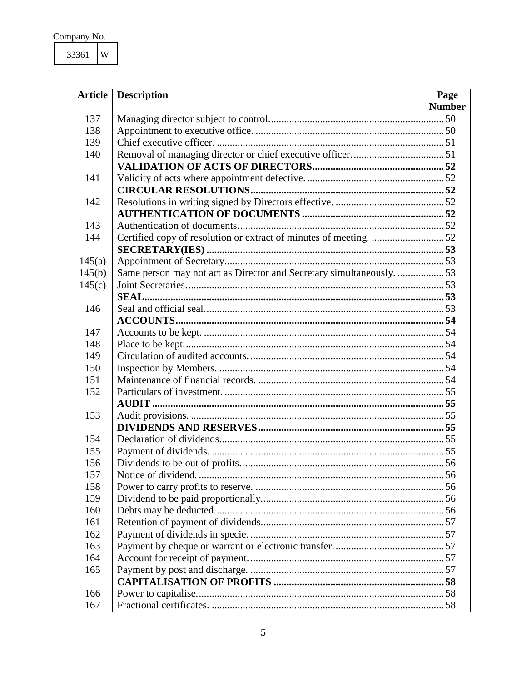| Company No. |  |
|-------------|--|
|             |  |

33361  $\mathbf W$ 

| <b>Article</b> | <b>Description</b>                                                    | Page          |
|----------------|-----------------------------------------------------------------------|---------------|
|                | <u> 1989 - Johann Stoff, Amerikaansk politiker († 1908)</u>           | <b>Number</b> |
| 137            |                                                                       |               |
| 138            |                                                                       |               |
| 139            |                                                                       |               |
| 140            |                                                                       |               |
|                |                                                                       |               |
| 141            |                                                                       |               |
|                |                                                                       |               |
| 142            |                                                                       |               |
|                |                                                                       |               |
| 143            |                                                                       |               |
| 144            |                                                                       |               |
|                |                                                                       |               |
| 145(a)         |                                                                       |               |
| 145(b)         | Same person may not act as Director and Secretary simultaneously.  53 |               |
| 145(c)         |                                                                       |               |
|                |                                                                       |               |
| 146            |                                                                       |               |
|                |                                                                       |               |
| 147            |                                                                       |               |
| 148            |                                                                       |               |
| 149            |                                                                       |               |
| 150            |                                                                       |               |
| 151            |                                                                       |               |
| 152            |                                                                       |               |
|                |                                                                       |               |
| 153            |                                                                       |               |
|                |                                                                       |               |
| 154            |                                                                       |               |
| 155            |                                                                       |               |
| 156            |                                                                       |               |
| 157            |                                                                       |               |
| 158            |                                                                       |               |
| 159            |                                                                       |               |
| 160            |                                                                       |               |
| 161            |                                                                       |               |
| 162            |                                                                       |               |
| 163            |                                                                       |               |
| 164            |                                                                       |               |
| 165            |                                                                       |               |
|                |                                                                       |               |
| 166            |                                                                       |               |
| 167            |                                                                       |               |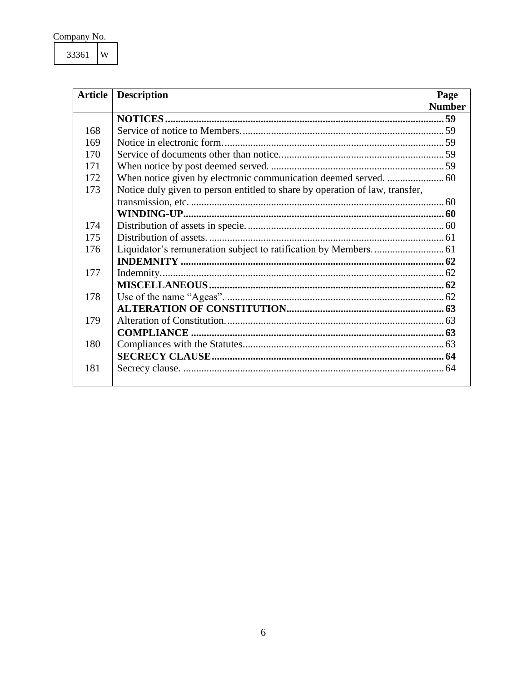| Company No. |  |
|-------------|--|
|             |  |

33361  $\mathbf W$ 

| <b>Article</b> | <b>Description</b><br>Page                                                   |
|----------------|------------------------------------------------------------------------------|
|                | <b>Number</b>                                                                |
|                |                                                                              |
| 168            |                                                                              |
| 169            |                                                                              |
| 170            |                                                                              |
| 171            |                                                                              |
| 172            |                                                                              |
| 173            | Notice duly given to person entitled to share by operation of law, transfer, |
|                |                                                                              |
|                |                                                                              |
| 174            |                                                                              |
| 175            |                                                                              |
| 176            |                                                                              |
|                |                                                                              |
| 177            |                                                                              |
|                |                                                                              |
| 178            |                                                                              |
|                |                                                                              |
| 179            |                                                                              |
|                |                                                                              |
| 180            |                                                                              |
|                |                                                                              |
| 181            |                                                                              |
|                |                                                                              |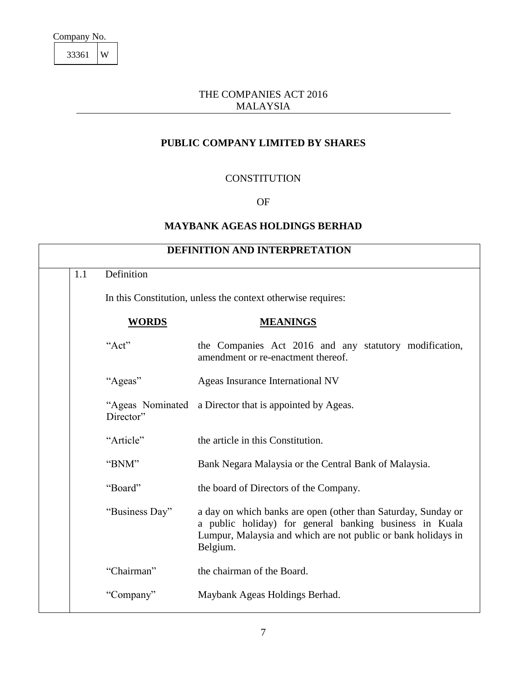#### THE COMPANIES ACT 2016 MALAYSIA

#### **PUBLIC COMPANY LIMITED BY SHARES**

#### **CONSTITUTION**

#### OF

#### **MAYBANK AGEAS HOLDINGS BERHAD**

<span id="page-7-1"></span><span id="page-7-0"></span>

| 1.1 | Definition     |                                                                                                                                                                                                       |
|-----|----------------|-------------------------------------------------------------------------------------------------------------------------------------------------------------------------------------------------------|
|     |                | In this Constitution, unless the context otherwise requires:                                                                                                                                          |
|     | <b>WORDS</b>   | <b>MEANINGS</b>                                                                                                                                                                                       |
|     | "Act"          | the Companies Act 2016 and any statutory modification,<br>amendment or re-enactment thereof.                                                                                                          |
|     | "Ageas"        | Ageas Insurance International NV                                                                                                                                                                      |
|     | Director"      | "Ageas Nominated a Director that is appointed by Ageas.                                                                                                                                               |
|     | "Article"      | the article in this Constitution.                                                                                                                                                                     |
|     | "BNM"          | Bank Negara Malaysia or the Central Bank of Malaysia.                                                                                                                                                 |
|     | "Board"        | the board of Directors of the Company.                                                                                                                                                                |
|     | "Business Day" | a day on which banks are open (other than Saturday, Sunday or<br>a public holiday) for general banking business in Kuala<br>Lumpur, Malaysia and which are not public or bank holidays in<br>Belgium. |
|     | "Chairman"     | the chairman of the Board.                                                                                                                                                                            |
|     | "Company"      | Maybank Ageas Holdings Berhad.                                                                                                                                                                        |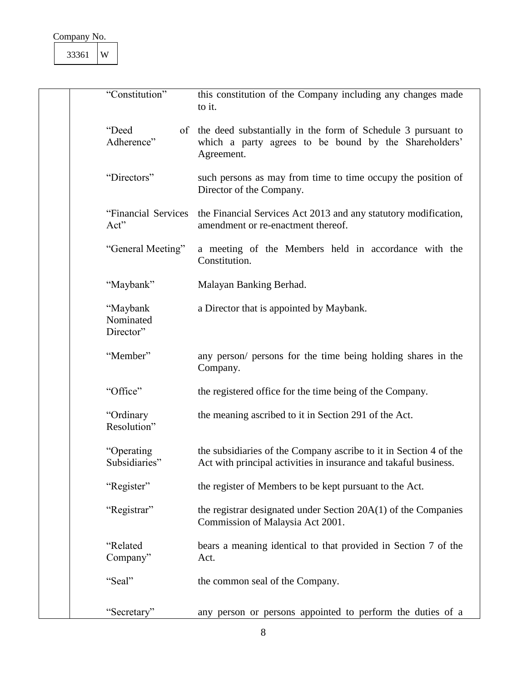| "Constitution"                     | this constitution of the Company including any changes made<br>to it.                                                                  |
|------------------------------------|----------------------------------------------------------------------------------------------------------------------------------------|
| "Deed<br>Adherence"                | of the deed substantially in the form of Schedule 3 pursuant to<br>which a party agrees to be bound by the Shareholders'<br>Agreement. |
| "Directors"                        | such persons as may from time to time occupy the position of<br>Director of the Company.                                               |
| "Financial Services<br>Act"        | the Financial Services Act 2013 and any statutory modification,<br>amendment or re-enactment thereof.                                  |
| "General Meeting"                  | a meeting of the Members held in accordance with the<br>Constitution.                                                                  |
| "Maybank"                          | Malayan Banking Berhad.                                                                                                                |
| "Maybank<br>Nominated<br>Director" | a Director that is appointed by Maybank.                                                                                               |
| "Member"                           | any person/ persons for the time being holding shares in the<br>Company.                                                               |
| "Office"                           | the registered office for the time being of the Company.                                                                               |
| "Ordinary<br>Resolution"           | the meaning ascribed to it in Section 291 of the Act.                                                                                  |
| "Operating<br>Subsidiaries"        | the subsidiaries of the Company ascribe to it in Section 4 of the<br>Act with principal activities in insurance and takaful business.  |
| "Register"                         | the register of Members to be kept pursuant to the Act.                                                                                |
| "Registrar"                        | the registrar designated under Section $20A(1)$ of the Companies<br>Commission of Malaysia Act 2001.                                   |
| "Related<br>Company"               | bears a meaning identical to that provided in Section 7 of the<br>Act.                                                                 |
| "Seal"                             | the common seal of the Company.                                                                                                        |
| "Secretary"                        | any person or persons appointed to perform the duties of a                                                                             |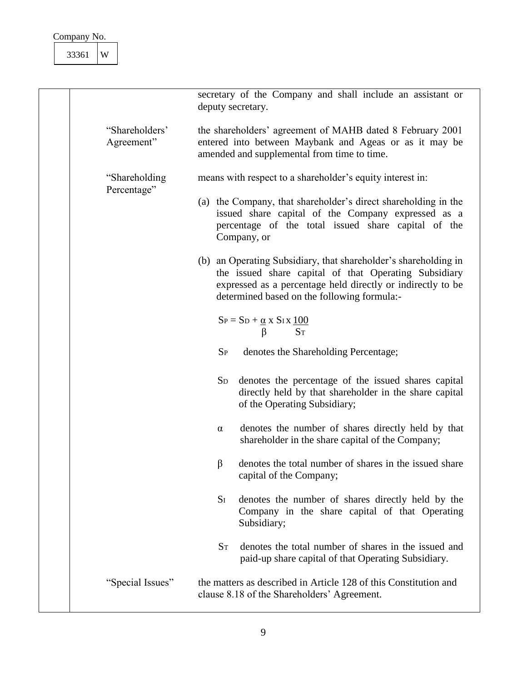|                               | secretary of the Company and shall include an assistant or<br>deputy secretary.                                                                                                                                                        |  |
|-------------------------------|----------------------------------------------------------------------------------------------------------------------------------------------------------------------------------------------------------------------------------------|--|
| "Shareholders"<br>Agreement"  | the shareholders' agreement of MAHB dated 8 February 2001<br>entered into between Maybank and Ageas or as it may be<br>amended and supplemental from time to time.                                                                     |  |
| "Shareholding"<br>Percentage" | means with respect to a shareholder's equity interest in:                                                                                                                                                                              |  |
|                               | (a) the Company, that shareholder's direct shareholding in the<br>issued share capital of the Company expressed as a<br>percentage of the total issued share capital of the<br>Company, or                                             |  |
|                               | (b) an Operating Subsidiary, that shareholder's shareholding in<br>the issued share capital of that Operating Subsidiary<br>expressed as a percentage held directly or indirectly to be<br>determined based on the following formula:- |  |
|                               | $S_P = S_D + \underline{\alpha} \times S_I \times \underline{100}$<br><b>ST</b><br>ß                                                                                                                                                   |  |
|                               | $S_{P}$<br>denotes the Shareholding Percentage;                                                                                                                                                                                        |  |
|                               | denotes the percentage of the issued shares capital<br>$S_{D}$<br>directly held by that shareholder in the share capital<br>of the Operating Subsidiary;                                                                               |  |
|                               | denotes the number of shares directly held by that<br>$\alpha$<br>shareholder in the share capital of the Company;                                                                                                                     |  |
|                               | denotes the total number of shares in the issued share<br>β<br>capital of the Company;                                                                                                                                                 |  |
|                               | $S_I$<br>denotes the number of shares directly held by the<br>Company in the share capital of that Operating<br>Subsidiary;                                                                                                            |  |
|                               | $S_T$<br>denotes the total number of shares in the issued and<br>paid-up share capital of that Operating Subsidiary.                                                                                                                   |  |
| "Special Issues"              | the matters as described in Article 128 of this Constitution and<br>clause 8.18 of the Shareholders' Agreement.                                                                                                                        |  |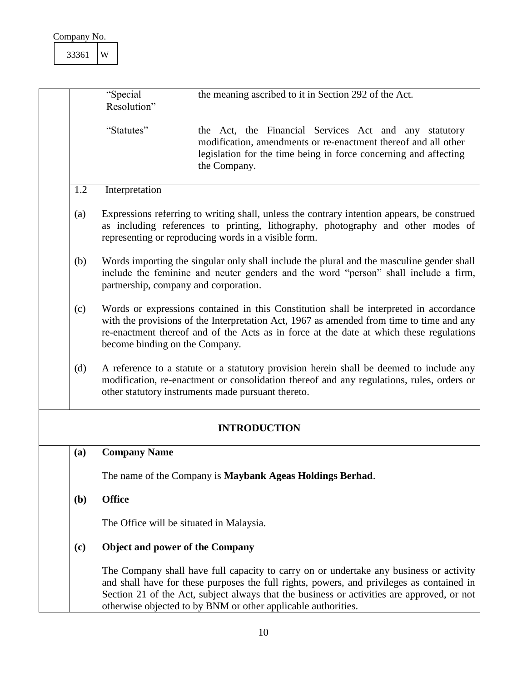<span id="page-10-4"></span><span id="page-10-3"></span><span id="page-10-2"></span><span id="page-10-1"></span><span id="page-10-0"></span>

|            | "Special<br>Resolution"                                                                                                                                                                                                                                                                                         | the meaning ascribed to it in Section 292 of the Act.                                                                                                                                                                                                                                                                                              |
|------------|-----------------------------------------------------------------------------------------------------------------------------------------------------------------------------------------------------------------------------------------------------------------------------------------------------------------|----------------------------------------------------------------------------------------------------------------------------------------------------------------------------------------------------------------------------------------------------------------------------------------------------------------------------------------------------|
|            | "Statutes"                                                                                                                                                                                                                                                                                                      | the Act, the Financial Services Act and any statutory<br>modification, amendments or re-enactment thereof and all other<br>legislation for the time being in force concerning and affecting<br>the Company.                                                                                                                                        |
| 1.2        | Interpretation                                                                                                                                                                                                                                                                                                  |                                                                                                                                                                                                                                                                                                                                                    |
| (a)        |                                                                                                                                                                                                                                                                                                                 | Expressions referring to writing shall, unless the contrary intention appears, be construed<br>as including references to printing, lithography, photography and other modes of<br>representing or reproducing words in a visible form.                                                                                                            |
| (b)        | Words importing the singular only shall include the plural and the masculine gender shall<br>include the feminine and neuter genders and the word "person" shall include a firm,<br>partnership, company and corporation.                                                                                       |                                                                                                                                                                                                                                                                                                                                                    |
| (c)        | Words or expressions contained in this Constitution shall be interpreted in accordance<br>with the provisions of the Interpretation Act, 1967 as amended from time to time and any<br>re-enactment thereof and of the Acts as in force at the date at which these regulations<br>become binding on the Company. |                                                                                                                                                                                                                                                                                                                                                    |
| (d)        | A reference to a statute or a statutory provision herein shall be deemed to include any<br>modification, re-enactment or consolidation thereof and any regulations, rules, orders or<br>other statutory instruments made pursuant thereto.                                                                      |                                                                                                                                                                                                                                                                                                                                                    |
|            |                                                                                                                                                                                                                                                                                                                 | <b>INTRODUCTION</b>                                                                                                                                                                                                                                                                                                                                |
| (a)        | <b>Company Name</b>                                                                                                                                                                                                                                                                                             |                                                                                                                                                                                                                                                                                                                                                    |
|            |                                                                                                                                                                                                                                                                                                                 | The name of the Company is Maybank Ageas Holdings Berhad.                                                                                                                                                                                                                                                                                          |
| <b>(b)</b> | <b>Office</b>                                                                                                                                                                                                                                                                                                   |                                                                                                                                                                                                                                                                                                                                                    |
|            | The Office will be situated in Malaysia.                                                                                                                                                                                                                                                                        |                                                                                                                                                                                                                                                                                                                                                    |
| (c)        | <b>Object and power of the Company</b>                                                                                                                                                                                                                                                                          |                                                                                                                                                                                                                                                                                                                                                    |
|            |                                                                                                                                                                                                                                                                                                                 | The Company shall have full capacity to carry on or undertake any business or activity<br>and shall have for these purposes the full rights, powers, and privileges as contained in<br>Section 21 of the Act, subject always that the business or activities are approved, or not<br>otherwise objected to by BNM or other applicable authorities. |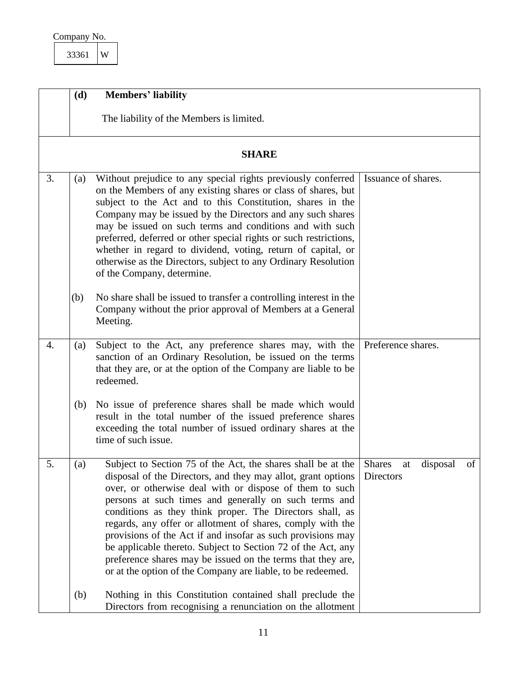| Company No. |  |
|-------------|--|
|             |  |

<span id="page-11-4"></span><span id="page-11-3"></span><span id="page-11-2"></span><span id="page-11-1"></span><span id="page-11-0"></span>

|    | (d) | <b>Members' liability</b>                                                                                                                                                                                                                                                                                                                                                                                                                                                                                                                                                                                                               |                                                    |  |
|----|-----|-----------------------------------------------------------------------------------------------------------------------------------------------------------------------------------------------------------------------------------------------------------------------------------------------------------------------------------------------------------------------------------------------------------------------------------------------------------------------------------------------------------------------------------------------------------------------------------------------------------------------------------------|----------------------------------------------------|--|
|    |     | The liability of the Members is limited.                                                                                                                                                                                                                                                                                                                                                                                                                                                                                                                                                                                                |                                                    |  |
|    |     | <b>SHARE</b>                                                                                                                                                                                                                                                                                                                                                                                                                                                                                                                                                                                                                            |                                                    |  |
| 3. | (a) | Without prejudice to any special rights previously conferred<br>on the Members of any existing shares or class of shares, but<br>subject to the Act and to this Constitution, shares in the<br>Company may be issued by the Directors and any such shares<br>may be issued on such terms and conditions and with such<br>preferred, deferred or other special rights or such restrictions,<br>whether in regard to dividend, voting, return of capital, or<br>otherwise as the Directors, subject to any Ordinary Resolution<br>of the Company, determine.                                                                              | Issuance of shares.                                |  |
|    | (b) | No share shall be issued to transfer a controlling interest in the<br>Company without the prior approval of Members at a General<br>Meeting.                                                                                                                                                                                                                                                                                                                                                                                                                                                                                            |                                                    |  |
| 4. | (a) | Subject to the Act, any preference shares may, with the<br>sanction of an Ordinary Resolution, be issued on the terms<br>that they are, or at the option of the Company are liable to be<br>redeemed.                                                                                                                                                                                                                                                                                                                                                                                                                                   | Preference shares.                                 |  |
|    | (b) | No issue of preference shares shall be made which would<br>result in the total number of the issued preference shares<br>exceeding the total number of issued ordinary shares at the<br>time of such issue.                                                                                                                                                                                                                                                                                                                                                                                                                             |                                                    |  |
| 5. | (a) | Subject to Section 75 of the Act, the shares shall be at the<br>disposal of the Directors, and they may allot, grant options<br>over, or otherwise deal with or dispose of them to such<br>persons at such times and generally on such terms and<br>conditions as they think proper. The Directors shall, as<br>regards, any offer or allotment of shares, comply with the<br>provisions of the Act if and insofar as such provisions may<br>be applicable thereto. Subject to Section 72 of the Act, any<br>preference shares may be issued on the terms that they are,<br>or at the option of the Company are liable, to be redeemed. | <b>Shares</b><br>disposal<br>of<br>at<br>Directors |  |
|    | (b) | Nothing in this Constitution contained shall preclude the<br>Directors from recognising a renunciation on the allotment                                                                                                                                                                                                                                                                                                                                                                                                                                                                                                                 |                                                    |  |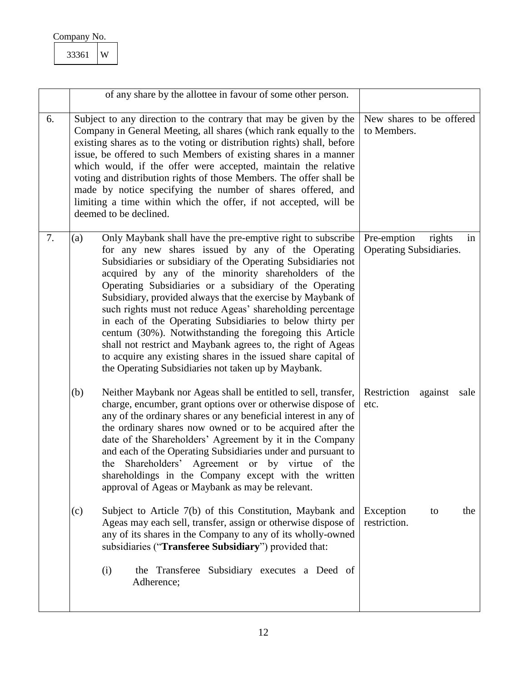<span id="page-12-0"></span>

| Company No. |   |
|-------------|---|
| 33361       | W |

<span id="page-12-3"></span><span id="page-12-2"></span><span id="page-12-1"></span>

|    | of any share by the allottee in favour of some other person.                                                                                                                                                                                                                                                                                                                                                                                                                                                                                                                                                                                                                                                                                           |                                                        |
|----|--------------------------------------------------------------------------------------------------------------------------------------------------------------------------------------------------------------------------------------------------------------------------------------------------------------------------------------------------------------------------------------------------------------------------------------------------------------------------------------------------------------------------------------------------------------------------------------------------------------------------------------------------------------------------------------------------------------------------------------------------------|--------------------------------------------------------|
| 6. | Subject to any direction to the contrary that may be given by the<br>Company in General Meeting, all shares (which rank equally to the<br>existing shares as to the voting or distribution rights) shall, before<br>issue, be offered to such Members of existing shares in a manner<br>which would, if the offer were accepted, maintain the relative<br>voting and distribution rights of those Members. The offer shall be<br>made by notice specifying the number of shares offered, and<br>limiting a time within which the offer, if not accepted, will be<br>deemed to be declined.                                                                                                                                                             | New shares to be offered<br>to Members.                |
| 7. | (a)<br>Only Maybank shall have the pre-emptive right to subscribe<br>for any new shares issued by any of the Operating<br>Subsidiaries or subsidiary of the Operating Subsidiaries not<br>acquired by any of the minority shareholders of the<br>Operating Subsidiaries or a subsidiary of the Operating<br>Subsidiary, provided always that the exercise by Maybank of<br>such rights must not reduce Ageas' shareholding percentage<br>in each of the Operating Subsidiaries to below thirty per<br>centum (30%). Notwithstanding the foregoing this Article<br>shall not restrict and Maybank agrees to, the right of Ageas<br>to acquire any existing shares in the issued share capital of<br>the Operating Subsidiaries not taken up by Maybank. | Pre-emption<br>rights<br>in<br>Operating Subsidiaries. |
|    | Neither Maybank nor Ageas shall be entitled to sell, transfer,<br>(b)<br>charge, encumber, grant options over or otherwise dispose of<br>any of the ordinary shares or any beneficial interest in any of<br>the ordinary shares now owned or to be acquired after the<br>date of the Shareholders' Agreement by it in the Company<br>and each of the Operating Subsidiaries under and pursuant to<br>the Shareholders' Agreement or by virtue of the<br>shareholdings in the Company except with the written<br>approval of Ageas or Maybank as may be relevant.                                                                                                                                                                                       | Restriction<br>against<br>sale<br>etc.                 |
|    | Subject to Article 7(b) of this Constitution, Maybank and<br>(c)<br>Ageas may each sell, transfer, assign or otherwise dispose of<br>any of its shares in the Company to any of its wholly-owned<br>subsidiaries ("Transferee Subsidiary") provided that:                                                                                                                                                                                                                                                                                                                                                                                                                                                                                              | Exception<br>the<br>to<br>restriction.                 |
|    | (i)<br>the Transferee Subsidiary executes a Deed of<br>Adherence;                                                                                                                                                                                                                                                                                                                                                                                                                                                                                                                                                                                                                                                                                      |                                                        |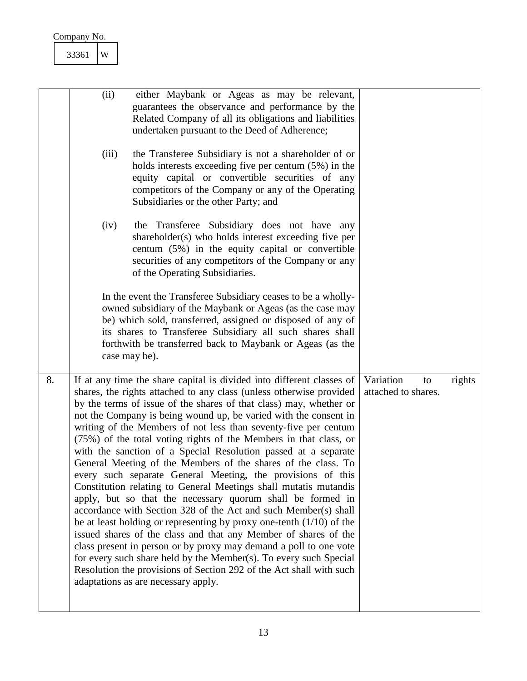<span id="page-13-0"></span>

|    | 33361 | W     |                                                                                                                                                                                                                                                                                                                                                                                                                                                                                                                                                                                                                                                                                                                                                                                                                                                                                                                                                                                                                                                                                                                                                                                                                                            |                                        |        |
|----|-------|-------|--------------------------------------------------------------------------------------------------------------------------------------------------------------------------------------------------------------------------------------------------------------------------------------------------------------------------------------------------------------------------------------------------------------------------------------------------------------------------------------------------------------------------------------------------------------------------------------------------------------------------------------------------------------------------------------------------------------------------------------------------------------------------------------------------------------------------------------------------------------------------------------------------------------------------------------------------------------------------------------------------------------------------------------------------------------------------------------------------------------------------------------------------------------------------------------------------------------------------------------------|----------------------------------------|--------|
|    |       |       |                                                                                                                                                                                                                                                                                                                                                                                                                                                                                                                                                                                                                                                                                                                                                                                                                                                                                                                                                                                                                                                                                                                                                                                                                                            |                                        |        |
|    |       | (ii)  | either Maybank or Ageas as may be relevant,<br>guarantees the observance and performance by the<br>Related Company of all its obligations and liabilities<br>undertaken pursuant to the Deed of Adherence;                                                                                                                                                                                                                                                                                                                                                                                                                                                                                                                                                                                                                                                                                                                                                                                                                                                                                                                                                                                                                                 |                                        |        |
|    |       | (iii) | the Transferee Subsidiary is not a shareholder of or<br>holds interests exceeding five per centum (5%) in the<br>equity capital or convertible securities of any<br>competitors of the Company or any of the Operating<br>Subsidiaries or the other Party; and                                                                                                                                                                                                                                                                                                                                                                                                                                                                                                                                                                                                                                                                                                                                                                                                                                                                                                                                                                             |                                        |        |
|    |       | (iv)  | the Transferee Subsidiary does not have<br>any<br>shareholder(s) who holds interest exceeding five per<br>centum (5%) in the equity capital or convertible<br>securities of any competitors of the Company or any<br>of the Operating Subsidiaries.                                                                                                                                                                                                                                                                                                                                                                                                                                                                                                                                                                                                                                                                                                                                                                                                                                                                                                                                                                                        |                                        |        |
|    |       |       | In the event the Transferee Subsidiary ceases to be a wholly-<br>owned subsidiary of the Maybank or Ageas (as the case may<br>be) which sold, transferred, assigned or disposed of any of<br>its shares to Transferee Subsidiary all such shares shall<br>forthwith be transferred back to Maybank or Ageas (as the<br>case may be).                                                                                                                                                                                                                                                                                                                                                                                                                                                                                                                                                                                                                                                                                                                                                                                                                                                                                                       |                                        |        |
| 8. |       |       | If at any time the share capital is divided into different classes of<br>shares, the rights attached to any class (unless otherwise provided<br>by the terms of issue of the shares of that class) may, whether or<br>not the Company is being wound up, be varied with the consent in<br>writing of the Members of not less than seventy-five per centum<br>(75%) of the total voting rights of the Members in that class, or<br>with the sanction of a Special Resolution passed at a separate<br>General Meeting of the Members of the shares of the class. To<br>every such separate General Meeting, the provisions of this<br>Constitution relating to General Meetings shall mutatis mutandis<br>apply, but so that the necessary quorum shall be formed in<br>accordance with Section 328 of the Act and such Member(s) shall<br>be at least holding or representing by proxy one-tenth $(1/10)$ of the<br>issued shares of the class and that any Member of shares of the<br>class present in person or by proxy may demand a poll to one vote<br>for every such share held by the Member(s). To every such Special<br>Resolution the provisions of Section 292 of the Act shall with such<br>adaptations as are necessary apply. | Variation<br>to<br>attached to shares. | rights |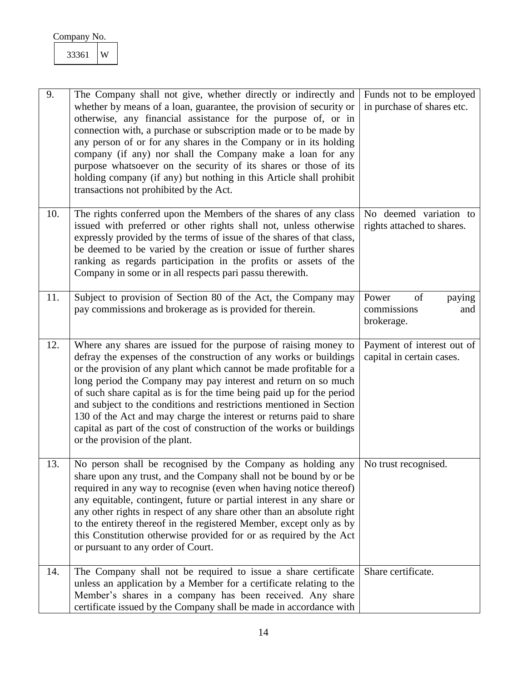<span id="page-14-5"></span><span id="page-14-4"></span><span id="page-14-3"></span><span id="page-14-2"></span><span id="page-14-1"></span><span id="page-14-0"></span>

| 9.  | The Company shall not give, whether directly or indirectly and<br>whether by means of a loan, guarantee, the provision of security or<br>otherwise, any financial assistance for the purpose of, or in<br>connection with, a purchase or subscription made or to be made by<br>any person of or for any shares in the Company or in its holding<br>company (if any) nor shall the Company make a loan for any<br>purpose whatsoever on the security of its shares or those of its<br>holding company (if any) but nothing in this Article shall prohibit<br>transactions not prohibited by the Act.             | Funds not to be employed<br>in purchase of shares etc.    |
|-----|-----------------------------------------------------------------------------------------------------------------------------------------------------------------------------------------------------------------------------------------------------------------------------------------------------------------------------------------------------------------------------------------------------------------------------------------------------------------------------------------------------------------------------------------------------------------------------------------------------------------|-----------------------------------------------------------|
| 10. | The rights conferred upon the Members of the shares of any class<br>issued with preferred or other rights shall not, unless otherwise<br>expressly provided by the terms of issue of the shares of that class,<br>be deemed to be varied by the creation or issue of further shares<br>ranking as regards participation in the profits or assets of the<br>Company in some or in all respects pari passu therewith.                                                                                                                                                                                             | No deemed variation to<br>rights attached to shares.      |
| 11. | Subject to provision of Section 80 of the Act, the Company may<br>pay commissions and brokerage as is provided for therein.                                                                                                                                                                                                                                                                                                                                                                                                                                                                                     | Power<br>of<br>paying<br>commissions<br>and<br>brokerage. |
| 12. | Where any shares are issued for the purpose of raising money to<br>defray the expenses of the construction of any works or buildings<br>or the provision of any plant which cannot be made profitable for a<br>long period the Company may pay interest and return on so much<br>of such share capital as is for the time being paid up for the period<br>and subject to the conditions and restrictions mentioned in Section<br>130 of the Act and may charge the interest or returns paid to share<br>capital as part of the cost of construction of the works or buildings<br>or the provision of the plant. | Payment of interest out of<br>capital in certain cases.   |
| 13. | No person shall be recognised by the Company as holding any<br>share upon any trust, and the Company shall not be bound by or be<br>required in any way to recognise (even when having notice thereof)<br>any equitable, contingent, future or partial interest in any share or<br>any other rights in respect of any share other than an absolute right<br>to the entirety thereof in the registered Member, except only as by<br>this Constitution otherwise provided for or as required by the Act<br>or pursuant to any order of Court.                                                                     | No trust recognised.                                      |
| 14. | The Company shall not be required to issue a share certificate<br>unless an application by a Member for a certificate relating to the<br>Member's shares in a company has been received. Any share<br>certificate issued by the Company shall be made in accordance with                                                                                                                                                                                                                                                                                                                                        | Share certificate.                                        |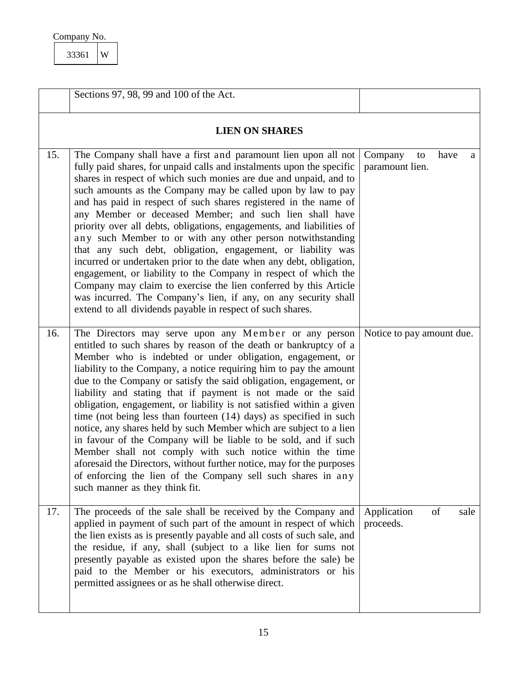<span id="page-15-1"></span>

| Company No. |  |
|-------------|--|
|-------------|--|

<span id="page-15-3"></span><span id="page-15-2"></span><span id="page-15-0"></span>

|     | Sections 97, 98, 99 and 100 of the Act.                                                                                                                                                                                                                                                                                                                                                                                                                                                                                                                                                                                                                                                                                                                                                                                                                                                                                                                            |                                               |
|-----|--------------------------------------------------------------------------------------------------------------------------------------------------------------------------------------------------------------------------------------------------------------------------------------------------------------------------------------------------------------------------------------------------------------------------------------------------------------------------------------------------------------------------------------------------------------------------------------------------------------------------------------------------------------------------------------------------------------------------------------------------------------------------------------------------------------------------------------------------------------------------------------------------------------------------------------------------------------------|-----------------------------------------------|
|     | <b>LIEN ON SHARES</b>                                                                                                                                                                                                                                                                                                                                                                                                                                                                                                                                                                                                                                                                                                                                                                                                                                                                                                                                              |                                               |
| 15. | The Company shall have a first and paramount lien upon all not<br>fully paid shares, for unpaid calls and instalments upon the specific<br>shares in respect of which such monies are due and unpaid, and to<br>such amounts as the Company may be called upon by law to pay<br>and has paid in respect of such shares registered in the name of<br>any Member or deceased Member; and such lien shall have<br>priority over all debts, obligations, engagements, and liabilities of<br>any such Member to or with any other person notwithstanding<br>that any such debt, obligation, engagement, or liability was<br>incurred or undertaken prior to the date when any debt, obligation,<br>engagement, or liability to the Company in respect of which the<br>Company may claim to exercise the lien conferred by this Article<br>was incurred. The Company's lien, if any, on any security shall<br>extend to all dividends payable in respect of such shares. | Company<br>have<br>to<br>a<br>paramount lien. |
| 16. | The Directors may serve upon any Member or any person<br>entitled to such shares by reason of the death or bankruptcy of a<br>Member who is indebted or under obligation, engagement, or<br>liability to the Company, a notice requiring him to pay the amount<br>due to the Company or satisfy the said obligation, engagement, or<br>liability and stating that if payment is not made or the said<br>obligation, engagement, or liability is not satisfied within a given<br>time (not being less than fourteen $(14)$ days) as specified in such<br>notice, any shares held by such Member which are subject to a lien<br>in favour of the Company will be liable to be sold, and if such<br>Member shall not comply with such notice within the time<br>aforesaid the Directors, without further notice, may for the purposes<br>of enforcing the lien of the Company sell such shares in any<br>such manner as they think fit.                               | Notice to pay amount due.                     |
| 17. | The proceeds of the sale shall be received by the Company and<br>applied in payment of such part of the amount in respect of which<br>the lien exists as is presently payable and all costs of such sale, and<br>the residue, if any, shall (subject to a like lien for sums not<br>presently payable as existed upon the shares before the sale) be<br>paid to the Member or his executors, administrators or his<br>permitted assignees or as he shall otherwise direct.                                                                                                                                                                                                                                                                                                                                                                                                                                                                                         | of<br>Application<br>sale<br>proceeds.        |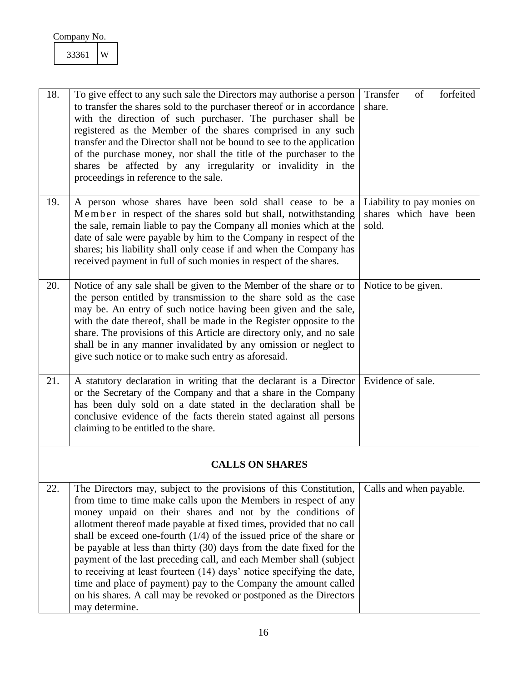<span id="page-16-5"></span><span id="page-16-4"></span><span id="page-16-3"></span><span id="page-16-2"></span><span id="page-16-1"></span><span id="page-16-0"></span>

| 18. | To give effect to any such sale the Directors may authorise a person<br>to transfer the shares sold to the purchaser thereof or in accordance<br>with the direction of such purchaser. The purchaser shall be<br>registered as the Member of the shares comprised in any such<br>transfer and the Director shall not be bound to see to the application<br>of the purchase money, nor shall the title of the purchaser to the<br>shares be affected by any irregularity or invalidity in the<br>proceedings in reference to the sale.                                                                                                                                                                                                  | forfeited<br>Transfer<br>of<br>share.                         |
|-----|----------------------------------------------------------------------------------------------------------------------------------------------------------------------------------------------------------------------------------------------------------------------------------------------------------------------------------------------------------------------------------------------------------------------------------------------------------------------------------------------------------------------------------------------------------------------------------------------------------------------------------------------------------------------------------------------------------------------------------------|---------------------------------------------------------------|
| 19. | A person whose shares have been sold shall cease to be a<br>Member in respect of the shares sold but shall, notwithstanding<br>the sale, remain liable to pay the Company all monies which at the<br>date of sale were payable by him to the Company in respect of the<br>shares; his liability shall only cease if and when the Company has<br>received payment in full of such monies in respect of the shares.                                                                                                                                                                                                                                                                                                                      | Liability to pay monies on<br>shares which have been<br>sold. |
| 20. | Notice of any sale shall be given to the Member of the share or to<br>the person entitled by transmission to the share sold as the case<br>may be. An entry of such notice having been given and the sale,<br>with the date thereof, shall be made in the Register opposite to the<br>share. The provisions of this Article are directory only, and no sale<br>shall be in any manner invalidated by any omission or neglect to<br>give such notice or to make such entry as aforesaid.                                                                                                                                                                                                                                                | Notice to be given.                                           |
| 21. | A statutory declaration in writing that the declarant is a Director<br>or the Secretary of the Company and that a share in the Company<br>has been duly sold on a date stated in the declaration shall be<br>conclusive evidence of the facts therein stated against all persons<br>claiming to be entitled to the share.                                                                                                                                                                                                                                                                                                                                                                                                              | Evidence of sale.                                             |
|     | <b>CALLS ON SHARES</b>                                                                                                                                                                                                                                                                                                                                                                                                                                                                                                                                                                                                                                                                                                                 |                                                               |
| 22. | The Directors may, subject to the provisions of this Constitution,<br>from time to time make calls upon the Members in respect of any<br>money unpaid on their shares and not by the conditions of<br>allotment thereof made payable at fixed times, provided that no call<br>shall be exceed one-fourth $(1/4)$ of the issued price of the share or<br>be payable at less than thirty (30) days from the date fixed for the<br>payment of the last preceding call, and each Member shall (subject<br>to receiving at least fourteen (14) days' notice specifying the date,<br>time and place of payment) pay to the Company the amount called<br>on his shares. A call may be revoked or postponed as the Directors<br>may determine. | Calls and when payable.                                       |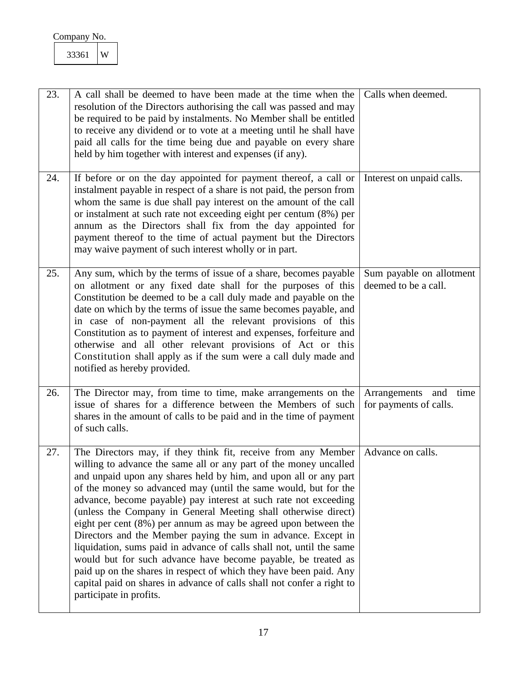<span id="page-17-4"></span><span id="page-17-3"></span><span id="page-17-2"></span><span id="page-17-1"></span><span id="page-17-0"></span>

| 23. | A call shall be deemed to have been made at the time when the<br>resolution of the Directors authorising the call was passed and may<br>be required to be paid by instalments. No Member shall be entitled<br>to receive any dividend or to vote at a meeting until he shall have<br>paid all calls for the time being due and payable on every share<br>held by him together with interest and expenses (if any).                                                                                                                                                                                                                                                                                                                                                                                                                                                      | Calls when deemed.                                 |
|-----|-------------------------------------------------------------------------------------------------------------------------------------------------------------------------------------------------------------------------------------------------------------------------------------------------------------------------------------------------------------------------------------------------------------------------------------------------------------------------------------------------------------------------------------------------------------------------------------------------------------------------------------------------------------------------------------------------------------------------------------------------------------------------------------------------------------------------------------------------------------------------|----------------------------------------------------|
| 24. | If before or on the day appointed for payment thereof, a call or<br>instalment payable in respect of a share is not paid, the person from<br>whom the same is due shall pay interest on the amount of the call<br>or instalment at such rate not exceeding eight per centum (8%) per<br>annum as the Directors shall fix from the day appointed for<br>payment thereof to the time of actual payment but the Directors<br>may waive payment of such interest wholly or in part.                                                                                                                                                                                                                                                                                                                                                                                         | Interest on unpaid calls.                          |
| 25. | Any sum, which by the terms of issue of a share, becomes payable<br>on allotment or any fixed date shall for the purposes of this<br>Constitution be deemed to be a call duly made and payable on the<br>date on which by the terms of issue the same becomes payable, and<br>in case of non-payment all the relevant provisions of this<br>Constitution as to payment of interest and expenses, forfeiture and<br>otherwise and all other relevant provisions of Act or this<br>Constitution shall apply as if the sum were a call duly made and<br>notified as hereby provided.                                                                                                                                                                                                                                                                                       | Sum payable on allotment<br>deemed to be a call.   |
| 26. | The Director may, from time to time, make arrangements on the<br>issue of shares for a difference between the Members of such<br>shares in the amount of calls to be paid and in the time of payment<br>of such calls.                                                                                                                                                                                                                                                                                                                                                                                                                                                                                                                                                                                                                                                  | Arrangements and<br>time<br>for payments of calls. |
| 27. | The Directors may, if they think fit, receive from any Member<br>willing to advance the same all or any part of the money uncalled<br>and unpaid upon any shares held by him, and upon all or any part<br>of the money so advanced may (until the same would, but for the<br>advance, become payable) pay interest at such rate not exceeding<br>(unless the Company in General Meeting shall otherwise direct)<br>eight per cent (8%) per annum as may be agreed upon between the<br>Directors and the Member paying the sum in advance. Except in<br>liquidation, sums paid in advance of calls shall not, until the same<br>would but for such advance have become payable, be treated as<br>paid up on the shares in respect of which they have been paid. Any<br>capital paid on shares in advance of calls shall not confer a right to<br>participate in profits. | Advance on calls.                                  |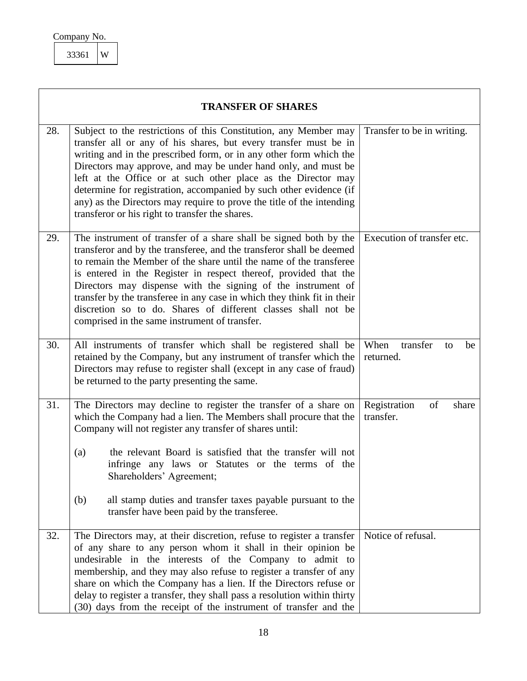<span id="page-18-5"></span><span id="page-18-4"></span><span id="page-18-3"></span><span id="page-18-2"></span><span id="page-18-1"></span><span id="page-18-0"></span>

|     | <b>TRANSFER OF SHARES</b>                                                                                                                                                                                                                                                                                                                                                                                                                                                                                                                        |                                           |
|-----|--------------------------------------------------------------------------------------------------------------------------------------------------------------------------------------------------------------------------------------------------------------------------------------------------------------------------------------------------------------------------------------------------------------------------------------------------------------------------------------------------------------------------------------------------|-------------------------------------------|
| 28. | Subject to the restrictions of this Constitution, any Member may<br>transfer all or any of his shares, but every transfer must be in<br>writing and in the prescribed form, or in any other form which the<br>Directors may approve, and may be under hand only, and must be<br>left at the Office or at such other place as the Director may<br>determine for registration, accompanied by such other evidence (if<br>any) as the Directors may require to prove the title of the intending<br>transferor or his right to transfer the shares.  | Transfer to be in writing.                |
| 29. | The instrument of transfer of a share shall be signed both by the<br>transferor and by the transferee, and the transferor shall be deemed<br>to remain the Member of the share until the name of the transferee<br>is entered in the Register in respect thereof, provided that the<br>Directors may dispense with the signing of the instrument of<br>transfer by the transferee in any case in which they think fit in their<br>discretion so to do. Shares of different classes shall not be<br>comprised in the same instrument of transfer. | Execution of transfer etc.                |
| 30. | All instruments of transfer which shall be registered shall be<br>retained by the Company, but any instrument of transfer which the<br>Directors may refuse to register shall (except in any case of fraud)<br>be returned to the party presenting the same.                                                                                                                                                                                                                                                                                     | When<br>transfer<br>be<br>to<br>returned. |
| 31. | The Directors may decline to register the transfer of a share on<br>which the Company had a lien. The Members shall procure that the<br>Company will not register any transfer of shares until:<br>the relevant Board is satisfied that the transfer will not<br>(a)<br>infringe any laws or Statutes or the terms of the<br>Shareholders' Agreement;<br>all stamp duties and transfer taxes payable pursuant to the<br>(b)<br>transfer have been paid by the transferee.                                                                        | Registration<br>of<br>share<br>transfer.  |
| 32. | The Directors may, at their discretion, refuse to register a transfer<br>of any share to any person whom it shall in their opinion be<br>undesirable in the interests of the Company to admit to<br>membership, and they may also refuse to register a transfer of any<br>share on which the Company has a lien. If the Directors refuse or<br>delay to register a transfer, they shall pass a resolution within thirty<br>(30) days from the receipt of the instrument of transfer and the                                                      | Notice of refusal.                        |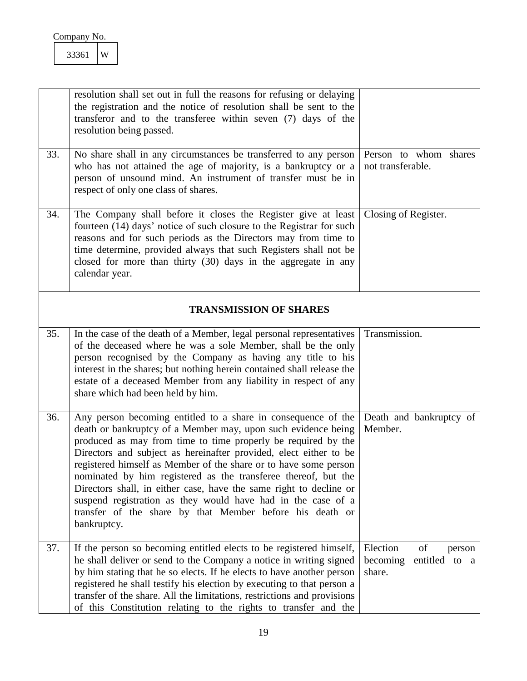<span id="page-19-0"></span>

| Company No. |  |
|-------------|--|
|-------------|--|

<span id="page-19-5"></span><span id="page-19-4"></span><span id="page-19-3"></span><span id="page-19-2"></span><span id="page-19-1"></span>

|     | resolution shall set out in full the reasons for refusing or delaying<br>the registration and the notice of resolution shall be sent to the<br>transferor and to the transferee within seven (7) days of the<br>resolution being passed.                                                                                                                                                                                                                                                                                                                                                                                    |                                                                 |
|-----|-----------------------------------------------------------------------------------------------------------------------------------------------------------------------------------------------------------------------------------------------------------------------------------------------------------------------------------------------------------------------------------------------------------------------------------------------------------------------------------------------------------------------------------------------------------------------------------------------------------------------------|-----------------------------------------------------------------|
| 33. | No share shall in any circumstances be transferred to any person<br>who has not attained the age of majority, is a bankruptcy or a<br>person of unsound mind. An instrument of transfer must be in<br>respect of only one class of shares.                                                                                                                                                                                                                                                                                                                                                                                  | Person to whom shares<br>not transferable.                      |
| 34. | The Company shall before it closes the Register give at least<br>fourteen (14) days' notice of such closure to the Registrar for such<br>reasons and for such periods as the Directors may from time to<br>time determine, provided always that such Registers shall not be<br>closed for more than thirty (30) days in the aggregate in any<br>calendar year.                                                                                                                                                                                                                                                              | Closing of Register.                                            |
|     | <b>TRANSMISSION OF SHARES</b>                                                                                                                                                                                                                                                                                                                                                                                                                                                                                                                                                                                               |                                                                 |
| 35. | In the case of the death of a Member, legal personal representatives<br>of the deceased where he was a sole Member, shall be the only<br>person recognised by the Company as having any title to his<br>interest in the shares; but nothing herein contained shall release the<br>estate of a deceased Member from any liability in respect of any<br>share which had been held by him.                                                                                                                                                                                                                                     | Transmission.                                                   |
| 36. | Any person becoming entitled to a share in consequence of the<br>death or bankruptcy of a Member may, upon such evidence being<br>produced as may from time to time properly be required by the<br>Directors and subject as hereinafter provided, elect either to be<br>registered himself as Member of the share or to have some person<br>nominated by him registered as the transferee thereof, but the<br>Directors shall, in either case, have the same right to decline or<br>suspend registration as they would have had in the case of a<br>transfer of the share by that Member before his death or<br>bankruptcy. | Death and bankruptcy of<br>Member.                              |
| 37. | If the person so becoming entitled elects to be registered himself,<br>he shall deliver or send to the Company a notice in writing signed<br>by him stating that he so elects. If he elects to have another person<br>registered he shall testify his election by executing to that person a<br>transfer of the share. All the limitations, restrictions and provisions<br>of this Constitution relating to the rights to transfer and the                                                                                                                                                                                  | Election<br>of<br>person<br>becoming<br>entitled to a<br>share. |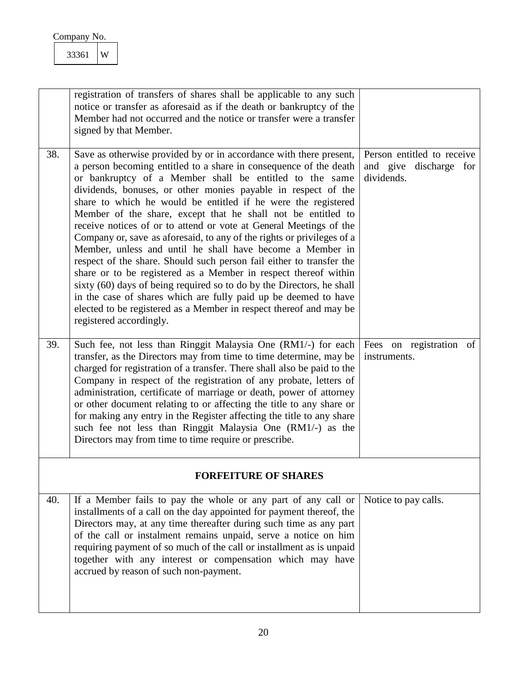<span id="page-20-3"></span><span id="page-20-2"></span><span id="page-20-1"></span><span id="page-20-0"></span>

|     | registration of transfers of shares shall be applicable to any such<br>notice or transfer as aforesaid as if the death or bankruptcy of the<br>Member had not occurred and the notice or transfer were a transfer<br>signed by that Member.                                                                                                                                                                                                                                                                                                                                                                                                                                                                                                                                                                                                                                                                                                                                                               |                                                                    |
|-----|-----------------------------------------------------------------------------------------------------------------------------------------------------------------------------------------------------------------------------------------------------------------------------------------------------------------------------------------------------------------------------------------------------------------------------------------------------------------------------------------------------------------------------------------------------------------------------------------------------------------------------------------------------------------------------------------------------------------------------------------------------------------------------------------------------------------------------------------------------------------------------------------------------------------------------------------------------------------------------------------------------------|--------------------------------------------------------------------|
| 38. | Save as otherwise provided by or in accordance with there present,<br>a person becoming entitled to a share in consequence of the death<br>or bankruptcy of a Member shall be entitled to the same<br>dividends, bonuses, or other monies payable in respect of the<br>share to which he would be entitled if he were the registered<br>Member of the share, except that he shall not be entitled to<br>receive notices of or to attend or vote at General Meetings of the<br>Company or, save as aforesaid, to any of the rights or privileges of a<br>Member, unless and until he shall have become a Member in<br>respect of the share. Should such person fail either to transfer the<br>share or to be registered as a Member in respect thereof within<br>sixty (60) days of being required so to do by the Directors, he shall<br>in the case of shares which are fully paid up be deemed to have<br>elected to be registered as a Member in respect thereof and may be<br>registered accordingly. | Person entitled to receive<br>and give discharge for<br>dividends. |
| 39. | Such fee, not less than Ringgit Malaysia One (RM1/-) for each<br>transfer, as the Directors may from time to time determine, may be<br>charged for registration of a transfer. There shall also be paid to the<br>Company in respect of the registration of any probate, letters of<br>administration, certificate of marriage or death, power of attorney<br>or other document relating to or affecting the title to any share or<br>for making any entry in the Register affecting the title to any share<br>such fee not less than Ringgit Malaysia One (RM1/-) as the<br>Directors may from time to time require or prescribe.                                                                                                                                                                                                                                                                                                                                                                        | Fees on registration of<br>instruments.                            |
|     | <b>FORFEITURE OF SHARES</b>                                                                                                                                                                                                                                                                                                                                                                                                                                                                                                                                                                                                                                                                                                                                                                                                                                                                                                                                                                               |                                                                    |
| 40. | If a Member fails to pay the whole or any part of any call or<br>installments of a call on the day appointed for payment thereof, the<br>Directors may, at any time thereafter during such time as any part<br>of the call or instalment remains unpaid, serve a notice on him<br>requiring payment of so much of the call or installment as is unpaid<br>together with any interest or compensation which may have<br>accrued by reason of such non-payment.                                                                                                                                                                                                                                                                                                                                                                                                                                                                                                                                             | Notice to pay calls.                                               |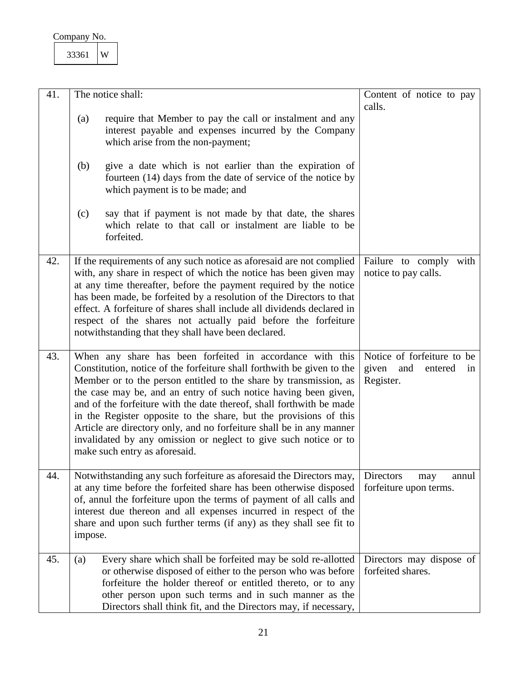<span id="page-21-4"></span><span id="page-21-3"></span><span id="page-21-2"></span><span id="page-21-1"></span><span id="page-21-0"></span>

| 41. | The notice shall:                                                                                                                                                                                                                                                                                                                                                                                                                                                                                                                                                                                     | Content of notice to pay                                                 |
|-----|-------------------------------------------------------------------------------------------------------------------------------------------------------------------------------------------------------------------------------------------------------------------------------------------------------------------------------------------------------------------------------------------------------------------------------------------------------------------------------------------------------------------------------------------------------------------------------------------------------|--------------------------------------------------------------------------|
|     | require that Member to pay the call or instalment and any<br>(a)<br>interest payable and expenses incurred by the Company<br>which arise from the non-payment;                                                                                                                                                                                                                                                                                                                                                                                                                                        | calls.                                                                   |
|     | (b)<br>give a date which is not earlier than the expiration of<br>fourteen (14) days from the date of service of the notice by<br>which payment is to be made; and                                                                                                                                                                                                                                                                                                                                                                                                                                    |                                                                          |
|     | say that if payment is not made by that date, the shares<br>(c)<br>which relate to that call or instalment are liable to be<br>forfeited.                                                                                                                                                                                                                                                                                                                                                                                                                                                             |                                                                          |
| 42. | If the requirements of any such notice as aforesaid are not complied<br>with, any share in respect of which the notice has been given may<br>at any time thereafter, before the payment required by the notice<br>has been made, be forfeited by a resolution of the Directors to that<br>effect. A forfeiture of shares shall include all dividends declared in<br>respect of the shares not actually paid before the forfeiture<br>notwithstanding that they shall have been declared.                                                                                                              | Failure to comply with<br>notice to pay calls.                           |
| 43. | When any share has been forfeited in accordance with this<br>Constitution, notice of the forfeiture shall forthwith be given to the<br>Member or to the person entitled to the share by transmission, as<br>the case may be, and an entry of such notice having been given,<br>and of the forfeiture with the date thereof, shall forthwith be made<br>in the Register opposite to the share, but the provisions of this<br>Article are directory only, and no forfeiture shall be in any manner<br>invalidated by any omission or neglect to give such notice or to<br>make such entry as aforesaid. | Notice of forfeiture to be<br>given<br>and<br>entered<br>in<br>Register. |
| 44. | Notwithstanding any such forfeiture as aforesaid the Directors may,<br>at any time before the forfeited share has been otherwise disposed<br>of, annul the forfeiture upon the terms of payment of all calls and<br>interest due thereon and all expenses incurred in respect of the<br>share and upon such further terms (if any) as they shall see fit to<br>impose.                                                                                                                                                                                                                                | Directors<br>annul<br>may<br>forfeiture upon terms.                      |
| 45. | Every share which shall be forfeited may be sold re-allotted<br>(a)<br>or otherwise disposed of either to the person who was before<br>forfeiture the holder thereof or entitled thereto, or to any<br>other person upon such terms and in such manner as the<br>Directors shall think fit, and the Directors may, if necessary,                                                                                                                                                                                                                                                                      | Directors may dispose of<br>forfeited shares.                            |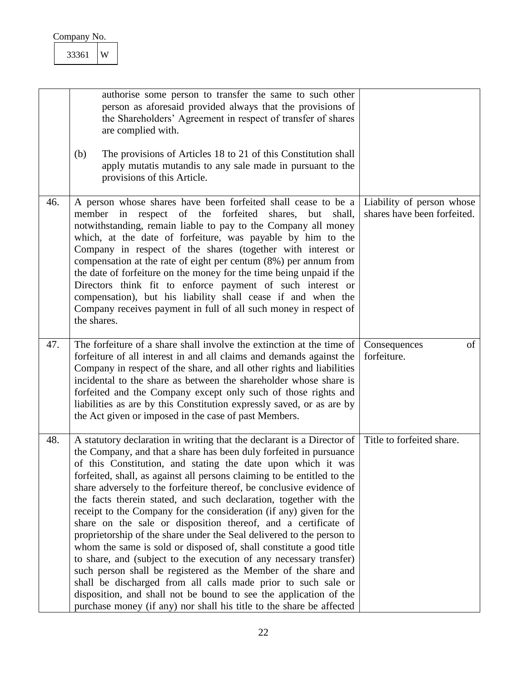<span id="page-22-2"></span><span id="page-22-1"></span><span id="page-22-0"></span>

|     | authorise some person to transfer the same to such other<br>person as aforesaid provided always that the provisions of<br>the Shareholders' Agreement in respect of transfer of shares<br>are complied with.<br>(b)<br>The provisions of Articles 18 to 21 of this Constitution shall<br>apply mutatis mutandis to any sale made in pursuant to the<br>provisions of this Article.                                                                                                                                                                                                                                                                                                                                                                                                                                                                                                                                                                                                                                                                                                  |                                                          |
|-----|-------------------------------------------------------------------------------------------------------------------------------------------------------------------------------------------------------------------------------------------------------------------------------------------------------------------------------------------------------------------------------------------------------------------------------------------------------------------------------------------------------------------------------------------------------------------------------------------------------------------------------------------------------------------------------------------------------------------------------------------------------------------------------------------------------------------------------------------------------------------------------------------------------------------------------------------------------------------------------------------------------------------------------------------------------------------------------------|----------------------------------------------------------|
| 46. | A person whose shares have been forfeited shall cease to be a<br>respect of the forfeited<br>shares,<br>member<br>but<br>shall,<br>in<br>notwithstanding, remain liable to pay to the Company all money<br>which, at the date of forfeiture, was payable by him to the<br>Company in respect of the shares (together with interest or<br>compensation at the rate of eight per centum $(8%)$ per annum from<br>the date of forfeiture on the money for the time being unpaid if the<br>Directors think fit to enforce payment of such interest or<br>compensation), but his liability shall cease if and when the<br>Company receives payment in full of all such money in respect of<br>the shares.                                                                                                                                                                                                                                                                                                                                                                                | Liability of person whose<br>shares have been forfeited. |
| 47. | The forfeiture of a share shall involve the extinction at the time of<br>forfeiture of all interest in and all claims and demands against the<br>Company in respect of the share, and all other rights and liabilities<br>incidental to the share as between the shareholder whose share is<br>forfeited and the Company except only such of those rights and<br>liabilities as are by this Constitution expressly saved, or as are by<br>the Act given or imposed in the case of past Members.                                                                                                                                                                                                                                                                                                                                                                                                                                                                                                                                                                                     | of<br>Consequences<br>forfeiture.                        |
| 48. | A statutory declaration in writing that the declarant is a Director of<br>the Company, and that a share has been duly forfeited in pursuance<br>of this Constitution, and stating the date upon which it was<br>forfeited, shall, as against all persons claiming to be entitled to the<br>share adversely to the forfeiture thereof, be conclusive evidence of<br>the facts therein stated, and such declaration, together with the<br>receipt to the Company for the consideration (if any) given for the<br>share on the sale or disposition thereof, and a certificate of<br>proprietorship of the share under the Seal delivered to the person to<br>whom the same is sold or disposed of, shall constitute a good title<br>to share, and (subject to the execution of any necessary transfer)<br>such person shall be registered as the Member of the share and<br>shall be discharged from all calls made prior to such sale or<br>disposition, and shall not be bound to see the application of the<br>purchase money (if any) nor shall his title to the share be affected | Title to forfeited share.                                |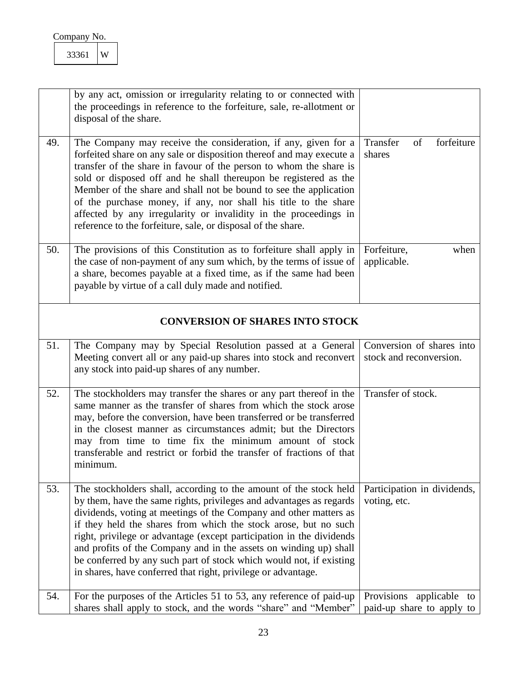<span id="page-23-6"></span><span id="page-23-5"></span><span id="page-23-4"></span><span id="page-23-3"></span><span id="page-23-2"></span><span id="page-23-1"></span><span id="page-23-0"></span>

|     | W<br>33361                                                                                                                                                                                                                                                                                                                                                                                                                                                                                                                                                            |                                                       |  |
|-----|-----------------------------------------------------------------------------------------------------------------------------------------------------------------------------------------------------------------------------------------------------------------------------------------------------------------------------------------------------------------------------------------------------------------------------------------------------------------------------------------------------------------------------------------------------------------------|-------------------------------------------------------|--|
|     | by any act, omission or irregularity relating to or connected with<br>the proceedings in reference to the forfeiture, sale, re-allotment or<br>disposal of the share.                                                                                                                                                                                                                                                                                                                                                                                                 |                                                       |  |
| 49. | The Company may receive the consideration, if any, given for a<br>forfeited share on any sale or disposition thereof and may execute a<br>transfer of the share in favour of the person to whom the share is<br>sold or disposed off and he shall thereupon be registered as the<br>Member of the share and shall not be bound to see the application<br>of the purchase money, if any, nor shall his title to the share<br>affected by any irregularity or invalidity in the proceedings in<br>reference to the forfeiture, sale, or disposal of the share.          | Transfer<br>forfeiture<br>of<br>shares                |  |
| 50. | The provisions of this Constitution as to forfeiture shall apply in<br>the case of non-payment of any sum which, by the terms of issue of<br>a share, becomes payable at a fixed time, as if the same had been<br>payable by virtue of a call duly made and notified.                                                                                                                                                                                                                                                                                                 | Forfeiture,<br>when<br>applicable.                    |  |
|     | <b>CONVERSION OF SHARES INTO STOCK</b>                                                                                                                                                                                                                                                                                                                                                                                                                                                                                                                                |                                                       |  |
| 51. | The Company may by Special Resolution passed at a General<br>Meeting convert all or any paid-up shares into stock and reconvert<br>any stock into paid-up shares of any number.                                                                                                                                                                                                                                                                                                                                                                                       | Conversion of shares into<br>stock and reconversion.  |  |
| 52. | The stockholders may transfer the shares or any part thereof in the<br>same manner as the transfer of shares from which the stock arose<br>may, before the conversion, have been transferred or be transferred<br>in the closest manner as circumstances admit; but the Directors<br>may from time to time fix the minimum amount of stock<br>transferable and restrict or forbid the transfer of fractions of that<br>minimum.                                                                                                                                       | Transfer of stock.                                    |  |
| 53. | The stockholders shall, according to the amount of the stock held<br>by them, have the same rights, privileges and advantages as regards<br>dividends, voting at meetings of the Company and other matters as<br>if they held the shares from which the stock arose, but no such<br>right, privilege or advantage (except participation in the dividends<br>and profits of the Company and in the assets on winding up) shall<br>be conferred by any such part of stock which would not, if existing<br>in shares, have conferred that right, privilege or advantage. | Participation in dividends,<br>voting, etc.           |  |
| 54. | For the purposes of the Articles 51 to 53, any reference of paid-up<br>shares shall apply to stock, and the words "share" and "Member"                                                                                                                                                                                                                                                                                                                                                                                                                                | Provisions applicable to<br>paid-up share to apply to |  |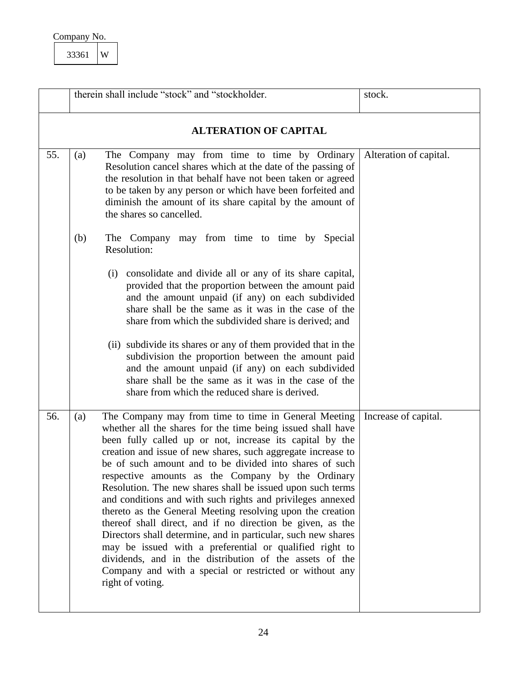| Company No. |  |
|-------------|--|
| 3361        |  |

<span id="page-24-2"></span><span id="page-24-1"></span><span id="page-24-0"></span>

|     |     | therein shall include "stock" and "stockholder.                                                                                                                                                                                                                                                                                                                                                                                                                                                                                                                                                                                                                                                                                                                                                                                                                                               | stock.                 |
|-----|-----|-----------------------------------------------------------------------------------------------------------------------------------------------------------------------------------------------------------------------------------------------------------------------------------------------------------------------------------------------------------------------------------------------------------------------------------------------------------------------------------------------------------------------------------------------------------------------------------------------------------------------------------------------------------------------------------------------------------------------------------------------------------------------------------------------------------------------------------------------------------------------------------------------|------------------------|
|     |     | <b>ALTERATION OF CAPITAL</b>                                                                                                                                                                                                                                                                                                                                                                                                                                                                                                                                                                                                                                                                                                                                                                                                                                                                  |                        |
| 55. | (a) | The Company may from time to time by Ordinary<br>Resolution cancel shares which at the date of the passing of<br>the resolution in that behalf have not been taken or agreed<br>to be taken by any person or which have been forfeited and<br>diminish the amount of its share capital by the amount of<br>the shares so cancelled.                                                                                                                                                                                                                                                                                                                                                                                                                                                                                                                                                           | Alteration of capital. |
|     | (b) | The Company may from time to time by Special<br>Resolution:                                                                                                                                                                                                                                                                                                                                                                                                                                                                                                                                                                                                                                                                                                                                                                                                                                   |                        |
|     |     | (i) consolidate and divide all or any of its share capital,<br>provided that the proportion between the amount paid<br>and the amount unpaid (if any) on each subdivided<br>share shall be the same as it was in the case of the<br>share from which the subdivided share is derived; and                                                                                                                                                                                                                                                                                                                                                                                                                                                                                                                                                                                                     |                        |
|     |     | (ii) subdivide its shares or any of them provided that in the<br>subdivision the proportion between the amount paid<br>and the amount unpaid (if any) on each subdivided<br>share shall be the same as it was in the case of the<br>share from which the reduced share is derived.                                                                                                                                                                                                                                                                                                                                                                                                                                                                                                                                                                                                            |                        |
| 56. | (a) | The Company may from time to time in General Meeting<br>whether all the shares for the time being issued shall have<br>been fully called up or not, increase its capital by the<br>creation and issue of new shares, such aggregate increase to<br>be of such amount and to be divided into shares of such<br>respective amounts as the Company by the Ordinary<br>Resolution. The new shares shall be issued upon such terms<br>and conditions and with such rights and privileges annexed<br>thereto as the General Meeting resolving upon the creation<br>thereof shall direct, and if no direction be given, as the<br>Directors shall determine, and in particular, such new shares<br>may be issued with a preferential or qualified right to<br>dividends, and in the distribution of the assets of the<br>Company and with a special or restricted or without any<br>right of voting. | Increase of capital.   |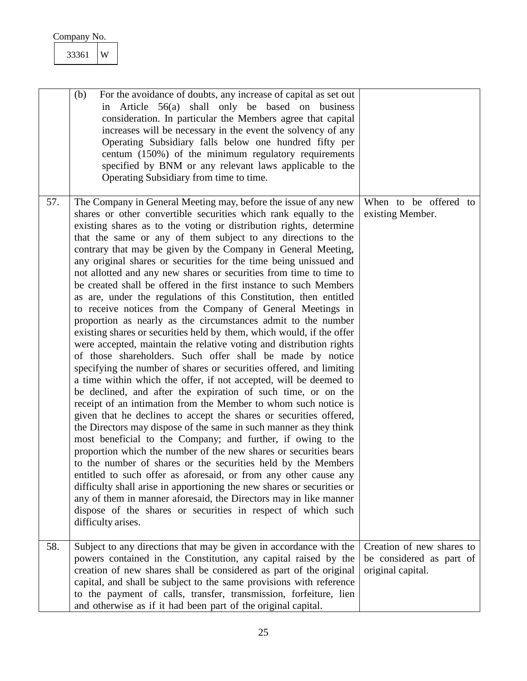<span id="page-25-0"></span>

| 33361 | W |
|-------|---|
|       |   |

<span id="page-25-1"></span>

|     | For the avoidance of doubts, any increase of capital as set out<br>(b)<br>in Article 56(a) shall only be based on business<br>consideration. In particular the Members agree that capital<br>increases will be necessary in the event the solvency of any<br>Operating Subsidiary falls below one hundred fifty per<br>centum (150%) of the minimum regulatory requirements<br>specified by BNM or any relevant laws applicable to the<br>Operating Subsidiary from time to time.                                                                                                                                                                                                                                                                                                                                                                                                                                                                                                                                                                                                                                                                                                                                                                                                                                                                                                                                                                                                                                                                                                                                                                                                                                                                                                                                                                                                                                       |                                                                            |
|-----|-------------------------------------------------------------------------------------------------------------------------------------------------------------------------------------------------------------------------------------------------------------------------------------------------------------------------------------------------------------------------------------------------------------------------------------------------------------------------------------------------------------------------------------------------------------------------------------------------------------------------------------------------------------------------------------------------------------------------------------------------------------------------------------------------------------------------------------------------------------------------------------------------------------------------------------------------------------------------------------------------------------------------------------------------------------------------------------------------------------------------------------------------------------------------------------------------------------------------------------------------------------------------------------------------------------------------------------------------------------------------------------------------------------------------------------------------------------------------------------------------------------------------------------------------------------------------------------------------------------------------------------------------------------------------------------------------------------------------------------------------------------------------------------------------------------------------------------------------------------------------------------------------------------------------|----------------------------------------------------------------------------|
| 57. | The Company in General Meeting may, before the issue of any new<br>shares or other convertible securities which rank equally to the<br>existing shares as to the voting or distribution rights, determine<br>that the same or any of them subject to any directions to the<br>contrary that may be given by the Company in General Meeting,<br>any original shares or securities for the time being unissued and<br>not allotted and any new shares or securities from time to time to<br>be created shall be offered in the first instance to such Members<br>as are, under the regulations of this Constitution, then entitled<br>to receive notices from the Company of General Meetings in<br>proportion as nearly as the circumstances admit to the number<br>existing shares or securities held by them, which would, if the offer<br>were accepted, maintain the relative voting and distribution rights<br>of those shareholders. Such offer shall be made by notice<br>specifying the number of shares or securities offered, and limiting<br>a time within which the offer, if not accepted, will be deemed to<br>be declined, and after the expiration of such time, or on the<br>receipt of an intimation from the Member to whom such notice is<br>given that he declines to accept the shares or securities offered,<br>the Directors may dispose of the same in such manner as they think<br>most beneficial to the Company; and further, if owing to the<br>proportion which the number of the new shares or securities bears<br>to the number of shares or the securities held by the Members<br>entitled to such offer as aforesaid, or from any other cause any<br>difficulty shall arise in apportioning the new shares or securities or<br>any of them in manner aforesaid, the Directors may in like manner<br>dispose of the shares or securities in respect of which such<br>difficulty arises. | When to be offered to<br>existing Member.                                  |
| 58. | Subject to any directions that may be given in accordance with the<br>powers contained in the Constitution, any capital raised by the<br>creation of new shares shall be considered as part of the original<br>capital, and shall be subject to the same provisions with reference<br>to the payment of calls, transfer, transmission, forfeiture, lien<br>and otherwise as if it had been part of the original capital.                                                                                                                                                                                                                                                                                                                                                                                                                                                                                                                                                                                                                                                                                                                                                                                                                                                                                                                                                                                                                                                                                                                                                                                                                                                                                                                                                                                                                                                                                                | Creation of new shares to<br>be considered as part of<br>original capital. |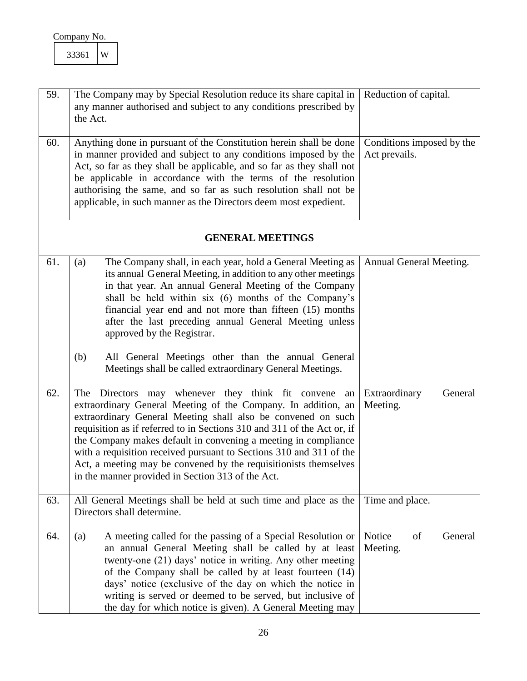<span id="page-26-1"></span><span id="page-26-0"></span>

| Company No. |  |
|-------------|--|
|-------------|--|

<span id="page-26-6"></span><span id="page-26-5"></span><span id="page-26-4"></span><span id="page-26-3"></span><span id="page-26-2"></span>

| 59. | The Company may by Special Resolution reduce its share capital in<br>any manner authorised and subject to any conditions prescribed by<br>the Act.                                                                                                                                                                                                                                                                                                                                                                                    | Reduction of capital.                      |
|-----|---------------------------------------------------------------------------------------------------------------------------------------------------------------------------------------------------------------------------------------------------------------------------------------------------------------------------------------------------------------------------------------------------------------------------------------------------------------------------------------------------------------------------------------|--------------------------------------------|
| 60. | Anything done in pursuant of the Constitution herein shall be done<br>in manner provided and subject to any conditions imposed by the<br>Act, so far as they shall be applicable, and so far as they shall not<br>be applicable in accordance with the terms of the resolution<br>authorising the same, and so far as such resolution shall not be<br>applicable, in such manner as the Directors deem most expedient.                                                                                                                | Conditions imposed by the<br>Act prevails. |
|     | <b>GENERAL MEETINGS</b>                                                                                                                                                                                                                                                                                                                                                                                                                                                                                                               |                                            |
| 61. | The Company shall, in each year, hold a General Meeting as<br>(a)<br>its annual General Meeting, in addition to any other meetings<br>in that year. An annual General Meeting of the Company<br>shall be held within six (6) months of the Company's<br>financial year end and not more than fifteen (15) months<br>after the last preceding annual General Meeting unless<br>approved by the Registrar.                                                                                                                              | Annual General Meeting.                    |
|     | All General Meetings other than the annual General<br>(b)<br>Meetings shall be called extraordinary General Meetings.                                                                                                                                                                                                                                                                                                                                                                                                                 |                                            |
| 62. | The Directors may whenever they think fit convene<br>an<br>extraordinary General Meeting of the Company. In addition, an<br>extraordinary General Meeting shall also be convened on such<br>requisition as if referred to in Sections 310 and 311 of the Act or, if<br>the Company makes default in convening a meeting in compliance<br>with a requisition received pursuant to Sections 310 and 311 of the<br>Act, a meeting may be convened by the requisitionists themselves<br>in the manner provided in Section 313 of the Act. | Extraordinary<br>General<br>Meeting.       |
| 63. | All General Meetings shall be held at such time and place as the<br>Directors shall determine.                                                                                                                                                                                                                                                                                                                                                                                                                                        | Time and place.                            |
| 64. | A meeting called for the passing of a Special Resolution or<br>(a)<br>an annual General Meeting shall be called by at least<br>twenty-one (21) days' notice in writing. Any other meeting<br>of the Company shall be called by at least fourteen (14)<br>days' notice (exclusive of the day on which the notice in<br>writing is served or deemed to be served, but inclusive of<br>the day for which notice is given). A General Meeting may                                                                                         | Notice<br>of<br>General<br>Meeting.        |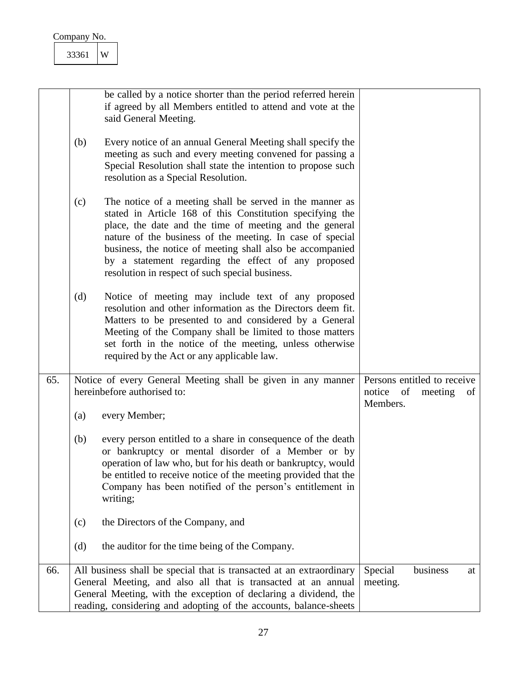|     | W<br>33361                                                                                                                                                                                                                                                                                                                                                                                                                  |                                                                          |
|-----|-----------------------------------------------------------------------------------------------------------------------------------------------------------------------------------------------------------------------------------------------------------------------------------------------------------------------------------------------------------------------------------------------------------------------------|--------------------------------------------------------------------------|
|     | be called by a notice shorter than the period referred herein<br>if agreed by all Members entitled to attend and vote at the<br>said General Meeting.                                                                                                                                                                                                                                                                       |                                                                          |
|     | Every notice of an annual General Meeting shall specify the<br>(b)<br>meeting as such and every meeting convened for passing a<br>Special Resolution shall state the intention to propose such<br>resolution as a Special Resolution.                                                                                                                                                                                       |                                                                          |
|     | (c)<br>The notice of a meeting shall be served in the manner as<br>stated in Article 168 of this Constitution specifying the<br>place, the date and the time of meeting and the general<br>nature of the business of the meeting. In case of special<br>business, the notice of meeting shall also be accompanied<br>by a statement regarding the effect of any proposed<br>resolution in respect of such special business. |                                                                          |
|     | Notice of meeting may include text of any proposed<br>(d)<br>resolution and other information as the Directors deem fit.<br>Matters to be presented to and considered by a General<br>Meeting of the Company shall be limited to those matters<br>set forth in the notice of the meeting, unless otherwise<br>required by the Act or any applicable law.                                                                    |                                                                          |
| 65. | Notice of every General Meeting shall be given in any manner<br>hereinbefore authorised to:                                                                                                                                                                                                                                                                                                                                 | Persons entitled to receive<br>notice<br>of<br>meeting<br>of<br>Members. |
|     | every Member;<br>(a)                                                                                                                                                                                                                                                                                                                                                                                                        |                                                                          |
|     | (b)<br>every person entitled to a share in consequence of the death<br>or bankruptcy or mental disorder of a Member or by<br>operation of law who, but for his death or bankruptcy, would<br>be entitled to receive notice of the meeting provided that the<br>Company has been notified of the person's entitlement in<br>writing;                                                                                         |                                                                          |
|     | the Directors of the Company, and<br>(c)                                                                                                                                                                                                                                                                                                                                                                                    |                                                                          |
|     | the auditor for the time being of the Company.<br>(d)                                                                                                                                                                                                                                                                                                                                                                       |                                                                          |
| 66. | All business shall be special that is transacted at an extraordinary<br>General Meeting, and also all that is transacted at an annual<br>General Meeting, with the exception of declaring a dividend, the<br>reading, considering and adopting of the accounts, balance-sheets                                                                                                                                              | Special<br>business<br>at<br>meeting.                                    |

<span id="page-27-1"></span><span id="page-27-0"></span> $\overline{\phantom{a}}$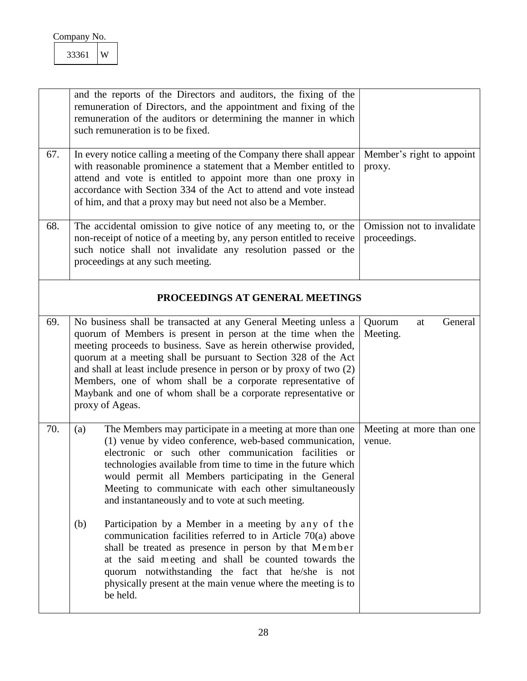<span id="page-28-4"></span><span id="page-28-3"></span><span id="page-28-2"></span><span id="page-28-1"></span><span id="page-28-0"></span>

|     | and the reports of the Directors and auditors, the fixing of the<br>remuneration of Directors, and the appointment and fixing of the<br>remuneration of the auditors or determining the manner in which<br>such remuneration is to be fixed.                                                                                                                                                                                                                                                      |                                            |
|-----|---------------------------------------------------------------------------------------------------------------------------------------------------------------------------------------------------------------------------------------------------------------------------------------------------------------------------------------------------------------------------------------------------------------------------------------------------------------------------------------------------|--------------------------------------------|
| 67. | In every notice calling a meeting of the Company there shall appear<br>with reasonable prominence a statement that a Member entitled to<br>attend and vote is entitled to appoint more than one proxy in<br>accordance with Section 334 of the Act to attend and vote instead<br>of him, and that a proxy may but need not also be a Member.                                                                                                                                                      | Member's right to appoint<br>proxy.        |
| 68. | The accidental omission to give notice of any meeting to, or the<br>non-receipt of notice of a meeting by, any person entitled to receive<br>such notice shall not invalidate any resolution passed or the<br>proceedings at any such meeting.                                                                                                                                                                                                                                                    | Omission not to invalidate<br>proceedings. |
|     | PROCEEDINGS AT GENERAL MEETINGS                                                                                                                                                                                                                                                                                                                                                                                                                                                                   |                                            |
| 69. | No business shall be transacted at any General Meeting unless a<br>quorum of Members is present in person at the time when the<br>meeting proceeds to business. Save as herein otherwise provided,<br>quorum at a meeting shall be pursuant to Section 328 of the Act<br>and shall at least include presence in person or by proxy of two (2)<br>Members, one of whom shall be a corporate representative of<br>Maybank and one of whom shall be a corporate representative or<br>proxy of Ageas. | Quorum<br>General<br>at<br>Meeting.        |
| 70. | The Members may participate in a meeting at more than one<br>(a)<br>(1) venue by video conference, web-based communication,<br>electronic or such other communication facilities or<br>technologies available from time to time in the future which<br>would permit all Members participating in the General<br>Meeting to communicate with each other simultaneously<br>and instantaneously and to vote at such meeting.                                                                         | Meeting at more than one<br>venue.         |
|     | Participation by a Member in a meeting by any of the<br>(b)<br>communication facilities referred to in Article $70(a)$ above<br>shall be treated as presence in person by that Member<br>at the said meeting and shall be counted towards the<br>quorum notwithstanding the fact that he/she is not<br>physically present at the main venue where the meeting is to<br>be held.                                                                                                                   |                                            |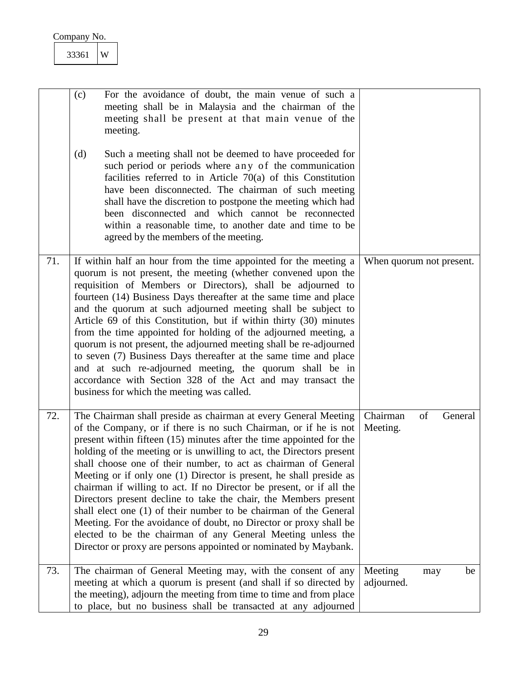<span id="page-29-2"></span><span id="page-29-1"></span><span id="page-29-0"></span>

|     | For the avoidance of doubt, the main venue of such a<br>(c)<br>meeting shall be in Malaysia and the chairman of the<br>meeting shall be present at that main venue of the<br>meeting.                                                                                                                                                                                                                                                                                                                                                                                                                                                                                                                                                                                                                                                                    |                                       |
|-----|----------------------------------------------------------------------------------------------------------------------------------------------------------------------------------------------------------------------------------------------------------------------------------------------------------------------------------------------------------------------------------------------------------------------------------------------------------------------------------------------------------------------------------------------------------------------------------------------------------------------------------------------------------------------------------------------------------------------------------------------------------------------------------------------------------------------------------------------------------|---------------------------------------|
|     | (d)<br>Such a meeting shall not be deemed to have proceeded for<br>such period or periods where any of the communication<br>facilities referred to in Article $70(a)$ of this Constitution<br>have been disconnected. The chairman of such meeting<br>shall have the discretion to postpone the meeting which had<br>been disconnected and which cannot be reconnected<br>within a reasonable time, to another date and time to be<br>agreed by the members of the meeting.                                                                                                                                                                                                                                                                                                                                                                              |                                       |
| 71. | If within half an hour from the time appointed for the meeting a<br>quorum is not present, the meeting (whether convened upon the<br>requisition of Members or Directors), shall be adjourned to<br>fourteen (14) Business Days thereafter at the same time and place<br>and the quorum at such adjourned meeting shall be subject to<br>Article 69 of this Constitution, but if within thirty (30) minutes<br>from the time appointed for holding of the adjourned meeting, a<br>quorum is not present, the adjourned meeting shall be re-adjourned<br>to seven (7) Business Days thereafter at the same time and place<br>and at such re-adjourned meeting, the quorum shall be in<br>accordance with Section 328 of the Act and may transact the<br>business for which the meeting was called.                                                        | When quorum not present.              |
| 72. | The Chairman shall preside as chairman at every General Meeting<br>of the Company, or if there is no such Chairman, or if he is not<br>present within fifteen (15) minutes after the time appointed for the<br>holding of the meeting or is unwilling to act, the Directors present<br>shall choose one of their number, to act as chairman of General<br>Meeting or if only one (1) Director is present, he shall preside as<br>chairman if willing to act. If no Director be present, or if all the<br>Directors present decline to take the chair, the Members present<br>shall elect one (1) of their number to be chairman of the General<br>Meeting. For the avoidance of doubt, no Director or proxy shall be<br>elected to be the chairman of any General Meeting unless the<br>Director or proxy are persons appointed or nominated by Maybank. | Chairman<br>of<br>General<br>Meeting. |
| 73. | The chairman of General Meeting may, with the consent of any<br>meeting at which a quorum is present (and shall if so directed by<br>the meeting), adjourn the meeting from time to time and from place<br>to place, but no business shall be transacted at any adjourned                                                                                                                                                                                                                                                                                                                                                                                                                                                                                                                                                                                | Meeting<br>be<br>may<br>adjourned.    |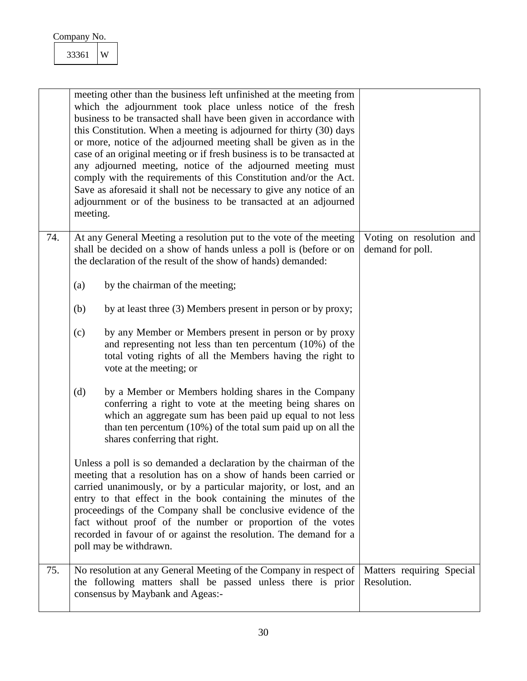<span id="page-30-1"></span><span id="page-30-0"></span>

|     | meeting other than the business left unfinished at the meeting from<br>which the adjournment took place unless notice of the fresh<br>business to be transacted shall have been given in accordance with<br>this Constitution. When a meeting is adjourned for thirty (30) days<br>or more, notice of the adjourned meeting shall be given as in the<br>case of an original meeting or if fresh business is to be transacted at<br>any adjourned meeting, notice of the adjourned meeting must<br>comply with the requirements of this Constitution and/or the Act.<br>Save as aforesaid it shall not be necessary to give any notice of an<br>adjournment or of the business to be transacted at an adjourned<br>meeting. |                                              |
|-----|----------------------------------------------------------------------------------------------------------------------------------------------------------------------------------------------------------------------------------------------------------------------------------------------------------------------------------------------------------------------------------------------------------------------------------------------------------------------------------------------------------------------------------------------------------------------------------------------------------------------------------------------------------------------------------------------------------------------------|----------------------------------------------|
| 74. | At any General Meeting a resolution put to the vote of the meeting<br>shall be decided on a show of hands unless a poll is (before or on<br>the declaration of the result of the show of hands) demanded:                                                                                                                                                                                                                                                                                                                                                                                                                                                                                                                  | Voting on resolution and<br>demand for poll. |
|     | by the chairman of the meeting;<br>(a)<br>by at least three (3) Members present in person or by proxy;<br>(b)                                                                                                                                                                                                                                                                                                                                                                                                                                                                                                                                                                                                              |                                              |
|     | (c)<br>by any Member or Members present in person or by proxy<br>and representing not less than ten percentum $(10\%)$ of the<br>total voting rights of all the Members having the right to<br>vote at the meeting; or                                                                                                                                                                                                                                                                                                                                                                                                                                                                                                     |                                              |
|     | (d)<br>by a Member or Members holding shares in the Company<br>conferring a right to vote at the meeting being shares on<br>which an aggregate sum has been paid up equal to not less<br>than ten percentum $(10\%)$ of the total sum paid up on all the<br>shares conferring that right.                                                                                                                                                                                                                                                                                                                                                                                                                                  |                                              |
|     | Unless a poll is so demanded a declaration by the chairman of the<br>meeting that a resolution has on a show of hands been carried or<br>carried unanimously, or by a particular majority, or lost, and an<br>entry to that effect in the book containing the minutes of the<br>proceedings of the Company shall be conclusive evidence of the<br>fact without proof of the number or proportion of the votes<br>recorded in favour of or against the resolution. The demand for a<br>poll may be withdrawn.                                                                                                                                                                                                               |                                              |
| 75. | No resolution at any General Meeting of the Company in respect of<br>the following matters shall be passed unless there is prior<br>consensus by Maybank and Ageas:-                                                                                                                                                                                                                                                                                                                                                                                                                                                                                                                                                       | Matters requiring Special<br>Resolution.     |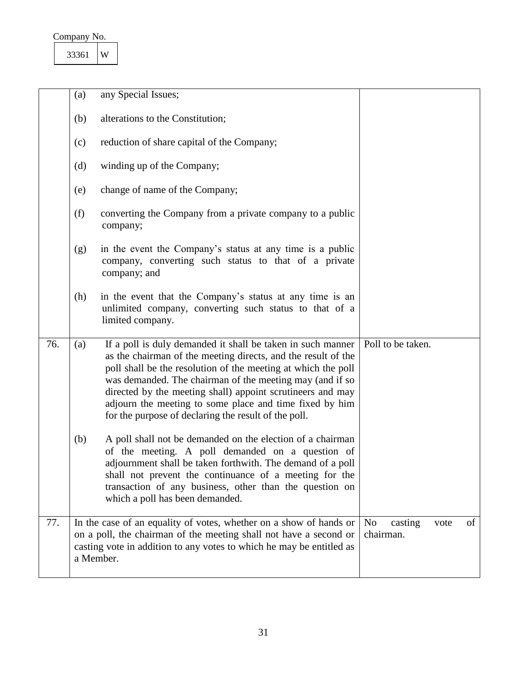| Company No. |  |
|-------------|--|
|             |  |

<span id="page-31-1"></span><span id="page-31-0"></span>

|     | (a)       | any Special Issues;                                                                                                                                                                                                                                                                                                                                                                                                                        |                                                      |
|-----|-----------|--------------------------------------------------------------------------------------------------------------------------------------------------------------------------------------------------------------------------------------------------------------------------------------------------------------------------------------------------------------------------------------------------------------------------------------------|------------------------------------------------------|
|     | (b)       | alterations to the Constitution;                                                                                                                                                                                                                                                                                                                                                                                                           |                                                      |
|     | (c)       | reduction of share capital of the Company;                                                                                                                                                                                                                                                                                                                                                                                                 |                                                      |
|     | (d)       | winding up of the Company;                                                                                                                                                                                                                                                                                                                                                                                                                 |                                                      |
|     | (e)       | change of name of the Company;                                                                                                                                                                                                                                                                                                                                                                                                             |                                                      |
|     | (f)       | converting the Company from a private company to a public<br>company;                                                                                                                                                                                                                                                                                                                                                                      |                                                      |
|     | (g)       | in the event the Company's status at any time is a public<br>company, converting such status to that of a private<br>company; and                                                                                                                                                                                                                                                                                                          |                                                      |
|     | (h)       | in the event that the Company's status at any time is an<br>unlimited company, converting such status to that of a<br>limited company.                                                                                                                                                                                                                                                                                                     |                                                      |
| 76. | (a)       | If a poll is duly demanded it shall be taken in such manner<br>as the chairman of the meeting directs, and the result of the<br>poll shall be the resolution of the meeting at which the poll<br>was demanded. The chairman of the meeting may (and if so<br>directed by the meeting shall) appoint scrutineers and may<br>adjourn the meeting to some place and time fixed by him<br>for the purpose of declaring the result of the poll. | Poll to be taken.                                    |
|     | (b)       | A poll shall not be demanded on the election of a chairman<br>of the meeting. A poll demanded on a question of<br>adjournment shall be taken forthwith. The demand of a poll<br>shall not prevent the continuance of a meeting for the<br>transaction of any business, other than the question on<br>which a poll has been demanded.                                                                                                       |                                                      |
| 77. | a Member. | In the case of an equality of votes, whether on a show of hands or<br>on a poll, the chairman of the meeting shall not have a second or<br>casting vote in addition to any votes to which he may be entitled as                                                                                                                                                                                                                            | N <sub>0</sub><br>of<br>casting<br>vote<br>chairman. |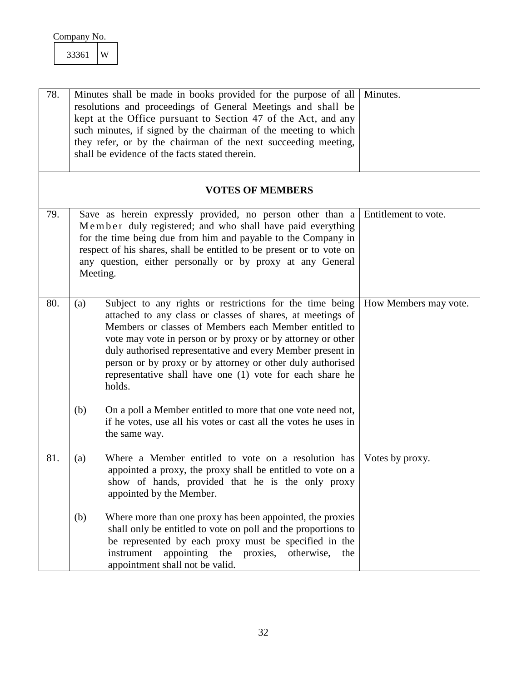<span id="page-32-4"></span><span id="page-32-3"></span><span id="page-32-2"></span><span id="page-32-1"></span><span id="page-32-0"></span>

| 78. | Minutes shall be made in books provided for the purpose of all<br>resolutions and proceedings of General Meetings and shall be<br>kept at the Office pursuant to Section 47 of the Act, and any<br>such minutes, if signed by the chairman of the meeting to which<br>they refer, or by the chairman of the next succeeding meeting,<br>shall be evidence of the facts stated therein.                                                                  | Minutes.              |
|-----|---------------------------------------------------------------------------------------------------------------------------------------------------------------------------------------------------------------------------------------------------------------------------------------------------------------------------------------------------------------------------------------------------------------------------------------------------------|-----------------------|
|     | <b>VOTES OF MEMBERS</b>                                                                                                                                                                                                                                                                                                                                                                                                                                 |                       |
| 79. | Save as herein expressly provided, no person other than a<br>Member duly registered; and who shall have paid everything<br>for the time being due from him and payable to the Company in<br>respect of his shares, shall be entitled to be present or to vote on<br>any question, either personally or by proxy at any General<br>Meeting.                                                                                                              | Entitlement to vote.  |
| 80. | Subject to any rights or restrictions for the time being<br>(a)<br>attached to any class or classes of shares, at meetings of<br>Members or classes of Members each Member entitled to<br>vote may vote in person or by proxy or by attorney or other<br>duly authorised representative and every Member present in<br>person or by proxy or by attorney or other duly authorised<br>representative shall have one (1) vote for each share he<br>holds. | How Members may vote. |
|     | (b)<br>On a poll a Member entitled to more that one vote need not,<br>if he votes, use all his votes or cast all the votes he uses in<br>the same way.                                                                                                                                                                                                                                                                                                  |                       |
| 81. | Where a Member entitled to vote on a resolution has<br>(a)<br>appointed a proxy, the proxy shall be entitled to vote on a<br>show of hands, provided that he is the only proxy<br>appointed by the Member.                                                                                                                                                                                                                                              | Votes by proxy.       |
|     | (b)<br>Where more than one proxy has been appointed, the proxies<br>shall only be entitled to vote on poll and the proportions to<br>be represented by each proxy must be specified in the<br>instrument<br>appointing the proxies, otherwise,<br>the<br>appointment shall not be valid.                                                                                                                                                                |                       |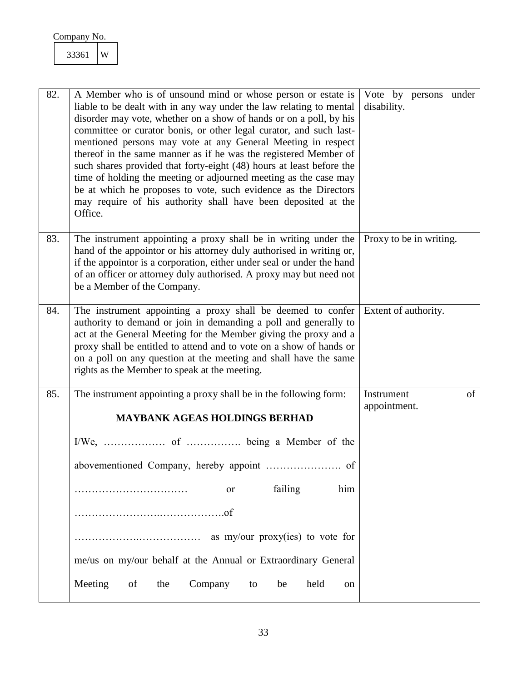<span id="page-33-3"></span><span id="page-33-2"></span><span id="page-33-1"></span><span id="page-33-0"></span>

| 82. | A Member who is of unsound mind or whose person or estate is<br>liable to be dealt with in any way under the law relating to mental<br>disorder may vote, whether on a show of hands or on a poll, by his<br>committee or curator bonis, or other legal curator, and such last-<br>mentioned persons may vote at any General Meeting in respect<br>thereof in the same manner as if he was the registered Member of<br>such shares provided that forty-eight (48) hours at least before the<br>time of holding the meeting or adjourned meeting as the case may<br>be at which he proposes to vote, such evidence as the Directors<br>may require of his authority shall have been deposited at the<br>Office. | Vote by persons under<br>disability. |
|-----|----------------------------------------------------------------------------------------------------------------------------------------------------------------------------------------------------------------------------------------------------------------------------------------------------------------------------------------------------------------------------------------------------------------------------------------------------------------------------------------------------------------------------------------------------------------------------------------------------------------------------------------------------------------------------------------------------------------|--------------------------------------|
| 83. | The instrument appointing a proxy shall be in writing under the<br>hand of the appointor or his attorney duly authorised in writing or,<br>if the appointor is a corporation, either under seal or under the hand<br>of an officer or attorney duly authorised. A proxy may but need not<br>be a Member of the Company.                                                                                                                                                                                                                                                                                                                                                                                        | Proxy to be in writing.              |
| 84. | The instrument appointing a proxy shall be deemed to confer<br>authority to demand or join in demanding a poll and generally to<br>act at the General Meeting for the Member giving the proxy and a<br>proxy shall be entitled to attend and to vote on a show of hands or<br>on a poll on any question at the meeting and shall have the same<br>rights as the Member to speak at the meeting.                                                                                                                                                                                                                                                                                                                | Extent of authority.                 |
| 85. | The instrument appointing a proxy shall be in the following form:<br><b>MAYBANK AGEAS HOLDINGS BERHAD</b>                                                                                                                                                                                                                                                                                                                                                                                                                                                                                                                                                                                                      | Instrument<br>of<br>appointment.     |
|     |                                                                                                                                                                                                                                                                                                                                                                                                                                                                                                                                                                                                                                                                                                                |                                      |
|     |                                                                                                                                                                                                                                                                                                                                                                                                                                                                                                                                                                                                                                                                                                                |                                      |
|     | failing<br>him<br>or<br>.                                                                                                                                                                                                                                                                                                                                                                                                                                                                                                                                                                                                                                                                                      |                                      |
|     |                                                                                                                                                                                                                                                                                                                                                                                                                                                                                                                                                                                                                                                                                                                |                                      |
|     |                                                                                                                                                                                                                                                                                                                                                                                                                                                                                                                                                                                                                                                                                                                |                                      |
|     | me/us on my/our behalf at the Annual or Extraordinary General                                                                                                                                                                                                                                                                                                                                                                                                                                                                                                                                                                                                                                                  |                                      |
|     | Meeting<br>Company<br>held<br>of<br>the<br>be<br>to<br><sub>on</sub>                                                                                                                                                                                                                                                                                                                                                                                                                                                                                                                                                                                                                                           |                                      |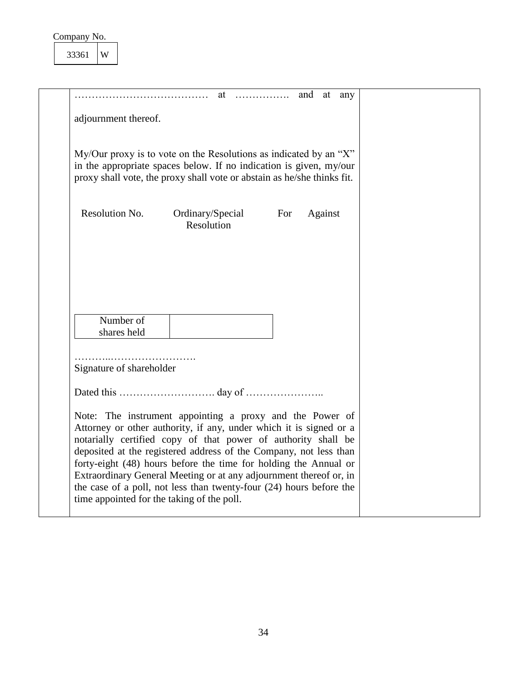| adjournment thereof.           |                          |         |                                                                                                                                                                                                                                                                                                                                                                                                                                                                                                                                                                                                                                      |
|--------------------------------|--------------------------|---------|--------------------------------------------------------------------------------------------------------------------------------------------------------------------------------------------------------------------------------------------------------------------------------------------------------------------------------------------------------------------------------------------------------------------------------------------------------------------------------------------------------------------------------------------------------------------------------------------------------------------------------------|
|                                |                          |         |                                                                                                                                                                                                                                                                                                                                                                                                                                                                                                                                                                                                                                      |
| Ordinary/Special<br>Resolution | For                      | Against |                                                                                                                                                                                                                                                                                                                                                                                                                                                                                                                                                                                                                                      |
|                                |                          |         |                                                                                                                                                                                                                                                                                                                                                                                                                                                                                                                                                                                                                                      |
|                                |                          |         |                                                                                                                                                                                                                                                                                                                                                                                                                                                                                                                                                                                                                                      |
|                                |                          |         |                                                                                                                                                                                                                                                                                                                                                                                                                                                                                                                                                                                                                                      |
|                                |                          |         |                                                                                                                                                                                                                                                                                                                                                                                                                                                                                                                                                                                                                                      |
|                                |                          |         |                                                                                                                                                                                                                                                                                                                                                                                                                                                                                                                                                                                                                                      |
|                                | Signature of shareholder |         | My/Our proxy is to vote on the Resolutions as indicated by an "X"<br>in the appropriate spaces below. If no indication is given, my/our<br>proxy shall vote, the proxy shall vote or abstain as he/she thinks fit.<br>Note: The instrument appointing a proxy and the Power of<br>Attorney or other authority, if any, under which it is signed or a<br>notarially certified copy of that power of authority shall be<br>deposited at the registered address of the Company, not less than<br>forty-eight (48) hours before the time for holding the Annual or<br>Extraordinary General Meeting or at any adjournment thereof or, in |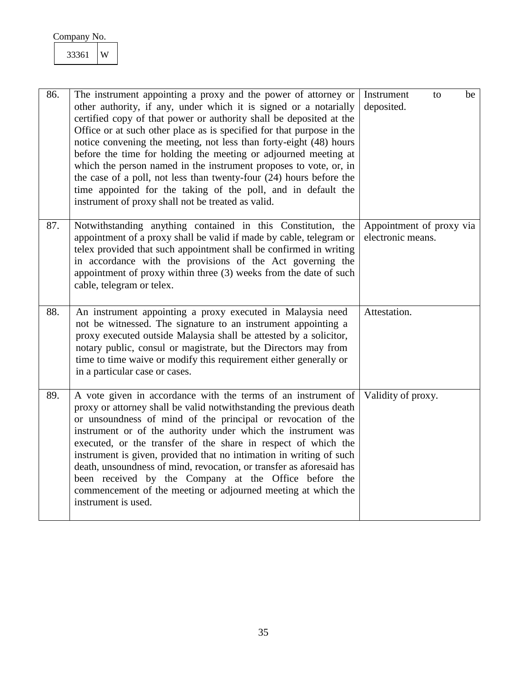<span id="page-35-3"></span><span id="page-35-2"></span><span id="page-35-1"></span><span id="page-35-0"></span>

| 86. | The instrument appointing a proxy and the power of attorney or<br>other authority, if any, under which it is signed or a notarially<br>certified copy of that power or authority shall be deposited at the<br>Office or at such other place as is specified for that purpose in the<br>notice convening the meeting, not less than forty-eight (48) hours<br>before the time for holding the meeting or adjourned meeting at<br>which the person named in the instrument proposes to vote, or, in<br>the case of a poll, not less than twenty-four (24) hours before the<br>time appointed for the taking of the poll, and in default the<br>instrument of proxy shall not be treated as valid. | Instrument<br>be<br>to<br>deposited.          |
|-----|-------------------------------------------------------------------------------------------------------------------------------------------------------------------------------------------------------------------------------------------------------------------------------------------------------------------------------------------------------------------------------------------------------------------------------------------------------------------------------------------------------------------------------------------------------------------------------------------------------------------------------------------------------------------------------------------------|-----------------------------------------------|
| 87. | Notwithstanding anything contained in this Constitution, the<br>appointment of a proxy shall be valid if made by cable, telegram or<br>telex provided that such appointment shall be confirmed in writing<br>in accordance with the provisions of the Act governing the<br>appointment of proxy within three (3) weeks from the date of such<br>cable, telegram or telex.                                                                                                                                                                                                                                                                                                                       | Appointment of proxy via<br>electronic means. |
| 88. | An instrument appointing a proxy executed in Malaysia need<br>not be witnessed. The signature to an instrument appointing a<br>proxy executed outside Malaysia shall be attested by a solicitor,<br>notary public, consul or magistrate, but the Directors may from<br>time to time waive or modify this requirement either generally or<br>in a particular case or cases.                                                                                                                                                                                                                                                                                                                      | Attestation.                                  |
| 89. | A vote given in accordance with the terms of an instrument of<br>proxy or attorney shall be valid notwithstanding the previous death<br>or unsoundness of mind of the principal or revocation of the<br>instrument or of the authority under which the instrument was<br>executed, or the transfer of the share in respect of which the<br>instrument is given, provided that no intimation in writing of such<br>death, unsoundness of mind, revocation, or transfer as aforesaid has<br>been received by the Company at the Office before the<br>commencement of the meeting or adjourned meeting at which the<br>instrument is used.                                                         | Validity of proxy.                            |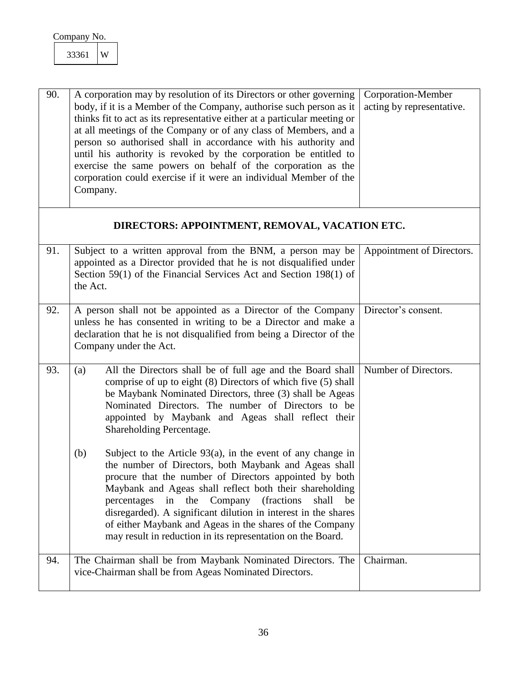<span id="page-36-5"></span><span id="page-36-4"></span><span id="page-36-3"></span><span id="page-36-2"></span><span id="page-36-1"></span><span id="page-36-0"></span>

| 90. | A corporation may by resolution of its Directors or other governing<br>body, if it is a Member of the Company, authorise such person as it<br>thinks fit to act as its representative either at a particular meeting or<br>at all meetings of the Company or of any class of Members, and a<br>person so authorised shall in accordance with his authority and<br>until his authority is revoked by the corporation be entitled to<br>exercise the same powers on behalf of the corporation as the<br>corporation could exercise if it were an individual Member of the<br>Company. | Corporation-Member<br>acting by representative. |
|-----|-------------------------------------------------------------------------------------------------------------------------------------------------------------------------------------------------------------------------------------------------------------------------------------------------------------------------------------------------------------------------------------------------------------------------------------------------------------------------------------------------------------------------------------------------------------------------------------|-------------------------------------------------|
|     | DIRECTORS: APPOINTMENT, REMOVAL, VACATION ETC.                                                                                                                                                                                                                                                                                                                                                                                                                                                                                                                                      |                                                 |
| 91. | Subject to a written approval from the BNM, a person may be<br>appointed as a Director provided that he is not disqualified under<br>Section 59(1) of the Financial Services Act and Section 198(1) of<br>the Act.                                                                                                                                                                                                                                                                                                                                                                  | Appointment of Directors.                       |
| 92. | A person shall not be appointed as a Director of the Company<br>unless he has consented in writing to be a Director and make a<br>declaration that he is not disqualified from being a Director of the<br>Company under the Act.                                                                                                                                                                                                                                                                                                                                                    | Director's consent.                             |
| 93. | All the Directors shall be of full age and the Board shall<br>(a)<br>comprise of up to eight (8) Directors of which five (5) shall<br>be Maybank Nominated Directors, three (3) shall be Ageas<br>Nominated Directors. The number of Directors to be<br>appointed by Maybank and Ageas shall reflect their<br>Shareholding Percentage.<br>Subject to the Article $93(a)$ , in the event of any change in<br>(b)                                                                                                                                                                     | Number of Directors.                            |
|     | the number of Directors, both Maybank and Ageas shall<br>procure that the number of Directors appointed by both<br>Maybank and Ageas shall reflect both their shareholding<br>in<br>the Company<br>(fractions)<br>percentages<br>shall<br>be<br>disregarded). A significant dilution in interest in the shares<br>of either Maybank and Ageas in the shares of the Company<br>may result in reduction in its representation on the Board.                                                                                                                                           |                                                 |
| 94. | The Chairman shall be from Maybank Nominated Directors. The<br>vice-Chairman shall be from Ageas Nominated Directors.                                                                                                                                                                                                                                                                                                                                                                                                                                                               | Chairman.                                       |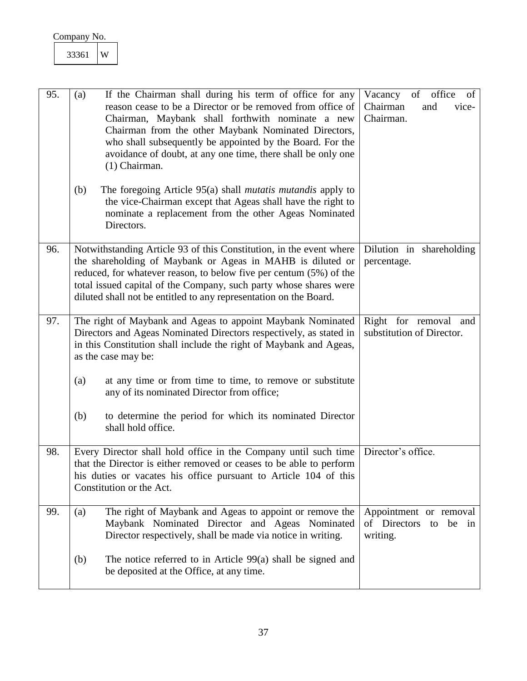<span id="page-37-1"></span><span id="page-37-0"></span>

| 33361 | W |
|-------|---|
|-------|---|

<span id="page-37-4"></span><span id="page-37-3"></span><span id="page-37-2"></span>

| 95. | If the Chairman shall during his term of office for any<br>(a)<br>reason cease to be a Director or be removed from office of<br>Chairman, Maybank shall forthwith nominate a new<br>Chairman from the other Maybank Nominated Directors,<br>who shall subsequently be appointed by the Board. For the<br>avoidance of doubt, at any one time, there shall be only one<br>(1) Chairman. | of office<br>Vacancy<br>of<br>Chairman<br>and<br>vice-<br>Chairman. |
|-----|----------------------------------------------------------------------------------------------------------------------------------------------------------------------------------------------------------------------------------------------------------------------------------------------------------------------------------------------------------------------------------------|---------------------------------------------------------------------|
|     | (b)<br>The foregoing Article 95(a) shall <i>mutatis mutandis</i> apply to<br>the vice-Chairman except that Ageas shall have the right to<br>nominate a replacement from the other Ageas Nominated<br>Directors.                                                                                                                                                                        |                                                                     |
| 96. | Notwithstanding Article 93 of this Constitution, in the event where<br>the shareholding of Maybank or Ageas in MAHB is diluted or<br>reduced, for whatever reason, to below five per centum (5%) of the<br>total issued capital of the Company, such party whose shares were<br>diluted shall not be entitled to any representation on the Board.                                      | Dilution in shareholding<br>percentage.                             |
| 97. | The right of Maybank and Ageas to appoint Maybank Nominated<br>Directors and Ageas Nominated Directors respectively, as stated in<br>in this Constitution shall include the right of Maybank and Ageas,<br>as the case may be:                                                                                                                                                         | Right for removal<br>and<br>substitution of Director.               |
|     | at any time or from time to time, to remove or substitute<br>(a)<br>any of its nominated Director from office;                                                                                                                                                                                                                                                                         |                                                                     |
|     | to determine the period for which its nominated Director<br>(b)<br>shall hold office.                                                                                                                                                                                                                                                                                                  |                                                                     |
| 98. | Every Director shall hold office in the Company until such time<br>that the Director is either removed or ceases to be able to perform<br>his duties or vacates his office pursuant to Article 104 of this<br>Constitution or the Act.                                                                                                                                                 | Director's office.                                                  |
| 99. | The right of Maybank and Ageas to appoint or remove the<br>(a)<br>Maybank Nominated Director and Ageas Nominated<br>Director respectively, shall be made via notice in writing.                                                                                                                                                                                                        | Appointment or removal<br>of Directors to be in<br>writing.         |
|     | The notice referred to in Article 99(a) shall be signed and<br>(b)<br>be deposited at the Office, at any time.                                                                                                                                                                                                                                                                         |                                                                     |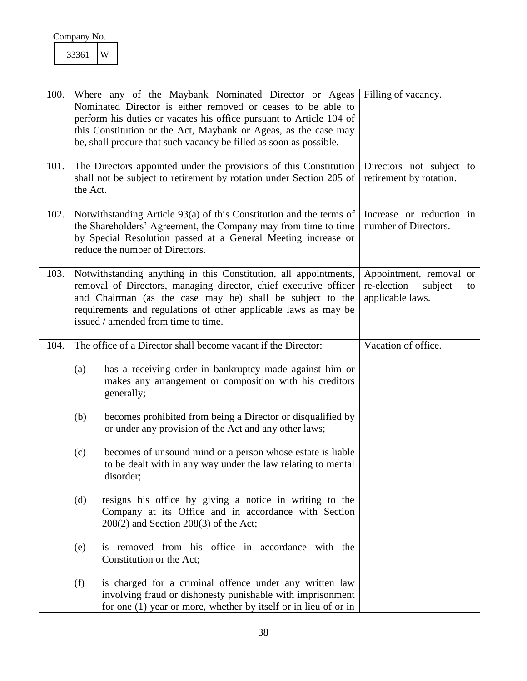<span id="page-38-4"></span><span id="page-38-3"></span><span id="page-38-2"></span><span id="page-38-1"></span><span id="page-38-0"></span>

| 100. | Where any of the Maybank Nominated Director or Ageas<br>Nominated Director is either removed or ceases to be able to<br>perform his duties or vacates his office pursuant to Article 104 of<br>this Constitution or the Act, Maybank or Ageas, as the case may<br>be, shall procure that such vacancy be filled as soon as possible. | Filling of vacancy.                                                         |
|------|--------------------------------------------------------------------------------------------------------------------------------------------------------------------------------------------------------------------------------------------------------------------------------------------------------------------------------------|-----------------------------------------------------------------------------|
| 101. | The Directors appointed under the provisions of this Constitution<br>shall not be subject to retirement by rotation under Section 205 of<br>the Act.                                                                                                                                                                                 | Directors not subject to<br>retirement by rotation.                         |
| 102. | Notwithstanding Article 93(a) of this Constitution and the terms of<br>the Shareholders' Agreement, the Company may from time to time<br>by Special Resolution passed at a General Meeting increase or<br>reduce the number of Directors.                                                                                            | Increase or reduction in<br>number of Directors.                            |
| 103. | Notwithstanding anything in this Constitution, all appointments,<br>removal of Directors, managing director, chief executive officer<br>and Chairman (as the case may be) shall be subject to the<br>requirements and regulations of other applicable laws as may be<br>issued / amended from time to time.                          | Appointment, removal or<br>re-election<br>subject<br>to<br>applicable laws. |
| 104. | The office of a Director shall become vacant if the Director:                                                                                                                                                                                                                                                                        | Vacation of office.                                                         |
|      | has a receiving order in bankruptcy made against him or<br>(a)<br>makes any arrangement or composition with his creditors<br>generally;                                                                                                                                                                                              |                                                                             |
|      | becomes prohibited from being a Director or disqualified by<br>(b)<br>or under any provision of the Act and any other laws;                                                                                                                                                                                                          |                                                                             |
|      | becomes of unsound mind or a person whose estate is liable<br>(c)<br>to be dealt with in any way under the law relating to mental<br>disorder;                                                                                                                                                                                       |                                                                             |
|      | (d)<br>resigns his office by giving a notice in writing to the<br>Company at its Office and in accordance with Section<br>$208(2)$ and Section $208(3)$ of the Act;                                                                                                                                                                  |                                                                             |
|      | is removed from his office in accordance with the<br>(e)<br>Constitution or the Act;                                                                                                                                                                                                                                                 |                                                                             |
|      | (f)<br>is charged for a criminal offence under any written law<br>involving fraud or dishonesty punishable with imprisonment<br>for one (1) year or more, whether by itself or in lieu of or in                                                                                                                                      |                                                                             |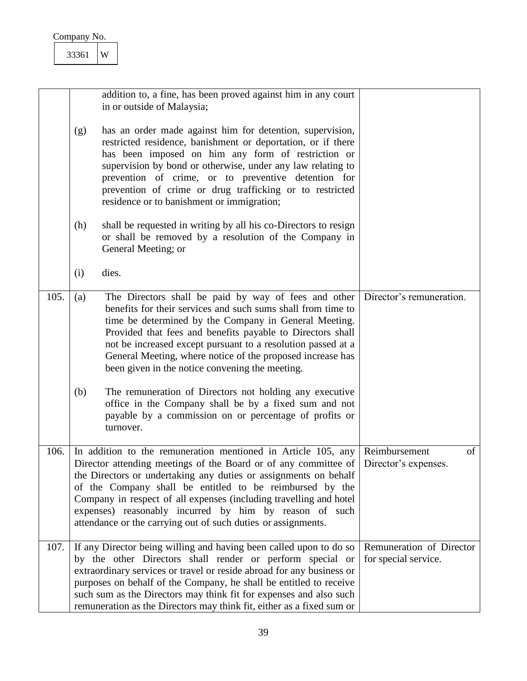<span id="page-39-2"></span><span id="page-39-1"></span><span id="page-39-0"></span>

|      |            | addition to, a fine, has been proved against him in any court<br>in or outside of Malaysia;                                                                                                                                                                                                                                                                                                                                                                                                                                                                                                                             |                                                  |
|------|------------|-------------------------------------------------------------------------------------------------------------------------------------------------------------------------------------------------------------------------------------------------------------------------------------------------------------------------------------------------------------------------------------------------------------------------------------------------------------------------------------------------------------------------------------------------------------------------------------------------------------------------|--------------------------------------------------|
|      | (g)        | has an order made against him for detention, supervision,<br>restricted residence, banishment or deportation, or if there<br>has been imposed on him any form of restriction or<br>supervision by bond or otherwise, under any law relating to<br>prevention of crime, or to preventive detention for<br>prevention of crime or drug trafficking or to restricted<br>residence or to banishment or immigration;                                                                                                                                                                                                         |                                                  |
|      | (h)        | shall be requested in writing by all his co-Directors to resign<br>or shall be removed by a resolution of the Company in<br>General Meeting; or                                                                                                                                                                                                                                                                                                                                                                                                                                                                         |                                                  |
|      | (i)        | dies.                                                                                                                                                                                                                                                                                                                                                                                                                                                                                                                                                                                                                   |                                                  |
| 105. | (a)<br>(b) | The Directors shall be paid by way of fees and other<br>benefits for their services and such sums shall from time to<br>time be determined by the Company in General Meeting.<br>Provided that fees and benefits payable to Directors shall<br>not be increased except pursuant to a resolution passed at a<br>General Meeting, where notice of the proposed increase has<br>been given in the notice convening the meeting.<br>The remuneration of Directors not holding any executive<br>office in the Company shall be by a fixed sum and not<br>payable by a commission on or percentage of profits or<br>turnover. | Director's remuneration.                         |
| 106. |            | In addition to the remuneration mentioned in Article 105, any<br>Director attending meetings of the Board or of any committee of<br>the Directors or undertaking any duties or assignments on behalf<br>of the Company shall be entitled to be reimbursed by the<br>Company in respect of all expenses (including travelling and hotel<br>expenses) reasonably incurred by him by reason of such<br>attendance or the carrying out of such duties or assignments.                                                                                                                                                       | of<br>Reimbursement<br>Director's expenses.      |
| 107. |            | If any Director being willing and having been called upon to do so<br>by the other Directors shall render or perform special or<br>extraordinary services or travel or reside abroad for any business or<br>purposes on behalf of the Company, he shall be entitled to receive<br>such sum as the Directors may think fit for expenses and also such<br>remuneration as the Directors may think fit, either as a fixed sum or                                                                                                                                                                                           | Remuneration of Director<br>for special service. |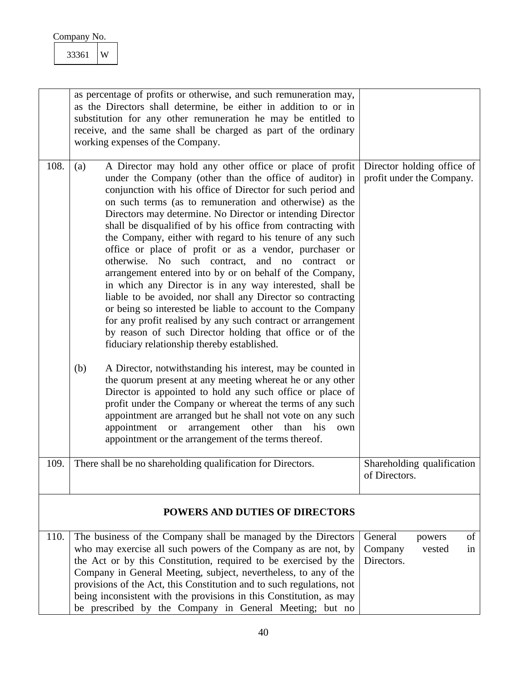| Company No. |
|-------------|
|-------------|

<span id="page-40-3"></span><span id="page-40-2"></span><span id="page-40-1"></span><span id="page-40-0"></span>

|      | as percentage of profits or otherwise, and such remuneration may,<br>as the Directors shall determine, be either in addition to or in<br>substitution for any other remuneration he may be entitled to<br>receive, and the same shall be charged as part of the ordinary<br>working expenses of the Company.                                                                                                                                                                                                                                                                                                                                                                                                                                                                                                                                                                                                                                                                                                                                                                                                                                                                                                                                                                                                                                                                                                                               |                                                                  |
|------|--------------------------------------------------------------------------------------------------------------------------------------------------------------------------------------------------------------------------------------------------------------------------------------------------------------------------------------------------------------------------------------------------------------------------------------------------------------------------------------------------------------------------------------------------------------------------------------------------------------------------------------------------------------------------------------------------------------------------------------------------------------------------------------------------------------------------------------------------------------------------------------------------------------------------------------------------------------------------------------------------------------------------------------------------------------------------------------------------------------------------------------------------------------------------------------------------------------------------------------------------------------------------------------------------------------------------------------------------------------------------------------------------------------------------------------------|------------------------------------------------------------------|
| 108. | A Director may hold any other office or place of profit<br>(a)<br>under the Company (other than the office of auditor) in<br>conjunction with his office of Director for such period and<br>on such terms (as to remuneration and otherwise) as the<br>Directors may determine. No Director or intending Director<br>shall be disqualified of by his office from contracting with<br>the Company, either with regard to his tenure of any such<br>office or place of profit or as a vendor, purchaser or<br>otherwise. No such contract, and no contract or<br>arrangement entered into by or on behalf of the Company,<br>in which any Director is in any way interested, shall be<br>liable to be avoided, nor shall any Director so contracting<br>or being so interested be liable to account to the Company<br>for any profit realised by any such contract or arrangement<br>by reason of such Director holding that office or of the<br>fiduciary relationship thereby established.<br>(b)<br>A Director, notwithstanding his interest, may be counted in<br>the quorum present at any meeting whereat he or any other<br>Director is appointed to hold any such office or place of<br>profit under the Company or whereat the terms of any such<br>appointment are arranged but he shall not vote on any such<br>arrangement other<br>appointment or<br>than<br>his<br>own<br>appointment or the arrangement of the terms thereof. | Director holding office of<br>profit under the Company.          |
| 109. | There shall be no shareholding qualification for Directors.                                                                                                                                                                                                                                                                                                                                                                                                                                                                                                                                                                                                                                                                                                                                                                                                                                                                                                                                                                                                                                                                                                                                                                                                                                                                                                                                                                                | Shareholding qualification<br>of Directors.                      |
|      | <b>POWERS AND DUTIES OF DIRECTORS</b>                                                                                                                                                                                                                                                                                                                                                                                                                                                                                                                                                                                                                                                                                                                                                                                                                                                                                                                                                                                                                                                                                                                                                                                                                                                                                                                                                                                                      |                                                                  |
| 110. | The business of the Company shall be managed by the Directors<br>who may exercise all such powers of the Company as are not, by<br>the Act or by this Constitution, required to be exercised by the<br>Company in General Meeting, subject, nevertheless, to any of the<br>provisions of the Act, this Constitution and to such regulations, not<br>being inconsistent with the provisions in this Constitution, as may<br>be prescribed by the Company in General Meeting; but no                                                                                                                                                                                                                                                                                                                                                                                                                                                                                                                                                                                                                                                                                                                                                                                                                                                                                                                                                         | General<br>of<br>powers<br>Company<br>vested<br>in<br>Directors. |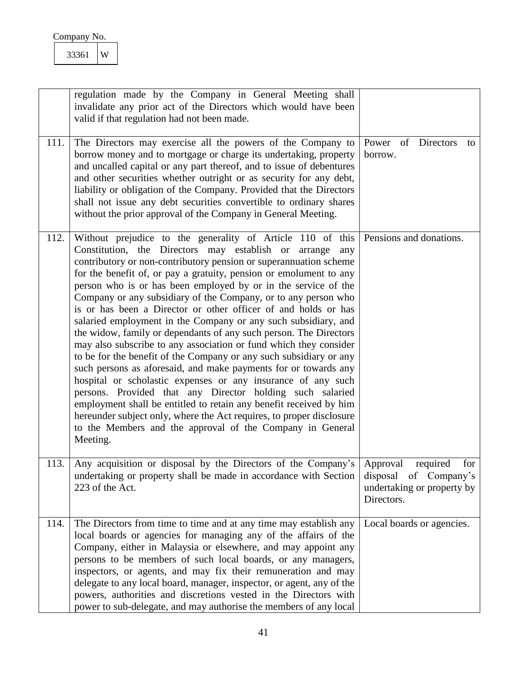<span id="page-41-0"></span>

| Company No. |  |
|-------------|--|
|-------------|--|

<span id="page-41-3"></span><span id="page-41-2"></span><span id="page-41-1"></span>

|      | regulation made by the Company in General Meeting shall<br>invalidate any prior act of the Directors which would have been<br>valid if that regulation had not been made.                                                                                                                                                                                                                                                                                                                                                                                                                                                                                                                                                                                                                                                                                                                                                                                                                                                                                                                                                                                                           |                                                                                                  |
|------|-------------------------------------------------------------------------------------------------------------------------------------------------------------------------------------------------------------------------------------------------------------------------------------------------------------------------------------------------------------------------------------------------------------------------------------------------------------------------------------------------------------------------------------------------------------------------------------------------------------------------------------------------------------------------------------------------------------------------------------------------------------------------------------------------------------------------------------------------------------------------------------------------------------------------------------------------------------------------------------------------------------------------------------------------------------------------------------------------------------------------------------------------------------------------------------|--------------------------------------------------------------------------------------------------|
| 111. | The Directors may exercise all the powers of the Company to<br>borrow money and to mortgage or charge its undertaking, property<br>and uncalled capital or any part thereof, and to issue of debentures<br>and other securities whether outright or as security for any debt,<br>liability or obligation of the Company. Provided that the Directors<br>shall not issue any debt securities convertible to ordinary shares<br>without the prior approval of the Company in General Meeting.                                                                                                                                                                                                                                                                                                                                                                                                                                                                                                                                                                                                                                                                                         | Power of Directors<br>to<br>borrow.                                                              |
| 112. | Without prejudice to the generality of Article 110 of this<br>Constitution, the Directors may establish or arrange<br>any<br>contributory or non-contributory pension or superannuation scheme<br>for the benefit of, or pay a gratuity, pension or emolument to any<br>person who is or has been employed by or in the service of the<br>Company or any subsidiary of the Company, or to any person who<br>is or has been a Director or other officer of and holds or has<br>salaried employment in the Company or any such subsidiary, and<br>the widow, family or dependants of any such person. The Directors<br>may also subscribe to any association or fund which they consider<br>to be for the benefit of the Company or any such subsidiary or any<br>such persons as aforesaid, and make payments for or towards any<br>hospital or scholastic expenses or any insurance of any such<br>persons. Provided that any Director holding such salaried<br>employment shall be entitled to retain any benefit received by him<br>hereunder subject only, where the Act requires, to proper disclosure<br>to the Members and the approval of the Company in General<br>Meeting. | Pensions and donations.                                                                          |
| 113. | Any acquisition or disposal by the Directors of the Company's<br>undertaking or property shall be made in accordance with Section<br>223 of the Act.                                                                                                                                                                                                                                                                                                                                                                                                                                                                                                                                                                                                                                                                                                                                                                                                                                                                                                                                                                                                                                | required<br>for<br>Approval<br>disposal of Company's<br>undertaking or property by<br>Directors. |
| 114. | The Directors from time to time and at any time may establish any<br>local boards or agencies for managing any of the affairs of the<br>Company, either in Malaysia or elsewhere, and may appoint any<br>persons to be members of such local boards, or any managers,<br>inspectors, or agents, and may fix their remuneration and may<br>delegate to any local board, manager, inspector, or agent, any of the<br>powers, authorities and discretions vested in the Directors with<br>power to sub-delegate, and may authorise the members of any local                                                                                                                                                                                                                                                                                                                                                                                                                                                                                                                                                                                                                            | Local boards or agencies.                                                                        |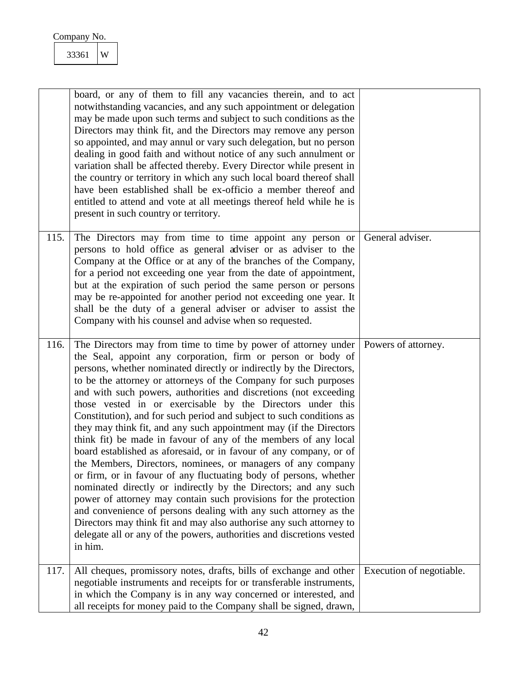<span id="page-42-2"></span><span id="page-42-1"></span><span id="page-42-0"></span>

|      | board, or any of them to fill any vacancies therein, and to act<br>notwithstanding vacancies, and any such appointment or delegation<br>may be made upon such terms and subject to such conditions as the<br>Directors may think fit, and the Directors may remove any person<br>so appointed, and may annul or vary such delegation, but no person<br>dealing in good faith and without notice of any such annulment or<br>variation shall be affected thereby. Every Director while present in<br>the country or territory in which any such local board thereof shall<br>have been established shall be ex-officio a member thereof and<br>entitled to attend and vote at all meetings thereof held while he is<br>present in such country or territory.                                                                                                                                                                                                                                                                                                                                                                                                                                                   |                          |
|------|---------------------------------------------------------------------------------------------------------------------------------------------------------------------------------------------------------------------------------------------------------------------------------------------------------------------------------------------------------------------------------------------------------------------------------------------------------------------------------------------------------------------------------------------------------------------------------------------------------------------------------------------------------------------------------------------------------------------------------------------------------------------------------------------------------------------------------------------------------------------------------------------------------------------------------------------------------------------------------------------------------------------------------------------------------------------------------------------------------------------------------------------------------------------------------------------------------------|--------------------------|
| 115. | The Directors may from time to time appoint any person or<br>persons to hold office as general adviser or as adviser to the<br>Company at the Office or at any of the branches of the Company,<br>for a period not exceeding one year from the date of appointment,<br>but at the expiration of such period the same person or persons<br>may be re-appointed for another period not exceeding one year. It<br>shall be the duty of a general adviser or adviser to assist the<br>Company with his counsel and advise when so requested.                                                                                                                                                                                                                                                                                                                                                                                                                                                                                                                                                                                                                                                                      | General adviser.         |
| 116. | The Directors may from time to time by power of attorney under<br>the Seal, appoint any corporation, firm or person or body of<br>persons, whether nominated directly or indirectly by the Directors,<br>to be the attorney or attorneys of the Company for such purposes<br>and with such powers, authorities and discretions (not exceeding<br>those vested in or exercisable by the Directors under this<br>Constitution), and for such period and subject to such conditions as<br>they may think fit, and any such appointment may (if the Directors<br>think fit) be made in favour of any of the members of any local<br>board established as aforesaid, or in favour of any company, or of<br>the Members, Directors, nominees, or managers of any company<br>or firm, or in favour of any fluctuating body of persons, whether<br>nominated directly or indirectly by the Directors; and any such<br>power of attorney may contain such provisions for the protection<br>and convenience of persons dealing with any such attorney as the<br>Directors may think fit and may also authorise any such attorney to<br>delegate all or any of the powers, authorities and discretions vested<br>in him. | Powers of attorney.      |
| 117. | All cheques, promissory notes, drafts, bills of exchange and other<br>negotiable instruments and receipts for or transferable instruments,                                                                                                                                                                                                                                                                                                                                                                                                                                                                                                                                                                                                                                                                                                                                                                                                                                                                                                                                                                                                                                                                    | Execution of negotiable. |
|      | in which the Company is in any way concerned or interested, and<br>all receipts for money paid to the Company shall be signed, drawn,                                                                                                                                                                                                                                                                                                                                                                                                                                                                                                                                                                                                                                                                                                                                                                                                                                                                                                                                                                                                                                                                         |                          |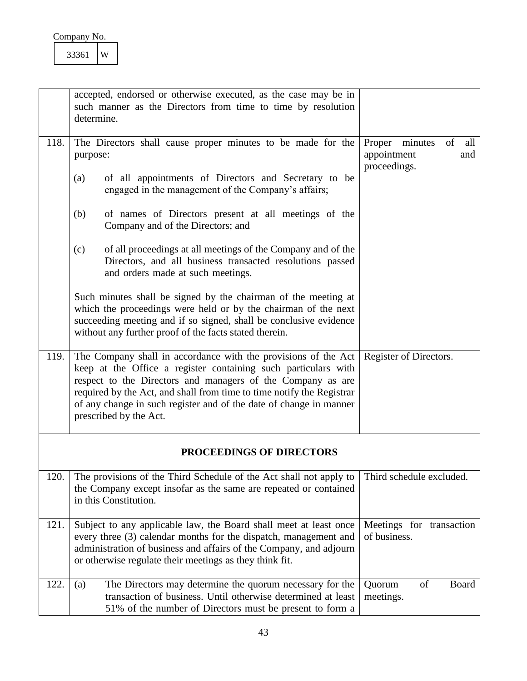<span id="page-43-0"></span>

| Company No.    |  |
|----------------|--|
| . . <i>.</i> . |  |

<span id="page-43-5"></span><span id="page-43-4"></span><span id="page-43-3"></span><span id="page-43-2"></span><span id="page-43-1"></span>

|      | accepted, endorsed or otherwise executed, as the case may be in<br>such manner as the Directors from time to time by resolution<br>determine.                                                                                                                                                                                                                            |                                                                      |
|------|--------------------------------------------------------------------------------------------------------------------------------------------------------------------------------------------------------------------------------------------------------------------------------------------------------------------------------------------------------------------------|----------------------------------------------------------------------|
| 118. | The Directors shall cause proper minutes to be made for the<br>purpose:<br>of all appointments of Directors and Secretary to be<br>(a)<br>engaged in the management of the Company's affairs;                                                                                                                                                                            | minutes<br>of<br>Proper<br>all<br>appointment<br>and<br>proceedings. |
|      | of names of Directors present at all meetings of the<br>(b)<br>Company and of the Directors; and                                                                                                                                                                                                                                                                         |                                                                      |
|      | of all proceedings at all meetings of the Company and of the<br>(c)<br>Directors, and all business transacted resolutions passed<br>and orders made at such meetings.                                                                                                                                                                                                    |                                                                      |
|      | Such minutes shall be signed by the chairman of the meeting at<br>which the proceedings were held or by the chairman of the next<br>succeeding meeting and if so signed, shall be conclusive evidence<br>without any further proof of the facts stated therein.                                                                                                          |                                                                      |
| 119. | The Company shall in accordance with the provisions of the Act<br>keep at the Office a register containing such particulars with<br>respect to the Directors and managers of the Company as are<br>required by the Act, and shall from time to time notify the Registrar<br>of any change in such register and of the date of change in manner<br>prescribed by the Act. | Register of Directors.                                               |
|      | PROCEEDINGS OF DIRECTORS                                                                                                                                                                                                                                                                                                                                                 |                                                                      |
| 120. | The provisions of the Third Schedule of the Act shall not apply to<br>the Company except insofar as the same are repeated or contained<br>in this Constitution.                                                                                                                                                                                                          | Third schedule excluded.                                             |
| 121. | Subject to any applicable law, the Board shall meet at least once<br>every three (3) calendar months for the dispatch, management and<br>administration of business and affairs of the Company, and adjourn<br>or otherwise regulate their meetings as they think fit.                                                                                                   | Meetings for transaction<br>of business.                             |
| 122. | The Directors may determine the quorum necessary for the<br>(a)<br>transaction of business. Until otherwise determined at least<br>51% of the number of Directors must be present to form a                                                                                                                                                                              | of<br>Board<br>Quorum<br>meetings.                                   |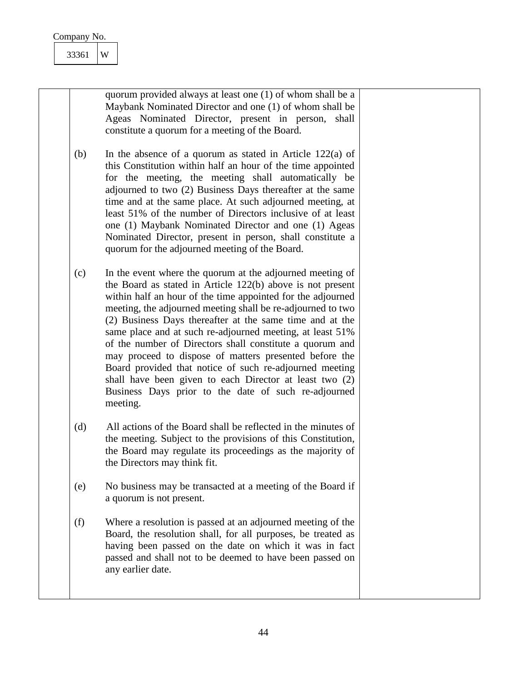| Company No.<br>33361 | W                                                                                                                                                                                                                                                                                                                                                                                                                                                                                                                                                                                                                                                                                              |  |
|----------------------|------------------------------------------------------------------------------------------------------------------------------------------------------------------------------------------------------------------------------------------------------------------------------------------------------------------------------------------------------------------------------------------------------------------------------------------------------------------------------------------------------------------------------------------------------------------------------------------------------------------------------------------------------------------------------------------------|--|
|                      | quorum provided always at least one (1) of whom shall be a<br>Maybank Nominated Director and one (1) of whom shall be<br>Ageas Nominated Director, present in person, shall<br>constitute a quorum for a meeting of the Board.                                                                                                                                                                                                                                                                                                                                                                                                                                                                 |  |
| (b)                  | In the absence of a quorum as stated in Article $122(a)$ of<br>this Constitution within half an hour of the time appointed<br>for the meeting, the meeting shall automatically be<br>adjourned to two (2) Business Days thereafter at the same<br>time and at the same place. At such adjourned meeting, at<br>least 51% of the number of Directors inclusive of at least<br>one (1) Maybank Nominated Director and one (1) Ageas<br>Nominated Director, present in person, shall constitute a<br>quorum for the adjourned meeting of the Board.                                                                                                                                               |  |
| (c)                  | In the event where the quorum at the adjourned meeting of<br>the Board as stated in Article 122(b) above is not present<br>within half an hour of the time appointed for the adjourned<br>meeting, the adjourned meeting shall be re-adjourned to two<br>(2) Business Days thereafter at the same time and at the<br>same place and at such re-adjourned meeting, at least 51%<br>of the number of Directors shall constitute a quorum and<br>may proceed to dispose of matters presented before the<br>Board provided that notice of such re-adjourned meeting<br>shall have been given to each Director at least two (2)<br>Business Days prior to the date of such re-adjourned<br>meeting. |  |
| (d)                  | All actions of the Board shall be reflected in the minutes of<br>the meeting. Subject to the provisions of this Constitution,<br>the Board may regulate its proceedings as the majority of<br>the Directors may think fit.                                                                                                                                                                                                                                                                                                                                                                                                                                                                     |  |
| (e)                  | No business may be transacted at a meeting of the Board if<br>a quorum is not present.                                                                                                                                                                                                                                                                                                                                                                                                                                                                                                                                                                                                         |  |
| (f)                  | Where a resolution is passed at an adjourned meeting of the<br>Board, the resolution shall, for all purposes, be treated as<br>having been passed on the date on which it was in fact<br>passed and shall not to be deemed to have been passed on<br>any earlier date.                                                                                                                                                                                                                                                                                                                                                                                                                         |  |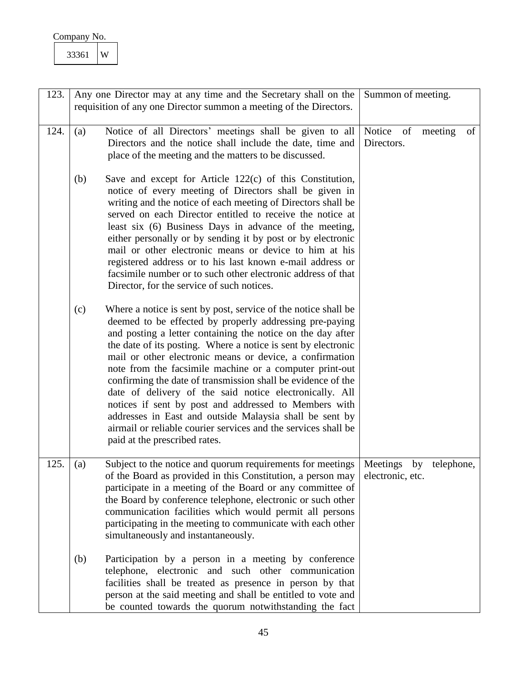<span id="page-45-1"></span><span id="page-45-0"></span>

| Company No. |   |
|-------------|---|
| 33361       | Ŵ |

<span id="page-45-2"></span>

| 123. |     | Any one Director may at any time and the Secretary shall on the                                                                                                                                                                                                                                                                                                                                                                                                                                                                                                                                                                                                                                                                    | Summon of meeting.                               |  |
|------|-----|------------------------------------------------------------------------------------------------------------------------------------------------------------------------------------------------------------------------------------------------------------------------------------------------------------------------------------------------------------------------------------------------------------------------------------------------------------------------------------------------------------------------------------------------------------------------------------------------------------------------------------------------------------------------------------------------------------------------------------|--------------------------------------------------|--|
|      |     | requisition of any one Director summon a meeting of the Directors.                                                                                                                                                                                                                                                                                                                                                                                                                                                                                                                                                                                                                                                                 |                                                  |  |
|      |     |                                                                                                                                                                                                                                                                                                                                                                                                                                                                                                                                                                                                                                                                                                                                    |                                                  |  |
| 124. | (a) | Notice of all Directors' meetings shall be given to all<br>Directors and the notice shall include the date, time and<br>place of the meeting and the matters to be discussed.                                                                                                                                                                                                                                                                                                                                                                                                                                                                                                                                                      | Notice of<br>meeting<br>of<br>Directors.         |  |
|      | (b) | Save and except for Article $122(c)$ of this Constitution,<br>notice of every meeting of Directors shall be given in<br>writing and the notice of each meeting of Directors shall be<br>served on each Director entitled to receive the notice at<br>least six (6) Business Days in advance of the meeting,<br>either personally or by sending it by post or by electronic<br>mail or other electronic means or device to him at his<br>registered address or to his last known e-mail address or<br>facsimile number or to such other electronic address of that<br>Director, for the service of such notices.                                                                                                                    |                                                  |  |
|      | (c) | Where a notice is sent by post, service of the notice shall be<br>deemed to be effected by properly addressing pre-paying<br>and posting a letter containing the notice on the day after<br>the date of its posting. Where a notice is sent by electronic<br>mail or other electronic means or device, a confirmation<br>note from the facsimile machine or a computer print-out<br>confirming the date of transmission shall be evidence of the<br>date of delivery of the said notice electronically. All<br>notices if sent by post and addressed to Members with<br>addresses in East and outside Malaysia shall be sent by<br>airmail or reliable courier services and the services shall be<br>paid at the prescribed rates. |                                                  |  |
| 125. | (a) | Subject to the notice and quorum requirements for meetings<br>of the Board as provided in this Constitution, a person may<br>participate in a meeting of the Board or any committee of<br>the Board by conference telephone, electronic or such other<br>communication facilities which would permit all persons<br>participating in the meeting to communicate with each other<br>simultaneously and instantaneously.                                                                                                                                                                                                                                                                                                             | Meetings<br>by<br>telephone,<br>electronic, etc. |  |
|      | (b) | Participation by a person in a meeting by conference<br>telephone, electronic and such other communication<br>facilities shall be treated as presence in person by that<br>person at the said meeting and shall be entitled to vote and<br>be counted towards the quorum notwithstanding the fact                                                                                                                                                                                                                                                                                                                                                                                                                                  |                                                  |  |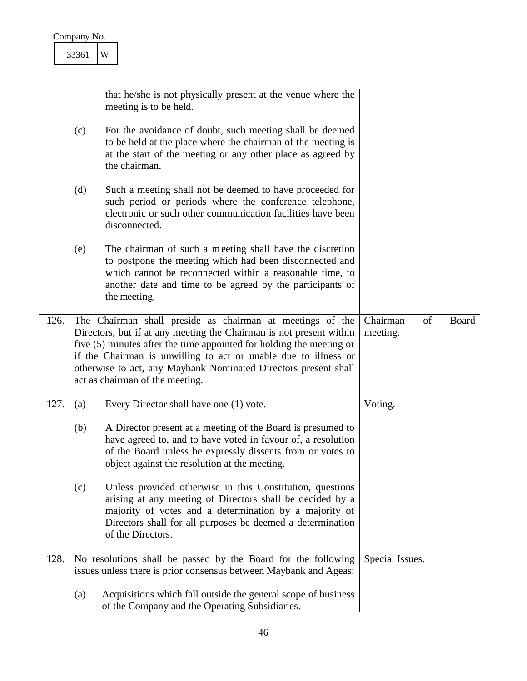| Company No. |  |
|-------------|--|
| 3361        |  |

<span id="page-46-2"></span><span id="page-46-1"></span><span id="page-46-0"></span>

|      |     | that he/she is not physically present at the venue where the<br>meeting is to be held.                                                                                                                                                                                                                                                                                            |                                     |
|------|-----|-----------------------------------------------------------------------------------------------------------------------------------------------------------------------------------------------------------------------------------------------------------------------------------------------------------------------------------------------------------------------------------|-------------------------------------|
|      | (c) | For the avoidance of doubt, such meeting shall be deemed<br>to be held at the place where the chairman of the meeting is<br>at the start of the meeting or any other place as agreed by<br>the chairman.                                                                                                                                                                          |                                     |
|      | (d) | Such a meeting shall not be deemed to have proceeded for<br>such period or periods where the conference telephone,<br>electronic or such other communication facilities have been<br>disconnected.                                                                                                                                                                                |                                     |
|      | (e) | The chairman of such a meeting shall have the discretion<br>to postpone the meeting which had been disconnected and<br>which cannot be reconnected within a reasonable time, to<br>another date and time to be agreed by the participants of<br>the meeting.                                                                                                                      |                                     |
| 126. |     | The Chairman shall preside as chairman at meetings of the<br>Directors, but if at any meeting the Chairman is not present within<br>five (5) minutes after the time appointed for holding the meeting or<br>if the Chairman is unwilling to act or unable due to illness or<br>otherwise to act, any Maybank Nominated Directors present shall<br>act as chairman of the meeting. | Chairman<br>of<br>Board<br>meeting. |
| 127. | (a) | Every Director shall have one (1) vote.                                                                                                                                                                                                                                                                                                                                           | Voting.                             |
|      | (b) | A Director present at a meeting of the Board is presumed to<br>have agreed to, and to have voted in favour of, a resolution<br>of the Board unless he expressly dissents from or votes to<br>object against the resolution at the meeting.                                                                                                                                        |                                     |
|      | (c) | Unless provided otherwise in this Constitution, questions<br>arising at any meeting of Directors shall be decided by a<br>majority of votes and a determination by a majority of<br>Directors shall for all purposes be deemed a determination<br>of the Directors.                                                                                                               |                                     |
| 128. |     | No resolutions shall be passed by the Board for the following<br>issues unless there is prior consensus between Maybank and Ageas:                                                                                                                                                                                                                                                | Special Issues.                     |
|      |     |                                                                                                                                                                                                                                                                                                                                                                                   |                                     |
|      | (a) | Acquisitions which fall outside the general scope of business<br>of the Company and the Operating Subsidiaries.                                                                                                                                                                                                                                                                   |                                     |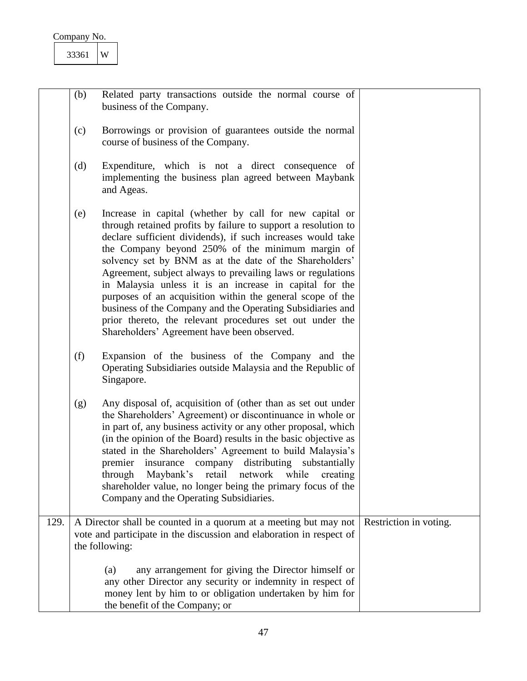| Company No. |  |
|-------------|--|
|             |  |

<span id="page-47-0"></span>

|      | (b) | Related party transactions outside the normal course of<br>business of the Company.                                                                                                                                                                                                                                                                                                                                                                                                                                                                                                                                                                                      |                        |
|------|-----|--------------------------------------------------------------------------------------------------------------------------------------------------------------------------------------------------------------------------------------------------------------------------------------------------------------------------------------------------------------------------------------------------------------------------------------------------------------------------------------------------------------------------------------------------------------------------------------------------------------------------------------------------------------------------|------------------------|
|      | (c) | Borrowings or provision of guarantees outside the normal<br>course of business of the Company.                                                                                                                                                                                                                                                                                                                                                                                                                                                                                                                                                                           |                        |
|      | (d) | Expenditure, which is not a direct consequence of<br>implementing the business plan agreed between Maybank<br>and Ageas.                                                                                                                                                                                                                                                                                                                                                                                                                                                                                                                                                 |                        |
|      | (e) | Increase in capital (whether by call for new capital or<br>through retained profits by failure to support a resolution to<br>declare sufficient dividends), if such increases would take<br>the Company beyond 250% of the minimum margin of<br>solvency set by BNM as at the date of the Shareholders'<br>Agreement, subject always to prevailing laws or regulations<br>in Malaysia unless it is an increase in capital for the<br>purposes of an acquisition within the general scope of the<br>business of the Company and the Operating Subsidiaries and<br>prior thereto, the relevant procedures set out under the<br>Shareholders' Agreement have been observed. |                        |
|      | (f) | Expansion of the business of the Company and the<br>Operating Subsidiaries outside Malaysia and the Republic of<br>Singapore.                                                                                                                                                                                                                                                                                                                                                                                                                                                                                                                                            |                        |
|      | (g) | Any disposal of, acquisition of (other than as set out under<br>the Shareholders' Agreement) or discontinuance in whole or<br>in part of, any business activity or any other proposal, which<br>(in the opinion of the Board) results in the basic objective as<br>stated in the Shareholders' Agreement to build Malaysia's<br>premier insurance company distributing substantially<br>through Maybank's retail network while creating<br>shareholder value, no longer being the primary focus of the<br>Company and the Operating Subsidiaries.                                                                                                                        |                        |
| 129. |     | A Director shall be counted in a quorum at a meeting but may not<br>vote and participate in the discussion and elaboration in respect of                                                                                                                                                                                                                                                                                                                                                                                                                                                                                                                                 | Restriction in voting. |
|      |     | the following:                                                                                                                                                                                                                                                                                                                                                                                                                                                                                                                                                                                                                                                           |                        |
|      |     | any arrangement for giving the Director himself or<br>(a)<br>any other Director any security or indemnity in respect of<br>money lent by him to or obligation undertaken by him for<br>the benefit of the Company; or                                                                                                                                                                                                                                                                                                                                                                                                                                                    |                        |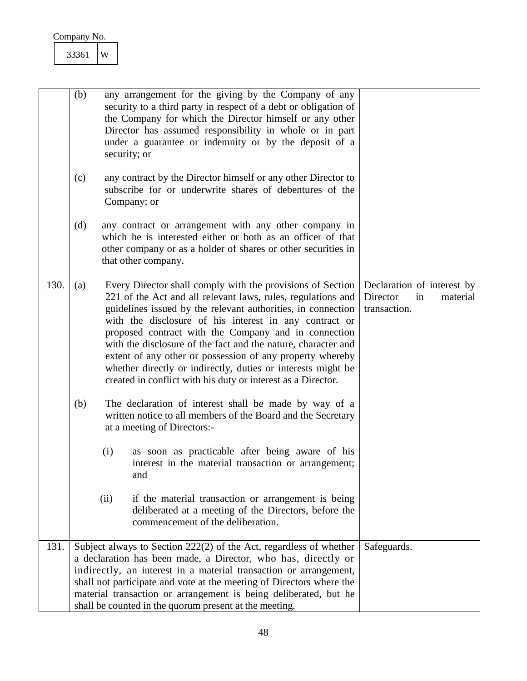<span id="page-48-1"></span><span id="page-48-0"></span>

|      | (b) |      | any arrangement for the giving by the Company of any<br>security to a third party in respect of a debt or obligation of<br>the Company for which the Director himself or any other<br>Director has assumed responsibility in whole or in part<br>under a guarantee or indemnity or by the deposit of a<br>security; or                                                                                                                                                                                                                                                     |                                                                          |
|------|-----|------|----------------------------------------------------------------------------------------------------------------------------------------------------------------------------------------------------------------------------------------------------------------------------------------------------------------------------------------------------------------------------------------------------------------------------------------------------------------------------------------------------------------------------------------------------------------------------|--------------------------------------------------------------------------|
|      | (c) |      | any contract by the Director himself or any other Director to<br>subscribe for or underwrite shares of debentures of the<br>Company; or                                                                                                                                                                                                                                                                                                                                                                                                                                    |                                                                          |
|      | (d) |      | any contract or arrangement with any other company in<br>which he is interested either or both as an officer of that<br>other company or as a holder of shares or other securities in<br>that other company.                                                                                                                                                                                                                                                                                                                                                               |                                                                          |
| 130. | (a) |      | Every Director shall comply with the provisions of Section<br>221 of the Act and all relevant laws, rules, regulations and<br>guidelines issued by the relevant authorities, in connection<br>with the disclosure of his interest in any contract or<br>proposed contract with the Company and in connection<br>with the disclosure of the fact and the nature, character and<br>extent of any other or possession of any property whereby<br>whether directly or indirectly, duties or interests might be<br>created in conflict with his duty or interest as a Director. | Declaration of interest by<br>Director<br>in<br>material<br>transaction. |
|      | (b) | (i)  | The declaration of interest shall be made by way of a<br>written notice to all members of the Board and the Secretary<br>at a meeting of Directors:-<br>as soon as practicable after being aware of his<br>interest in the material transaction or arrangement;<br>and                                                                                                                                                                                                                                                                                                     |                                                                          |
|      |     | (ii) | if the material transaction or arrangement is being<br>deliberated at a meeting of the Directors, before the<br>commencement of the deliberation.                                                                                                                                                                                                                                                                                                                                                                                                                          |                                                                          |
| 131. |     |      | Subject always to Section 222(2) of the Act, regardless of whether<br>a declaration has been made, a Director, who has, directly or<br>indirectly, an interest in a material transaction or arrangement,<br>shall not participate and vote at the meeting of Directors where the<br>material transaction or arrangement is being deliberated, but he<br>shall be counted in the quorum present at the meeting.                                                                                                                                                             | Safeguards.                                                              |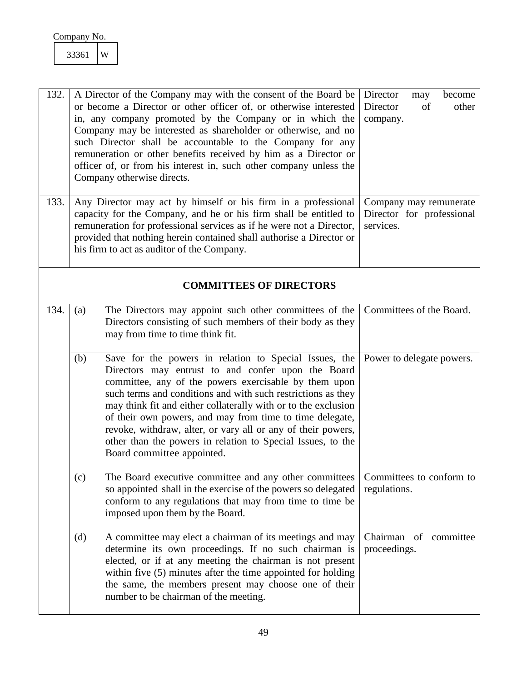<span id="page-49-6"></span><span id="page-49-5"></span><span id="page-49-4"></span><span id="page-49-3"></span><span id="page-49-2"></span><span id="page-49-1"></span><span id="page-49-0"></span>

| 132. |     | A Director of the Company may with the consent of the Board be<br>or become a Director or other officer of, or otherwise interested<br>in, any company promoted by the Company or in which the<br>Company may be interested as shareholder or otherwise, and no<br>such Director shall be accountable to the Company for any<br>remuneration or other benefits received by him as a Director or<br>officer of, or from his interest in, such other company unless the<br>Company otherwise directs.                              | Director<br>become<br>may<br>Director<br>of<br>other<br>company. |
|------|-----|----------------------------------------------------------------------------------------------------------------------------------------------------------------------------------------------------------------------------------------------------------------------------------------------------------------------------------------------------------------------------------------------------------------------------------------------------------------------------------------------------------------------------------|------------------------------------------------------------------|
| 133. |     | Any Director may act by himself or his firm in a professional<br>capacity for the Company, and he or his firm shall be entitled to<br>remuneration for professional services as if he were not a Director,<br>provided that nothing herein contained shall authorise a Director or<br>his firm to act as auditor of the Company.                                                                                                                                                                                                 | Company may remunerate<br>Director for professional<br>services. |
|      |     | <b>COMMITTEES OF DIRECTORS</b>                                                                                                                                                                                                                                                                                                                                                                                                                                                                                                   |                                                                  |
| 134. | (a) | The Directors may appoint such other committees of the<br>Directors consisting of such members of their body as they<br>may from time to time think fit.                                                                                                                                                                                                                                                                                                                                                                         | Committees of the Board.                                         |
|      | (b) | Save for the powers in relation to Special Issues, the<br>Directors may entrust to and confer upon the Board<br>committee, any of the powers exercisable by them upon<br>such terms and conditions and with such restrictions as they<br>may think fit and either collaterally with or to the exclusion<br>of their own powers, and may from time to time delegate,<br>revoke, withdraw, alter, or vary all or any of their powers,<br>other than the powers in relation to Special Issues, to the<br>Board committee appointed. | Power to delegate powers.                                        |
|      | (c) | The Board executive committee and any other committees<br>so appointed shall in the exercise of the powers so delegated<br>conform to any regulations that may from time to time be<br>imposed upon them by the Board.                                                                                                                                                                                                                                                                                                           | Committees to conform to<br>regulations.                         |
|      | (d) | A committee may elect a chairman of its meetings and may<br>determine its own proceedings. If no such chairman is<br>elected, or if at any meeting the chairman is not present<br>within five (5) minutes after the time appointed for holding<br>the same, the members present may choose one of their<br>number to be chairman of the meeting.                                                                                                                                                                                 | Chairman of committee<br>proceedings.                            |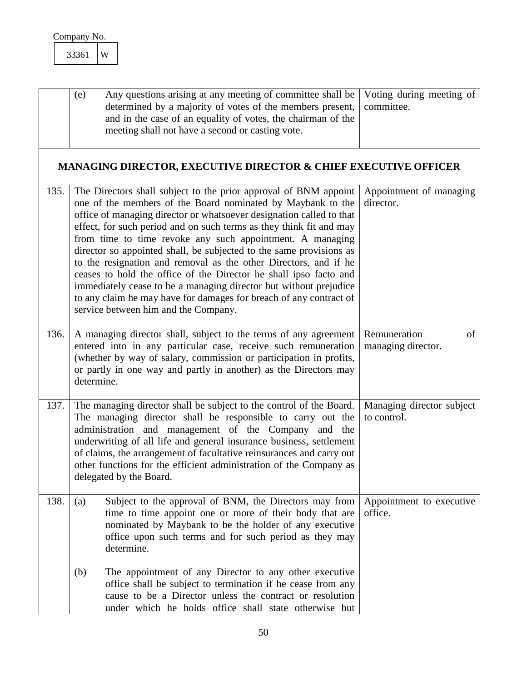<span id="page-50-5"></span><span id="page-50-4"></span><span id="page-50-3"></span><span id="page-50-2"></span><span id="page-50-1"></span><span id="page-50-0"></span>

|      | 33361      | W |                                                                                                                                                                                                                                                                                                                                                                                                                                                                                                                                                                                                                                                                                                                                                |                                          |
|------|------------|---|------------------------------------------------------------------------------------------------------------------------------------------------------------------------------------------------------------------------------------------------------------------------------------------------------------------------------------------------------------------------------------------------------------------------------------------------------------------------------------------------------------------------------------------------------------------------------------------------------------------------------------------------------------------------------------------------------------------------------------------------|------------------------------------------|
|      | (e)        |   | Any questions arising at any meeting of committee shall be<br>determined by a majority of votes of the members present,<br>and in the case of an equality of votes, the chairman of the<br>meeting shall not have a second or casting vote.                                                                                                                                                                                                                                                                                                                                                                                                                                                                                                    | Voting during meeting of<br>committee.   |
|      |            |   | <b>MANAGING DIRECTOR, EXECUTIVE DIRECTOR &amp; CHIEF EXECUTIVE OFFICER</b>                                                                                                                                                                                                                                                                                                                                                                                                                                                                                                                                                                                                                                                                     |                                          |
| 135. |            |   | The Directors shall subject to the prior approval of BNM appoint<br>one of the members of the Board nominated by Maybank to the<br>office of managing director or whatsoever designation called to that<br>effect, for such period and on such terms as they think fit and may<br>from time to time revoke any such appointment. A managing<br>director so appointed shall, be subjected to the same provisions as<br>to the resignation and removal as the other Directors, and if he<br>ceases to hold the office of the Director he shall ipso facto and<br>immediately cease to be a managing director but without prejudice<br>to any claim he may have for damages for breach of any contract of<br>service between him and the Company. | Appointment of managing<br>director.     |
| 136. | determine. |   | A managing director shall, subject to the terms of any agreement<br>entered into in any particular case, receive such remuneration<br>(whether by way of salary, commission or participation in profits,<br>or partly in one way and partly in another) as the Directors may                                                                                                                                                                                                                                                                                                                                                                                                                                                                   | Remuneration<br>of<br>managing director. |
| 137. |            |   | The managing director shall be subject to the control of the Board.<br>The managing director shall be responsible to carry out the<br>administration and management of the Company and the<br>underwriting of all life and general insurance business, settlement<br>of claims, the arrangement of facultative reinsurances and carry out<br>other functions for the efficient administration of the Company as<br>delegated by the Board.                                                                                                                                                                                                                                                                                                     | Managing director subject<br>to control. |
| 138. | (a)        |   | Subject to the approval of BNM, the Directors may from<br>time to time appoint one or more of their body that are<br>nominated by Maybank to be the holder of any executive<br>office upon such terms and for such period as they may<br>determine.                                                                                                                                                                                                                                                                                                                                                                                                                                                                                            | Appointment to executive<br>office.      |
|      | (b)        |   | The appointment of any Director to any other executive<br>office shall be subject to termination if he cease from any<br>cause to be a Director unless the contract or resolution<br>under which he holds office shall state otherwise but                                                                                                                                                                                                                                                                                                                                                                                                                                                                                                     |                                          |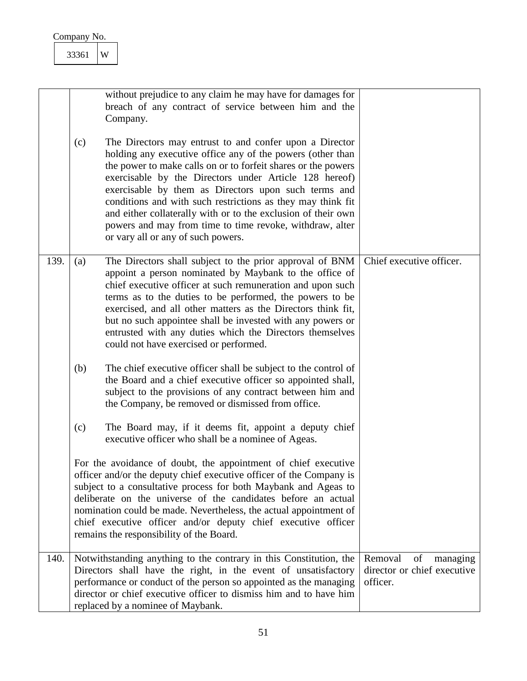<span id="page-51-1"></span><span id="page-51-0"></span>

|      | 33361<br>W |                                                                                                                                                                                                                                                                                                                                                                                                                                                                                                                                            |                                                                      |
|------|------------|--------------------------------------------------------------------------------------------------------------------------------------------------------------------------------------------------------------------------------------------------------------------------------------------------------------------------------------------------------------------------------------------------------------------------------------------------------------------------------------------------------------------------------------------|----------------------------------------------------------------------|
|      |            | without prejudice to any claim he may have for damages for<br>breach of any contract of service between him and the<br>Company.                                                                                                                                                                                                                                                                                                                                                                                                            |                                                                      |
|      | (c)        | The Directors may entrust to and confer upon a Director<br>holding any executive office any of the powers (other than<br>the power to make calls on or to forfeit shares or the powers<br>exercisable by the Directors under Article 128 hereof)<br>exercisable by them as Directors upon such terms and<br>conditions and with such restrictions as they may think fit<br>and either collaterally with or to the exclusion of their own<br>powers and may from time to time revoke, withdraw, alter<br>or vary all or any of such powers. |                                                                      |
| 139. | (a)        | The Directors shall subject to the prior approval of BNM<br>appoint a person nominated by Maybank to the office of<br>chief executive officer at such remuneration and upon such<br>terms as to the duties to be performed, the powers to be<br>exercised, and all other matters as the Directors think fit,<br>but no such appointee shall be invested with any powers or<br>entrusted with any duties which the Directors themselves<br>could not have exercised or performed.                                                           | Chief executive officer.                                             |
|      | (b)        | The chief executive officer shall be subject to the control of<br>the Board and a chief executive officer so appointed shall,<br>subject to the provisions of any contract between him and<br>the Company, be removed or dismissed from office.                                                                                                                                                                                                                                                                                            |                                                                      |
|      | (c)        | The Board may, if it deems fit, appoint a deputy chief<br>executive officer who shall be a nominee of Ageas.                                                                                                                                                                                                                                                                                                                                                                                                                               |                                                                      |
|      |            | For the avoidance of doubt, the appointment of chief executive<br>officer and/or the deputy chief executive officer of the Company is<br>subject to a consultative process for both Maybank and Ageas to<br>deliberate on the universe of the candidates before an actual<br>nomination could be made. Nevertheless, the actual appointment of<br>chief executive officer and/or deputy chief executive officer<br>remains the responsibility of the Board.                                                                                |                                                                      |
| 140. |            | Notwithstanding anything to the contrary in this Constitution, the<br>Directors shall have the right, in the event of unsatisfactory<br>performance or conduct of the person so appointed as the managing<br>director or chief executive officer to dismiss him and to have him<br>replaced by a nominee of Maybank.                                                                                                                                                                                                                       | Removal<br>of<br>managing<br>director or chief executive<br>officer. |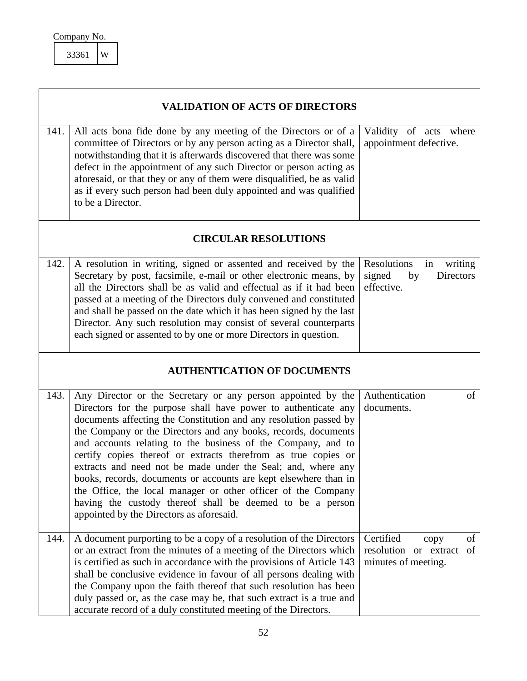<span id="page-52-6"></span><span id="page-52-5"></span><span id="page-52-4"></span><span id="page-52-3"></span><span id="page-52-2"></span><span id="page-52-1"></span><span id="page-52-0"></span>

|                             | <b>VALIDATION OF ACTS OF DIRECTORS</b>                                                                                                                                                                                                                                                                                                                                                                                                                                                                                                                                                                                                                                                                                |                                                                                |  |
|-----------------------------|-----------------------------------------------------------------------------------------------------------------------------------------------------------------------------------------------------------------------------------------------------------------------------------------------------------------------------------------------------------------------------------------------------------------------------------------------------------------------------------------------------------------------------------------------------------------------------------------------------------------------------------------------------------------------------------------------------------------------|--------------------------------------------------------------------------------|--|
| 141.                        | All acts bona fide done by any meeting of the Directors or of a<br>committee of Directors or by any person acting as a Director shall,<br>notwithstanding that it is afterwards discovered that there was some<br>defect in the appointment of any such Director or person acting as<br>aforesaid, or that they or any of them were disqualified, be as valid<br>as if every such person had been duly appointed and was qualified<br>to be a Director.                                                                                                                                                                                                                                                               | Validity of acts where<br>appointment defective.                               |  |
| <b>CIRCULAR RESOLUTIONS</b> |                                                                                                                                                                                                                                                                                                                                                                                                                                                                                                                                                                                                                                                                                                                       |                                                                                |  |
| 142.                        | A resolution in writing, signed or assented and received by the<br>Secretary by post, facsimile, e-mail or other electronic means, by<br>all the Directors shall be as valid and effectual as if it had been<br>passed at a meeting of the Directors duly convened and constituted<br>and shall be passed on the date which it has been signed by the last<br>Director. Any such resolution may consist of several counterparts<br>each signed or assented to by one or more Directors in question.                                                                                                                                                                                                                   | <b>Resolutions</b><br>in<br>writing<br>signed<br>by<br>Directors<br>effective. |  |
|                             | <b>AUTHENTICATION OF DOCUMENTS</b>                                                                                                                                                                                                                                                                                                                                                                                                                                                                                                                                                                                                                                                                                    |                                                                                |  |
| 143.                        | Any Director or the Secretary or any person appointed by the<br>Directors for the purpose shall have power to authenticate any<br>documents affecting the Constitution and any resolution passed by<br>the Company or the Directors and any books, records, documents<br>and accounts relating to the business of the Company, and to<br>certify copies thereof or extracts therefrom as true copies or<br>extracts and need not be made under the Seal; and, where any<br>books, records, documents or accounts are kept elsewhere than in<br>the Office, the local manager or other officer of the Company<br>having the custody thereof shall be deemed to be a person<br>appointed by the Directors as aforesaid. | Authentication<br>of<br>documents.                                             |  |
| 144.                        | A document purporting to be a copy of a resolution of the Directors<br>or an extract from the minutes of a meeting of the Directors which<br>is certified as such in accordance with the provisions of Article 143<br>shall be conclusive evidence in favour of all persons dealing with<br>the Company upon the faith thereof that such resolution has been<br>duly passed or, as the case may be, that such extract is a true and<br>accurate record of a duly constituted meeting of the Directors.                                                                                                                                                                                                                | Certified<br>of<br>copy<br>resolution or extract<br>of<br>minutes of meeting.  |  |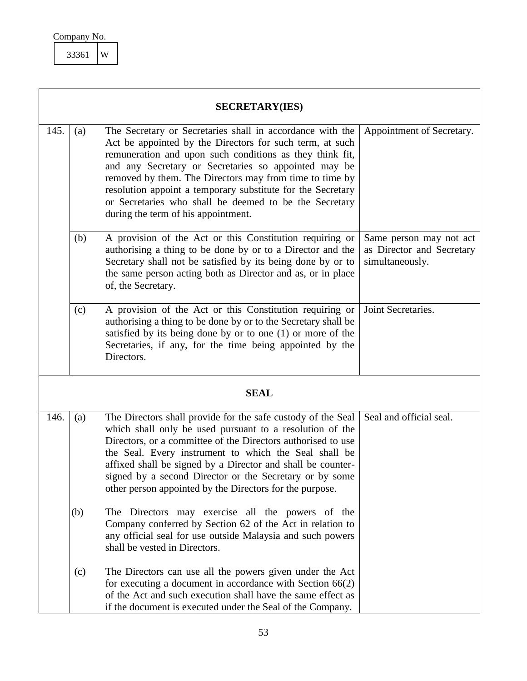<span id="page-53-2"></span><span id="page-53-1"></span>

<span id="page-53-5"></span><span id="page-53-4"></span><span id="page-53-3"></span><span id="page-53-0"></span>

|      |     | <b>SECRETARY(IES)</b>                                                                                                                                                                                                                                                                                                                                                                                                                                                |                                                                         |
|------|-----|----------------------------------------------------------------------------------------------------------------------------------------------------------------------------------------------------------------------------------------------------------------------------------------------------------------------------------------------------------------------------------------------------------------------------------------------------------------------|-------------------------------------------------------------------------|
| 145. | (a) | The Secretary or Secretaries shall in accordance with the<br>Act be appointed by the Directors for such term, at such<br>remuneration and upon such conditions as they think fit,<br>and any Secretary or Secretaries so appointed may be<br>removed by them. The Directors may from time to time by<br>resolution appoint a temporary substitute for the Secretary<br>or Secretaries who shall be deemed to be the Secretary<br>during the term of his appointment. | Appointment of Secretary.                                               |
|      | (b) | A provision of the Act or this Constitution requiring or<br>authorising a thing to be done by or to a Director and the<br>Secretary shall not be satisfied by its being done by or to<br>the same person acting both as Director and as, or in place<br>of, the Secretary.                                                                                                                                                                                           | Same person may not act<br>as Director and Secretary<br>simultaneously. |
|      | (c) | A provision of the Act or this Constitution requiring or<br>authorising a thing to be done by or to the Secretary shall be<br>satisfied by its being done by or to one (1) or more of the<br>Secretaries, if any, for the time being appointed by the<br>Directors.                                                                                                                                                                                                  | Joint Secretaries.                                                      |
|      |     | <b>SEAL</b>                                                                                                                                                                                                                                                                                                                                                                                                                                                          |                                                                         |
| 146. | (a) | The Directors shall provide for the safe custody of the Seal<br>which shall only be used pursuant to a resolution of the<br>Directors, or a committee of the Directors authorised to use<br>the Seal. Every instrument to which the Seal shall be<br>affixed shall be signed by a Director and shall be counter-<br>signed by a second Director or the Secretary or by some<br>other person appointed by the Directors for the purpose.                              | Seal and official seal.                                                 |
|      | (b) | The Directors may exercise all the powers of the<br>Company conferred by Section 62 of the Act in relation to<br>any official seal for use outside Malaysia and such powers<br>shall be vested in Directors.                                                                                                                                                                                                                                                         |                                                                         |
|      | (c) | The Directors can use all the powers given under the Act<br>for executing a document in accordance with Section $66(2)$<br>of the Act and such execution shall have the same effect as<br>if the document is executed under the Seal of the Company.                                                                                                                                                                                                                 |                                                                         |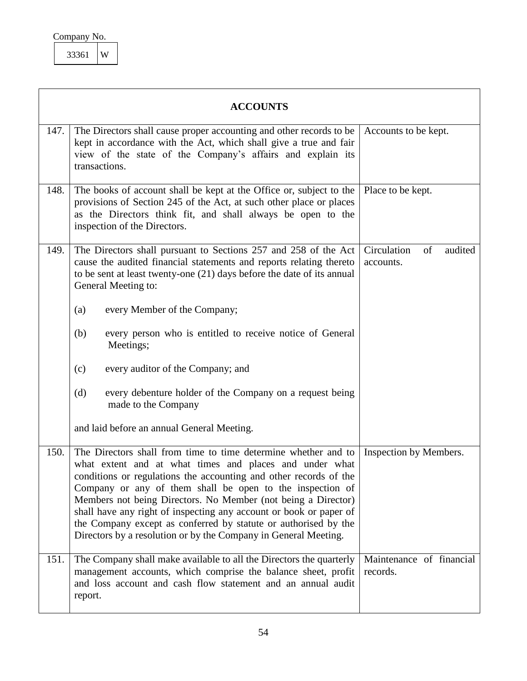<span id="page-54-1"></span>

| Company No. |   |
|-------------|---|
| 33361       | W |

<span id="page-54-5"></span><span id="page-54-4"></span><span id="page-54-3"></span><span id="page-54-2"></span><span id="page-54-0"></span>

|      | <b>ACCOUNTS</b>                                                                                                                                                                                                                                                                                                                                                                                                                                                                                                                          |                                           |  |
|------|------------------------------------------------------------------------------------------------------------------------------------------------------------------------------------------------------------------------------------------------------------------------------------------------------------------------------------------------------------------------------------------------------------------------------------------------------------------------------------------------------------------------------------------|-------------------------------------------|--|
| 147. | The Directors shall cause proper accounting and other records to be<br>kept in accordance with the Act, which shall give a true and fair<br>view of the state of the Company's affairs and explain its<br>transactions.                                                                                                                                                                                                                                                                                                                  | Accounts to be kept.                      |  |
| 148. | The books of account shall be kept at the Office or, subject to the<br>provisions of Section 245 of the Act, at such other place or places<br>as the Directors think fit, and shall always be open to the<br>inspection of the Directors.                                                                                                                                                                                                                                                                                                | Place to be kept.                         |  |
| 149. | The Directors shall pursuant to Sections 257 and 258 of the Act<br>cause the audited financial statements and reports relating thereto<br>to be sent at least twenty-one $(21)$ days before the date of its annual<br>General Meeting to:                                                                                                                                                                                                                                                                                                | Circulation<br>of<br>audited<br>accounts. |  |
|      | every Member of the Company;<br>(a)                                                                                                                                                                                                                                                                                                                                                                                                                                                                                                      |                                           |  |
|      | every person who is entitled to receive notice of General<br>(b)<br>Meetings;                                                                                                                                                                                                                                                                                                                                                                                                                                                            |                                           |  |
|      | every auditor of the Company; and<br>(c)                                                                                                                                                                                                                                                                                                                                                                                                                                                                                                 |                                           |  |
|      | every debenture holder of the Company on a request being<br>(d)<br>made to the Company                                                                                                                                                                                                                                                                                                                                                                                                                                                   |                                           |  |
|      | and laid before an annual General Meeting.                                                                                                                                                                                                                                                                                                                                                                                                                                                                                               |                                           |  |
| 150. | The Directors shall from time to time determine whether and to<br>what extent and at what times and places and under what<br>conditions or regulations the accounting and other records of the<br>Company or any of them shall be open to the inspection of<br>Members not being Directors. No Member (not being a Director)<br>shall have any right of inspecting any account or book or paper of<br>the Company except as conferred by statute or authorised by the<br>Directors by a resolution or by the Company in General Meeting. | Inspection by Members.                    |  |
| 151. | The Company shall make available to all the Directors the quarterly<br>management accounts, which comprise the balance sheet, profit<br>and loss account and cash flow statement and an annual audit<br>report.                                                                                                                                                                                                                                                                                                                          | Maintenance of financial<br>records.      |  |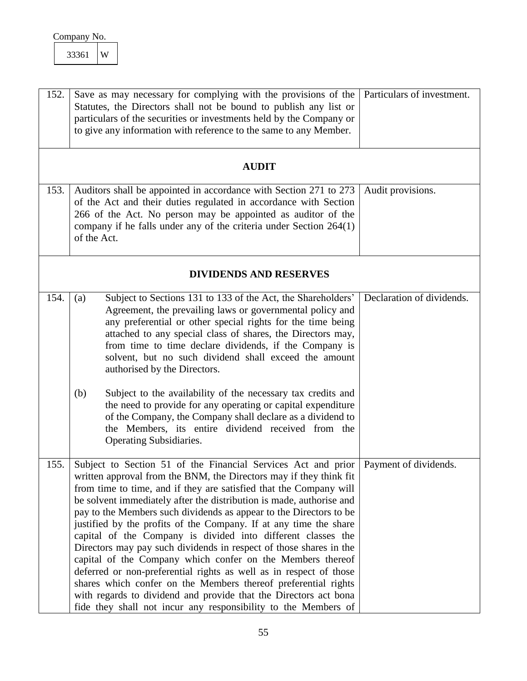<span id="page-55-0"></span>

| Company No. |  |
|-------------|--|
|-------------|--|

<span id="page-55-5"></span><span id="page-55-4"></span><span id="page-55-3"></span><span id="page-55-2"></span><span id="page-55-1"></span>

| 152. | Save as may necessary for complying with the provisions of the<br>Statutes, the Directors shall not be bound to publish any list or<br>particulars of the securities or investments held by the Company or<br>to give any information with reference to the same to any Member.                                                                                                                                                                                                                                                                                                                                                                                                                                                                                                                                                                                                                                | Particulars of investment. |
|------|----------------------------------------------------------------------------------------------------------------------------------------------------------------------------------------------------------------------------------------------------------------------------------------------------------------------------------------------------------------------------------------------------------------------------------------------------------------------------------------------------------------------------------------------------------------------------------------------------------------------------------------------------------------------------------------------------------------------------------------------------------------------------------------------------------------------------------------------------------------------------------------------------------------|----------------------------|
|      | <b>AUDIT</b>                                                                                                                                                                                                                                                                                                                                                                                                                                                                                                                                                                                                                                                                                                                                                                                                                                                                                                   |                            |
| 153. | Auditors shall be appointed in accordance with Section 271 to 273<br>of the Act and their duties regulated in accordance with Section<br>266 of the Act. No person may be appointed as auditor of the<br>company if he falls under any of the criteria under Section $264(1)$<br>of the Act.                                                                                                                                                                                                                                                                                                                                                                                                                                                                                                                                                                                                                   | Audit provisions.          |
|      | <b>DIVIDENDS AND RESERVES</b>                                                                                                                                                                                                                                                                                                                                                                                                                                                                                                                                                                                                                                                                                                                                                                                                                                                                                  |                            |
| 154. | Subject to Sections 131 to 133 of the Act, the Shareholders'<br>(a)<br>Agreement, the prevailing laws or governmental policy and<br>any preferential or other special rights for the time being<br>attached to any special class of shares, the Directors may,<br>from time to time declare dividends, if the Company is<br>solvent, but no such dividend shall exceed the amount<br>authorised by the Directors.<br>Subject to the availability of the necessary tax credits and<br>(b)<br>the need to provide for any operating or capital expenditure<br>of the Company, the Company shall declare as a dividend to<br>the Members, its entire dividend received from the                                                                                                                                                                                                                                   | Declaration of dividends.  |
|      | Operating Subsidiaries.                                                                                                                                                                                                                                                                                                                                                                                                                                                                                                                                                                                                                                                                                                                                                                                                                                                                                        |                            |
| 155. | Subject to Section 51 of the Financial Services Act and prior<br>written approval from the BNM, the Directors may if they think fit<br>from time to time, and if they are satisfied that the Company will<br>be solvent immediately after the distribution is made, authorise and<br>pay to the Members such dividends as appear to the Directors to be<br>justified by the profits of the Company. If at any time the share<br>capital of the Company is divided into different classes the<br>Directors may pay such dividends in respect of those shares in the<br>capital of the Company which confer on the Members thereof<br>deferred or non-preferential rights as well as in respect of those<br>shares which confer on the Members thereof preferential rights<br>with regards to dividend and provide that the Directors act bona<br>fide they shall not incur any responsibility to the Members of | Payment of dividends.      |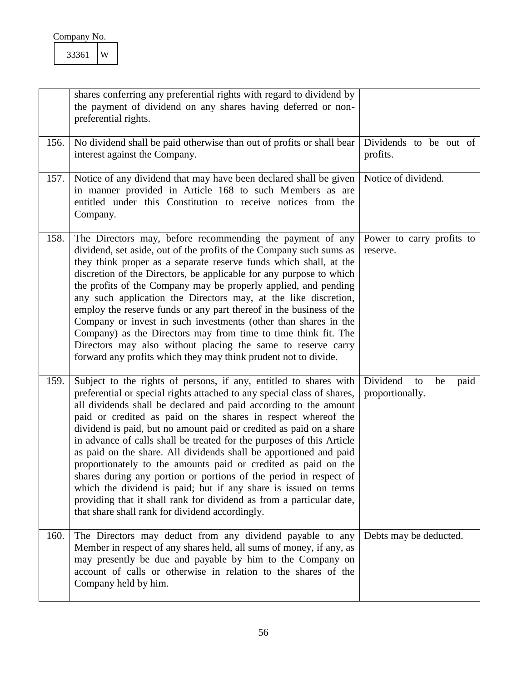<span id="page-56-4"></span><span id="page-56-3"></span><span id="page-56-2"></span><span id="page-56-1"></span><span id="page-56-0"></span>

|      | shares conferring any preferential rights with regard to dividend by<br>the payment of dividend on any shares having deferred or non-<br>preferential rights.                                                                                                                                                                                                                                                                                                                                                                                                                                                                                                                                                                                                                                                                               |                                                 |
|------|---------------------------------------------------------------------------------------------------------------------------------------------------------------------------------------------------------------------------------------------------------------------------------------------------------------------------------------------------------------------------------------------------------------------------------------------------------------------------------------------------------------------------------------------------------------------------------------------------------------------------------------------------------------------------------------------------------------------------------------------------------------------------------------------------------------------------------------------|-------------------------------------------------|
| 156. | No dividend shall be paid otherwise than out of profits or shall bear<br>interest against the Company.                                                                                                                                                                                                                                                                                                                                                                                                                                                                                                                                                                                                                                                                                                                                      | Dividends to be out of<br>profits.              |
| 157. | Notice of any dividend that may have been declared shall be given<br>in manner provided in Article 168 to such Members as are<br>entitled under this Constitution to receive notices from the<br>Company.                                                                                                                                                                                                                                                                                                                                                                                                                                                                                                                                                                                                                                   | Notice of dividend.                             |
| 158. | The Directors may, before recommending the payment of any<br>dividend, set aside, out of the profits of the Company such sums as<br>they think proper as a separate reserve funds which shall, at the<br>discretion of the Directors, be applicable for any purpose to which<br>the profits of the Company may be properly applied, and pending<br>any such application the Directors may, at the like discretion,<br>employ the reserve funds or any part thereof in the business of the<br>Company or invest in such investments (other than shares in the<br>Company) as the Directors may from time to time think fit. The<br>Directors may also without placing the same to reserve carry<br>forward any profits which they may think prudent not to divide.                                                                           | Power to carry profits to<br>reserve.           |
| 159. | Subject to the rights of persons, if any, entitled to shares with<br>preferential or special rights attached to any special class of shares,<br>all dividends shall be declared and paid according to the amount<br>paid or credited as paid on the shares in respect whereof the<br>dividend is paid, but no amount paid or credited as paid on a share<br>in advance of calls shall be treated for the purposes of this Article<br>as paid on the share. All dividends shall be apportioned and paid<br>proportionately to the amounts paid or credited as paid on the<br>shares during any portion or portions of the period in respect of<br>which the dividend is paid; but if any share is issued on terms<br>providing that it shall rank for dividend as from a particular date,<br>that share shall rank for dividend accordingly. | Dividend<br>paid<br>to<br>be<br>proportionally. |
| 160. | The Directors may deduct from any dividend payable to any<br>Member in respect of any shares held, all sums of money, if any, as<br>may presently be due and payable by him to the Company on<br>account of calls or otherwise in relation to the shares of the<br>Company held by him.                                                                                                                                                                                                                                                                                                                                                                                                                                                                                                                                                     | Debts may be deducted.                          |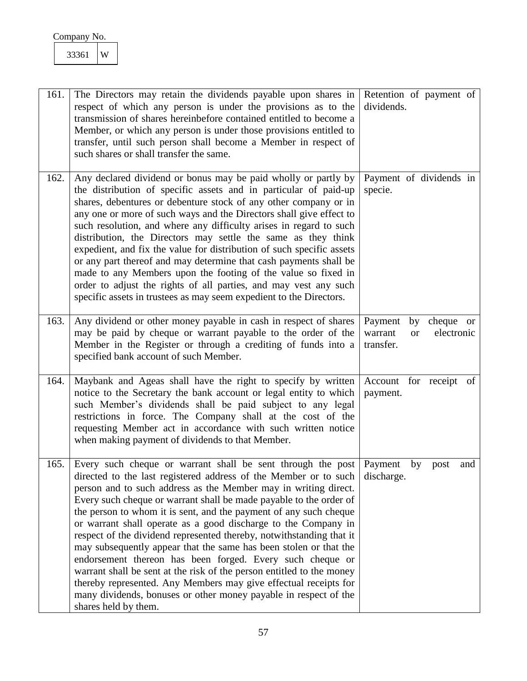<span id="page-57-4"></span><span id="page-57-3"></span><span id="page-57-2"></span><span id="page-57-1"></span><span id="page-57-0"></span>

| 161. | The Directors may retain the dividends payable upon shares in<br>respect of which any person is under the provisions as to the<br>transmission of shares hereinbefore contained entitled to become a<br>Member, or which any person is under those provisions entitled to<br>transfer, until such person shall become a Member in respect of<br>such shares or shall transfer the same.                                                                                                                                                                                                                                                                                                                                                                                                                                                                            | Retention of payment of<br>dividends.                                         |
|------|--------------------------------------------------------------------------------------------------------------------------------------------------------------------------------------------------------------------------------------------------------------------------------------------------------------------------------------------------------------------------------------------------------------------------------------------------------------------------------------------------------------------------------------------------------------------------------------------------------------------------------------------------------------------------------------------------------------------------------------------------------------------------------------------------------------------------------------------------------------------|-------------------------------------------------------------------------------|
| 162. | Any declared dividend or bonus may be paid wholly or partly by<br>the distribution of specific assets and in particular of paid-up<br>shares, debentures or debenture stock of any other company or in<br>any one or more of such ways and the Directors shall give effect to<br>such resolution, and where any difficulty arises in regard to such<br>distribution, the Directors may settle the same as they think<br>expedient, and fix the value for distribution of such specific assets<br>or any part thereof and may determine that cash payments shall be<br>made to any Members upon the footing of the value so fixed in<br>order to adjust the rights of all parties, and may vest any such<br>specific assets in trustees as may seem expedient to the Directors.                                                                                     | Payment of dividends in<br>specie.                                            |
| 163. | Any dividend or other money payable in cash in respect of shares<br>may be paid by cheque or warrant payable to the order of the<br>Member in the Register or through a crediting of funds into a<br>specified bank account of such Member.                                                                                                                                                                                                                                                                                                                                                                                                                                                                                                                                                                                                                        | Payment<br>cheque or<br>by<br>electronic<br>warrant<br><b>or</b><br>transfer. |
| 164. | Maybank and Ageas shall have the right to specify by written<br>notice to the Secretary the bank account or legal entity to which<br>such Member's dividends shall be paid subject to any legal<br>restrictions in force. The Company shall at the cost of the<br>requesting Member act in accordance with such written notice<br>when making payment of dividends to that Member.                                                                                                                                                                                                                                                                                                                                                                                                                                                                                 | Account for receipt<br>of<br>payment.                                         |
| 165. | Every such cheque or warrant shall be sent through the post<br>directed to the last registered address of the Member or to such<br>person and to such address as the Member may in writing direct.<br>Every such cheque or warrant shall be made payable to the order of<br>the person to whom it is sent, and the payment of any such cheque<br>or warrant shall operate as a good discharge to the Company in<br>respect of the dividend represented thereby, notwithstanding that it<br>may subsequently appear that the same has been stolen or that the<br>endorsement thereon has been forged. Every such cheque or<br>warrant shall be sent at the risk of the person entitled to the money<br>thereby represented. Any Members may give effectual receipts for<br>many dividends, bonuses or other money payable in respect of the<br>shares held by them. | Payment<br>by<br>post<br>and<br>discharge.                                    |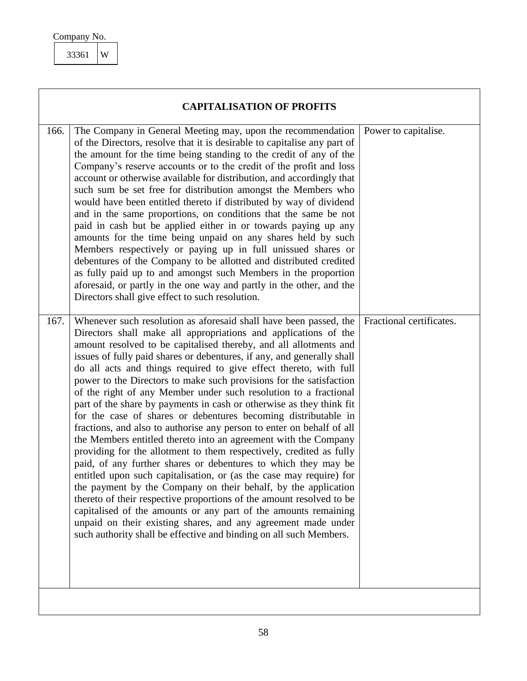<span id="page-58-2"></span><span id="page-58-1"></span><span id="page-58-0"></span>

| <b>CAPITALISATION OF PROFITS</b> |                                                                                                                                                                                                                                                                                                                                                                                                                                                                                                                                                                                                                                                                                                                                                                                                                                                                                                                                                                                                                                                                                                                                                                                                                                                                                                                                                               |                          |
|----------------------------------|---------------------------------------------------------------------------------------------------------------------------------------------------------------------------------------------------------------------------------------------------------------------------------------------------------------------------------------------------------------------------------------------------------------------------------------------------------------------------------------------------------------------------------------------------------------------------------------------------------------------------------------------------------------------------------------------------------------------------------------------------------------------------------------------------------------------------------------------------------------------------------------------------------------------------------------------------------------------------------------------------------------------------------------------------------------------------------------------------------------------------------------------------------------------------------------------------------------------------------------------------------------------------------------------------------------------------------------------------------------|--------------------------|
| 166.                             | The Company in General Meeting may, upon the recommendation<br>of the Directors, resolve that it is desirable to capitalise any part of<br>the amount for the time being standing to the credit of any of the<br>Company's reserve accounts or to the credit of the profit and loss<br>account or otherwise available for distribution, and accordingly that<br>such sum be set free for distribution amongst the Members who<br>would have been entitled thereto if distributed by way of dividend<br>and in the same proportions, on conditions that the same be not<br>paid in cash but be applied either in or towards paying up any<br>amounts for the time being unpaid on any shares held by such<br>Members respectively or paying up in full unissued shares or<br>debentures of the Company to be allotted and distributed credited<br>as fully paid up to and amongst such Members in the proportion<br>aforesaid, or partly in the one way and partly in the other, and the<br>Directors shall give effect to such resolution.                                                                                                                                                                                                                                                                                                                    | Power to capitalise.     |
| 167.                             | Whenever such resolution as aforesaid shall have been passed, the<br>Directors shall make all appropriations and applications of the<br>amount resolved to be capitalised thereby, and all allotments and<br>issues of fully paid shares or debentures, if any, and generally shall<br>do all acts and things required to give effect thereto, with full<br>power to the Directors to make such provisions for the satisfaction<br>of the right of any Member under such resolution to a fractional<br>part of the share by payments in cash or otherwise as they think fit<br>for the case of shares or debentures becoming distributable in<br>fractions, and also to authorise any person to enter on behalf of all<br>the Members entitled thereto into an agreement with the Company<br>providing for the allotment to them respectively, credited as fully<br>paid, of any further shares or debentures to which they may be<br>entitled upon such capitalisation, or (as the case may require) for<br>the payment by the Company on their behalf, by the application<br>thereto of their respective proportions of the amount resolved to be<br>capitalised of the amounts or any part of the amounts remaining<br>unpaid on their existing shares, and any agreement made under<br>such authority shall be effective and binding on all such Members. | Fractional certificates. |
|                                  |                                                                                                                                                                                                                                                                                                                                                                                                                                                                                                                                                                                                                                                                                                                                                                                                                                                                                                                                                                                                                                                                                                                                                                                                                                                                                                                                                               |                          |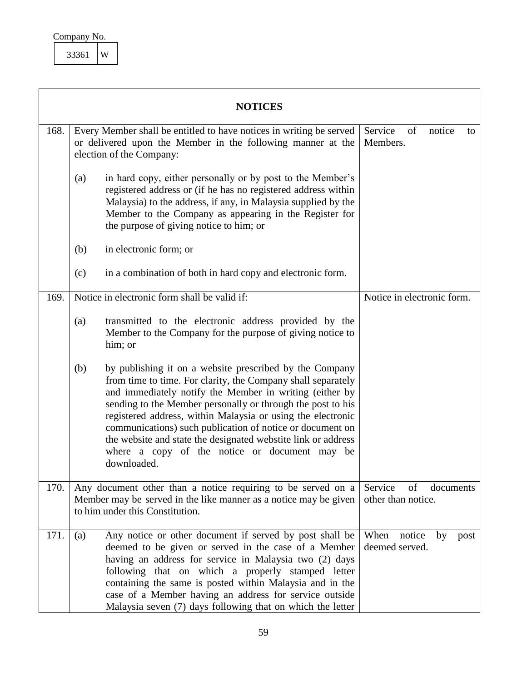<span id="page-59-1"></span>

| Company No. |  |
|-------------|--|
|             |  |

<span id="page-59-4"></span><span id="page-59-3"></span><span id="page-59-2"></span><span id="page-59-0"></span>

|      | <b>NOTICES</b>                                                                                                                                                                                                                                                                                                                                                                                                                                                                                                        |                                                  |
|------|-----------------------------------------------------------------------------------------------------------------------------------------------------------------------------------------------------------------------------------------------------------------------------------------------------------------------------------------------------------------------------------------------------------------------------------------------------------------------------------------------------------------------|--------------------------------------------------|
| 168. | Every Member shall be entitled to have notices in writing be served<br>or delivered upon the Member in the following manner at the<br>election of the Company:                                                                                                                                                                                                                                                                                                                                                        | Service<br>of<br>notice<br>to<br>Members.        |
|      | in hard copy, either personally or by post to the Member's<br>(a)<br>registered address or (if he has no registered address within<br>Malaysia) to the address, if any, in Malaysia supplied by the<br>Member to the Company as appearing in the Register for<br>the purpose of giving notice to him; or                                                                                                                                                                                                              |                                                  |
|      | in electronic form; or<br>(b)                                                                                                                                                                                                                                                                                                                                                                                                                                                                                         |                                                  |
|      | in a combination of both in hard copy and electronic form.<br>(c)                                                                                                                                                                                                                                                                                                                                                                                                                                                     |                                                  |
| 169. | Notice in electronic form shall be valid if:                                                                                                                                                                                                                                                                                                                                                                                                                                                                          | Notice in electronic form.                       |
|      | transmitted to the electronic address provided by the<br>(a)<br>Member to the Company for the purpose of giving notice to<br>him; or                                                                                                                                                                                                                                                                                                                                                                                  |                                                  |
|      | (b)<br>by publishing it on a website prescribed by the Company<br>from time to time. For clarity, the Company shall separately<br>and immediately notify the Member in writing (either by<br>sending to the Member personally or through the post to his<br>registered address, within Malaysia or using the electronic<br>communications) such publication of notice or document on<br>the website and state the designated webstite link or address<br>where a copy of the notice or document may be<br>downloaded. |                                                  |
| 170. | Any document other than a notice requiring to be served on a<br>Member may be served in the like manner as a notice may be given<br>to him under this Constitution.                                                                                                                                                                                                                                                                                                                                                   | of<br>Service<br>documents<br>other than notice. |
| 171. | Any notice or other document if served by post shall be<br>(a)<br>deemed to be given or served in the case of a Member<br>having an address for service in Malaysia two (2) days<br>following that on which a properly stamped letter<br>containing the same is posted within Malaysia and in the<br>case of a Member having an address for service outside<br>Malaysia seven (7) days following that on which the letter                                                                                             | When<br>notice<br>by<br>post<br>deemed served.   |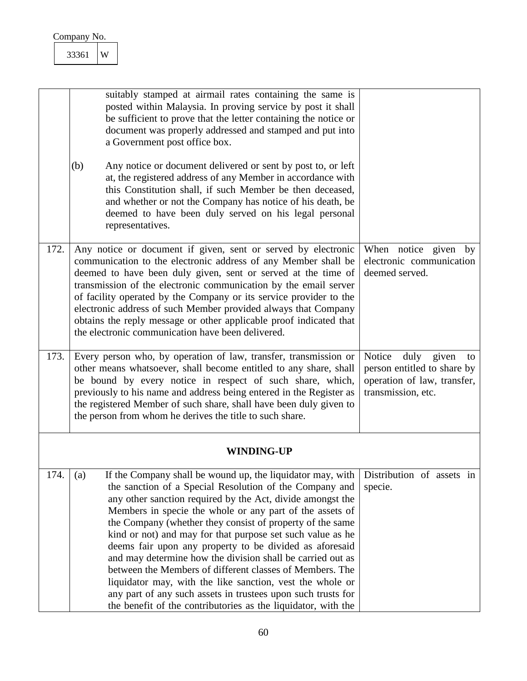<span id="page-60-3"></span><span id="page-60-2"></span><span id="page-60-1"></span><span id="page-60-0"></span>

|      | W<br>33361                                                                                                                                                                                                                                                                                                                                                                                                                                                                                                                                                                                                                                                                                                                                                           |                                                                                                                |
|------|----------------------------------------------------------------------------------------------------------------------------------------------------------------------------------------------------------------------------------------------------------------------------------------------------------------------------------------------------------------------------------------------------------------------------------------------------------------------------------------------------------------------------------------------------------------------------------------------------------------------------------------------------------------------------------------------------------------------------------------------------------------------|----------------------------------------------------------------------------------------------------------------|
|      | suitably stamped at airmail rates containing the same is<br>posted within Malaysia. In proving service by post it shall<br>be sufficient to prove that the letter containing the notice or<br>document was properly addressed and stamped and put into<br>a Government post office box.                                                                                                                                                                                                                                                                                                                                                                                                                                                                              |                                                                                                                |
|      | Any notice or document delivered or sent by post to, or left<br>(b)<br>at, the registered address of any Member in accordance with<br>this Constitution shall, if such Member be then deceased,<br>and whether or not the Company has notice of his death, be<br>deemed to have been duly served on his legal personal<br>representatives.                                                                                                                                                                                                                                                                                                                                                                                                                           |                                                                                                                |
| 172. | Any notice or document if given, sent or served by electronic<br>communication to the electronic address of any Member shall be<br>deemed to have been duly given, sent or served at the time of<br>transmission of the electronic communication by the email server<br>of facility operated by the Company or its service provider to the<br>electronic address of such Member provided always that Company<br>obtains the reply message or other applicable proof indicated that<br>the electronic communication have been delivered.                                                                                                                                                                                                                              | When notice given<br>by<br>electronic communication<br>deemed served.                                          |
| 173. | Every person who, by operation of law, transfer, transmission or<br>other means whatsoever, shall become entitled to any share, shall<br>be bound by every notice in respect of such share, which,<br>previously to his name and address being entered in the Register as<br>the registered Member of such share, shall have been duly given to<br>the person from whom he derives the title to such share.                                                                                                                                                                                                                                                                                                                                                          | Notice<br>duly given<br>to<br>person entitled to share by<br>operation of law, transfer,<br>transmission, etc. |
|      | <b>WINDING-UP</b>                                                                                                                                                                                                                                                                                                                                                                                                                                                                                                                                                                                                                                                                                                                                                    |                                                                                                                |
| 174. | If the Company shall be wound up, the liquidator may, with<br>(a)<br>the sanction of a Special Resolution of the Company and<br>any other sanction required by the Act, divide amongst the<br>Members in specie the whole or any part of the assets of<br>the Company (whether they consist of property of the same<br>kind or not) and may for that purpose set such value as he<br>deems fair upon any property to be divided as aforesaid<br>and may determine how the division shall be carried out as<br>between the Members of different classes of Members. The<br>liquidator may, with the like sanction, vest the whole or<br>any part of any such assets in trustees upon such trusts for<br>the benefit of the contributories as the liquidator, with the | Distribution of assets in<br>specie.                                                                           |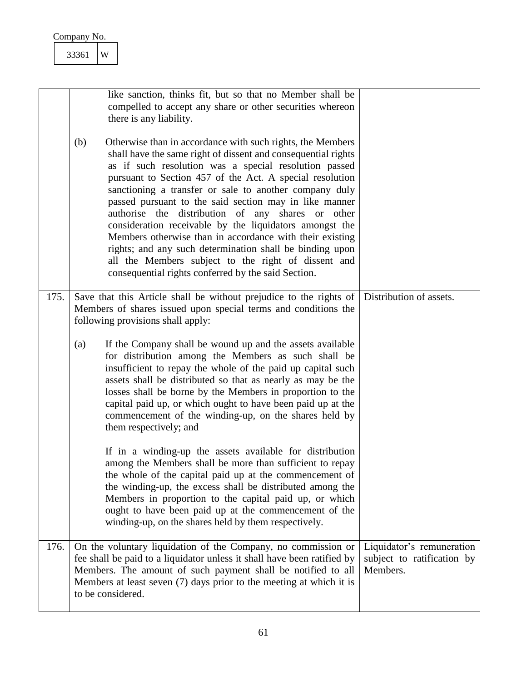|      | 33361<br>W                                                                                                                                                                                                                                                                                                                                                                                                                                                                                                                                                                                                                                                                                                                        |                                                                     |
|------|-----------------------------------------------------------------------------------------------------------------------------------------------------------------------------------------------------------------------------------------------------------------------------------------------------------------------------------------------------------------------------------------------------------------------------------------------------------------------------------------------------------------------------------------------------------------------------------------------------------------------------------------------------------------------------------------------------------------------------------|---------------------------------------------------------------------|
|      | like sanction, thinks fit, but so that no Member shall be<br>compelled to accept any share or other securities whereon<br>there is any liability.                                                                                                                                                                                                                                                                                                                                                                                                                                                                                                                                                                                 |                                                                     |
|      | (b)<br>Otherwise than in accordance with such rights, the Members<br>shall have the same right of dissent and consequential rights<br>as if such resolution was a special resolution passed<br>pursuant to Section 457 of the Act. A special resolution<br>sanctioning a transfer or sale to another company duly<br>passed pursuant to the said section may in like manner<br>authorise the distribution of any shares or other<br>consideration receivable by the liquidators amongst the<br>Members otherwise than in accordance with their existing<br>rights; and any such determination shall be binding upon<br>all the Members subject to the right of dissent and<br>consequential rights conferred by the said Section. |                                                                     |
| 175. | Save that this Article shall be without prejudice to the rights of<br>Members of shares issued upon special terms and conditions the<br>following provisions shall apply:                                                                                                                                                                                                                                                                                                                                                                                                                                                                                                                                                         | Distribution of assets.                                             |
|      | If the Company shall be wound up and the assets available<br>(a)<br>for distribution among the Members as such shall be<br>insufficient to repay the whole of the paid up capital such<br>assets shall be distributed so that as nearly as may be the<br>losses shall be borne by the Members in proportion to the<br>capital paid up, or which ought to have been paid up at the<br>commencement of the winding-up, on the shares held by<br>them respectively; and                                                                                                                                                                                                                                                              |                                                                     |
|      | If in a winding-up the assets available for distribution<br>among the Members shall be more than sufficient to repay<br>the whole of the capital paid up at the commencement of<br>the winding-up, the excess shall be distributed among the<br>Members in proportion to the capital paid up, or which<br>ought to have been paid up at the commencement of the<br>winding-up, on the shares held by them respectively.                                                                                                                                                                                                                                                                                                           |                                                                     |
| 176. | On the voluntary liquidation of the Company, no commission or<br>fee shall be paid to a liquidator unless it shall have been ratified by<br>Members. The amount of such payment shall be notified to all<br>Members at least seven (7) days prior to the meeting at which it is<br>to be considered.                                                                                                                                                                                                                                                                                                                                                                                                                              | Liquidator's remuneration<br>subject to ratification by<br>Members. |

<span id="page-61-1"></span><span id="page-61-0"></span> $\overline{\phantom{a}}$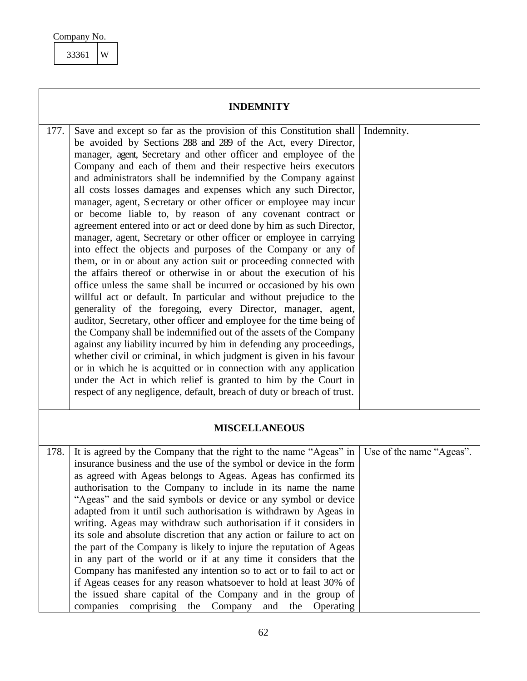## Company No. 33361 W

<span id="page-62-3"></span><span id="page-62-2"></span><span id="page-62-1"></span><span id="page-62-0"></span>

|      | <b>INDEMNITY</b>                                                                                                                                                                                                                                                                                                                                                                                                                                                                                                                                                                                                                                                                                                                                                                                                                                                                                                                                                                                                                                                                                                                                                                                                                                                                                                                                                                                                                                                                                                                                                                                                               |                          |
|------|--------------------------------------------------------------------------------------------------------------------------------------------------------------------------------------------------------------------------------------------------------------------------------------------------------------------------------------------------------------------------------------------------------------------------------------------------------------------------------------------------------------------------------------------------------------------------------------------------------------------------------------------------------------------------------------------------------------------------------------------------------------------------------------------------------------------------------------------------------------------------------------------------------------------------------------------------------------------------------------------------------------------------------------------------------------------------------------------------------------------------------------------------------------------------------------------------------------------------------------------------------------------------------------------------------------------------------------------------------------------------------------------------------------------------------------------------------------------------------------------------------------------------------------------------------------------------------------------------------------------------------|--------------------------|
| 177. | Save and except so far as the provision of this Constitution shall<br>be avoided by Sections 288 and 289 of the Act, every Director,<br>manager, agent, Secretary and other officer and employee of the<br>Company and each of them and their respective heirs executors<br>and administrators shall be indemnified by the Company against<br>all costs losses damages and expenses which any such Director,<br>manager, agent, Secretary or other officer or employee may incur<br>or become liable to, by reason of any covenant contract or<br>agreement entered into or act or deed done by him as such Director,<br>manager, agent, Secretary or other officer or employee in carrying<br>into effect the objects and purposes of the Company or any of<br>them, or in or about any action suit or proceeding connected with<br>the affairs thereof or otherwise in or about the execution of his<br>office unless the same shall be incurred or occasioned by his own<br>willful act or default. In particular and without prejudice to the<br>generality of the foregoing, every Director, manager, agent,<br>auditor, Secretary, other officer and employee for the time being of<br>the Company shall be indemnified out of the assets of the Company<br>against any liability incurred by him in defending any proceedings,<br>whether civil or criminal, in which judgment is given in his favour<br>or in which he is acquitted or in connection with any application<br>under the Act in which relief is granted to him by the Court in<br>respect of any negligence, default, breach of duty or breach of trust. | Indemnity.               |
|      | <b>MISCELLANEOUS</b>                                                                                                                                                                                                                                                                                                                                                                                                                                                                                                                                                                                                                                                                                                                                                                                                                                                                                                                                                                                                                                                                                                                                                                                                                                                                                                                                                                                                                                                                                                                                                                                                           |                          |
| 178. | It is agreed by the Company that the right to the name "Ageas" in<br>insurance business and the use of the symbol or device in the form<br>as agreed with Ageas belongs to Ageas. Ageas has confirmed its<br>authorisation to the Company to include in its name the name<br>"Ageas" and the said symbols or device or any symbol or device<br>adapted from it until such authorisation is withdrawn by Ageas in<br>writing. Ageas may withdraw such authorisation if it considers in<br>its sole and absolute discretion that any action or failure to act on<br>the part of the Company is likely to injure the reputation of Ageas<br>in any part of the world or if at any time it considers that the<br>Company has manifested any intention so to act or to fail to act or<br>if Ageas ceases for any reason whatsoever to hold at least 30% of<br>the issued share capital of the Company and in the group of<br>companies<br>comprising<br>the Company<br>and<br>the<br>Operating                                                                                                                                                                                                                                                                                                                                                                                                                                                                                                                                                                                                                                      | Use of the name "Ageas". |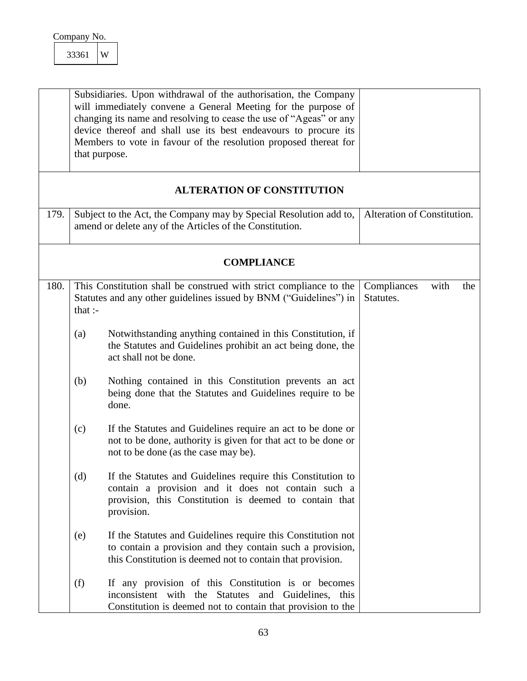<span id="page-63-3"></span><span id="page-63-2"></span><span id="page-63-1"></span><span id="page-63-0"></span>

|      | 33361    | W                                                                                                                                                                                                                                                                                                                                                              |                                         |
|------|----------|----------------------------------------------------------------------------------------------------------------------------------------------------------------------------------------------------------------------------------------------------------------------------------------------------------------------------------------------------------------|-----------------------------------------|
|      |          | Subsidiaries. Upon withdrawal of the authorisation, the Company<br>will immediately convene a General Meeting for the purpose of<br>changing its name and resolving to cease the use of "Ageas" or any<br>device thereof and shall use its best endeavours to procure its<br>Members to vote in favour of the resolution proposed thereat for<br>that purpose. |                                         |
|      |          | <b>ALTERATION OF CONSTITUTION</b>                                                                                                                                                                                                                                                                                                                              |                                         |
| 179. |          | Subject to the Act, the Company may by Special Resolution add to,<br>amend or delete any of the Articles of the Constitution.                                                                                                                                                                                                                                  | Alteration of Constitution.             |
|      |          | <b>COMPLIANCE</b>                                                                                                                                                                                                                                                                                                                                              |                                         |
| 180. | that $:$ | This Constitution shall be construed with strict compliance to the<br>Statutes and any other guidelines issued by BNM ("Guidelines") in                                                                                                                                                                                                                        | Compliances<br>with<br>the<br>Statutes. |
|      | (a)      | Notwithstanding anything contained in this Constitution, if<br>the Statutes and Guidelines prohibit an act being done, the<br>act shall not be done.                                                                                                                                                                                                           |                                         |
|      | (b)      | Nothing contained in this Constitution prevents an act<br>being done that the Statutes and Guidelines require to be<br>done.                                                                                                                                                                                                                                   |                                         |
|      | (c)      | If the Statutes and Guidelines require an act to be done or<br>not to be done, authority is given for that act to be done or<br>not to be done (as the case may be).                                                                                                                                                                                           |                                         |
|      | (d)      | If the Statutes and Guidelines require this Constitution to<br>contain a provision and it does not contain such a<br>provision, this Constitution is deemed to contain that<br>provision.                                                                                                                                                                      |                                         |
|      | (e)      | If the Statutes and Guidelines require this Constitution not<br>to contain a provision and they contain such a provision,<br>this Constitution is deemed not to contain that provision.                                                                                                                                                                        |                                         |
|      | (f)      | If any provision of this Constitution is or becomes<br>inconsistent with the Statutes and Guidelines, this<br>Constitution is deemed not to contain that provision to the                                                                                                                                                                                      |                                         |